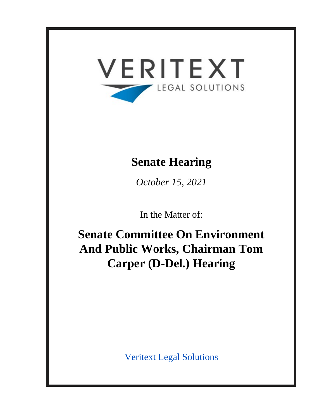

# **Senate Hearing**

*October 15, 2021*

In the Matter of:

**Senate Committee On Environment And Public Works, Chairman Tom Carper (D-Del.) Hearing**

Veritext Legal Solutions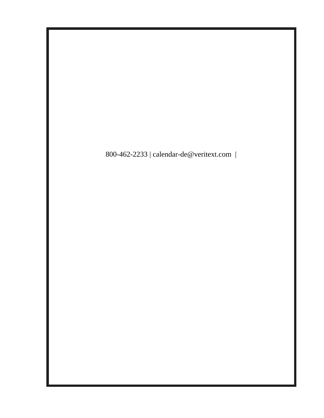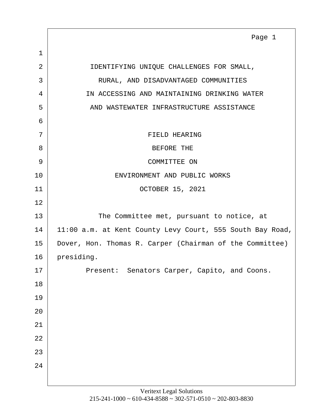<span id="page-2-0"></span>1 2 DENTIFYING UNIQUE CHALLENGES FOR SMALL, 3 RURAL, AND DISADVANTAGED COMMUNITIES 4 IN ACCESSING AND MAINTAINING DRINKING WATER 5 AND WASTEWATER INFRASTRUCTURE ASSISTANCE 6 7 STELL REARING 8 BEFORE THE 9 COMMITTEE ON 10 ENVIRONMENT AND PUBLIC WORKS 11 OCTOBER 15, 2021 12 13 The Committee met, pursuant to notice, at 14 | 11:00 a.m. at Kent County Levy Court, 555 South Bay Road, 15 Dover, Hon. Thomas R. Carper (Chairman of the Committee) 16 presiding. 17 Present: Senators Carper, Capito, and Coons. 18 19 20 21 22 23 24 Page 1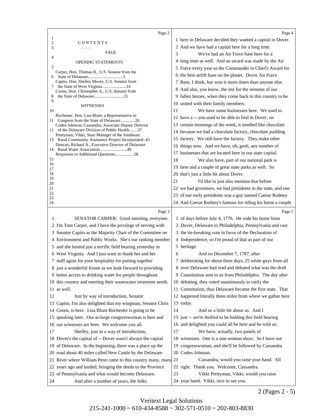<span id="page-3-0"></span>

|                       | Page 2                                                                                                         |           | Page 4                                                                              |
|-----------------------|----------------------------------------------------------------------------------------------------------------|-----------|-------------------------------------------------------------------------------------|
| 1                     |                                                                                                                |           | 1 here in Delaware decided they wanted a capital in Dover.                          |
| $\boldsymbol{2}$<br>3 | CONTENTS                                                                                                       |           | 2 And we have had a capital here for a long time.                                   |
|                       | PAGE                                                                                                           | 3         | We've had an Air Force base here for a                                              |
| 4                     | <b>OPENING STATEMENTS</b>                                                                                      |           | 4 long time as well. And an award was made by the Air                               |
| 5                     |                                                                                                                |           | 5 Force every year as the Commander in Chief's Award for                            |
| 6                     | Carper, Hon. Thomas R., U.S. Senator from the                                                                  |           | 6 the best airlift base on the planet. Dover Air Force                              |
|                       | Capito, Hon. Shelley Moore, U.S. Senator from                                                                  |           | 7 Base, I think, has won it more times than anyone else.                            |
| 7                     | the State of West Virginia14<br>Coons, Hon. Christopher A., U.S. Senator from                                  |           | 8 And also, you know, the site for the remains of our                               |
| 8                     |                                                                                                                |           | 9 fallen heroes, when they come back to this country to be                          |
| 9                     | WITNESSES                                                                                                      |           | 10 united with their family members.                                                |
| 10                    |                                                                                                                | 11        | We have some businesses here. We used to                                            |
|                       | Rochester, Hon. Lisa Blunt, a Representative in<br>11 Congress from the State of Delaware26                    |           | 12 have a -- you used to be able to find in Dover, on                               |
|                       | Codes-Johnson, Cassandra, Associate Deputy Director                                                            |           | 13 certain mornings of the week, it smelled like chocolate                          |
|                       | 12 of the Delaware Division of Public Health37<br>Prettyman, Vikki, State Manager of the Southeast             |           | 14 because we had a chocolate factory, chocolate pudding                            |
|                       | 13 Rural Community Assistance Project Incorporated43                                                           |           | 15 factory. We still have the factory. They make other                              |
| 14                    | Duncan, Richard A., Executive Director of Delaware                                                             |           | 16 things now. And we have, oh, gosh, any number of                                 |
|                       |                                                                                                                |           | 17 businesses that are located here in our state capital.                           |
| 15<br>16              |                                                                                                                | 18        | We also have, part of our national park is                                          |
| 17                    |                                                                                                                |           | 19 here and a couple of great state parks as well. So                               |
| 18<br>19              |                                                                                                                |           | 20 that's just a little bit about Dover.                                            |
| 20                    |                                                                                                                | 21        | I'd like to just also mention that before                                           |
| 21<br>22              |                                                                                                                |           | 22 we had governors, we had presidents in the state, and one                        |
| 23                    |                                                                                                                |           | 23 of our early presidents was a guy named Caesar Rodney.                           |
| 24                    |                                                                                                                |           | 24 And Caesar Rodney's famous for riding his horse a couple                         |
|                       |                                                                                                                |           |                                                                                     |
|                       | Page 3                                                                                                         |           | Page 5                                                                              |
| 1                     | SENATOR CARPER: Good morning, everyone.                                                                        |           | 1 of days before July 4, 1776. He rode his horse from                               |
|                       | 2 I'm Tom Carper, and I have the privilege of serving with                                                     |           | 2 Dover, Delaware to Philadelphia, Pennsylvania and cast                            |
|                       | 3 Senator Capito as the Majority Chair of the Committee on                                                     |           | 3 the tie-breaking vote in favor of the Declaration of                              |
|                       | 4 Environment and Public Works. She's our ranking member                                                       |           | 4 Independence, so I'm proud of that as part of our                                 |
|                       | 5 and she hosted just a terrific field hearing yesterday in                                                    |           | 5 heritage.                                                                         |
|                       | 6 West Virginia. And I just want to thank her and her                                                          | 6         | And on December 7, 1787, after                                                      |
|                       | 7 staff again for your hospitality for putting together                                                        |           | 7 deliberating for about three days, 25 white guys from all                         |
|                       | 8 just a wonderful forum as we look forward to providing                                                       |           | 8 over Delaware had read and debated what was the draft                             |
|                       | 9 better access to drinking water for people throughout                                                        |           | 9 Constitution sent to us from Philadelphia. The day after                          |
|                       | 10 this country and meeting their wastewater treatment needs                                                   |           | 10 debating, they voted unanimously to ratify the                                   |
|                       | 11 as well.                                                                                                    |           | 11 Constitution, thus Delaware became the first state. That                         |
| 12                    | Just by way of introduction, Senator                                                                           |           | 12 happened literally three miles from where we gather here                         |
|                       | 13 Capito, I'm also delighted that my wingman, Senator Chris                                                   | 13 today. |                                                                                     |
| 14                    | Coons, is here. Lisa Blunt-Rochester is going to be                                                            | 14        | And so a little bit about us. And I                                                 |
| 15                    | speaking later. Our at-large congresswoman is here and                                                         |           | 15 just -- we're thrilled to be holding this field hearing                          |
|                       | 16 our witnesses are here. We welcome you all.                                                                 |           | 16 and delighted you could all be here and be with us.                              |
| 17                    | Shelley, just as a way of introduction,                                                                        | 17        | We have, actually, two panels of                                                    |
|                       | 18 Dover's the capital of -- Dover wasn't always the capital                                                   |           | 18 witnesses. One is a one-woman show. So I have our                                |
|                       | 19 of Delaware. In the beginning, there was a place up the                                                     |           | 19 congresswoman, and she'll be followed by Cassandra                               |
| 20                    | road about 40 miles called New Castle by the Delaware                                                          |           | 20 Codes-Johnson.                                                                   |
|                       | 21 River where William Penn came to this country many, many 21                                                 |           | Cassandra, would you raise your hand. All                                           |
| 22                    | years ago and landed, bringing the deeds to the Province<br>23 of Pennsylvania and what would become Delaware. | 23        | 22 right. Thank you. Welcome, Cassandra.<br>Vikki Prettyman, Vikki, would you raise |

2 (Pages 2 - 5)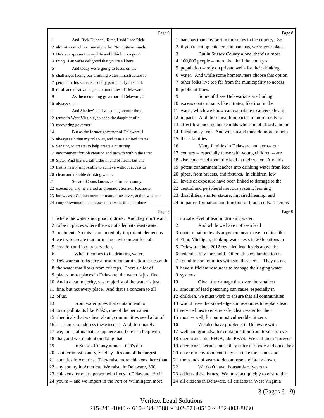<span id="page-4-0"></span>

|    | Page 6                                                                                                                 |                | Page 8                                                                                                                    |
|----|------------------------------------------------------------------------------------------------------------------------|----------------|---------------------------------------------------------------------------------------------------------------------------|
| 1  | And, Rick Duncan. Rick, I said I see Rick                                                                              |                | 1 bananas than any port in the states in the country. So                                                                  |
|    | 2 almost as much as I see my wife. Not quite as much.                                                                  |                | 2 if you're eating chicken and bananas, we're your place.                                                                 |
|    | 3 He's ever-present in my life and I think it's a good                                                                 | 3              | But in Sussex County alone, there's almost                                                                                |
|    | 4 thing. But we're delighted that you're all here.                                                                     |                | 4 100,000 people -- more than half the county's                                                                           |
| 5  | And today we're going to focus on the                                                                                  | 5              | population -- rely on private wells for their drinking                                                                    |
|    | 6 challenges facing our drinking water infrastructure for                                                              | 6              | water. And while some homeowners choose this option,                                                                      |
|    | 7 people in this state, especially particularly in small,                                                              |                | 7 other folks live too far from the municipality to access                                                                |
|    | 8 rural, and disadvantaged communities of Delaware.                                                                    |                | 8 public utilities.                                                                                                       |
| 9  | As the recovering governor of Delaware, I                                                                              | 9              | Some of these Delawarians are finding                                                                                     |
|    | 10 always said --                                                                                                      |                | 10 excess contaminants like nitrates, like iron in the                                                                    |
| 11 | And Shelley's dad was the governor three                                                                               | 11             | water, which we know can contribute to adverse health                                                                     |
|    | 12 terms in West Virginia, so she's the daughter of a                                                                  |                | 12 impacts. And those health impacts are more likely to                                                                   |
|    | 13 recovering governor.                                                                                                | 13             | affect low-income households who cannot afford a home                                                                     |
| 14 | But as the former governor of Delaware, I                                                                              |                | 14 filtration system. And we can and must do more to help                                                                 |
|    | 15 always said that my role was, and is as a United States                                                             | 15             | these families.                                                                                                           |
|    | 16 Senator, to create, to help create a nurturing                                                                      | 16             | Many families in Delaware and across our                                                                                  |
|    | 17 environment for job creation and growth within the First                                                            | 17             | country -- especially those with young children -- are                                                                    |
|    | 18 State. And that's a tall order in and of itself, but one                                                            | 18             | also concerned about the lead in their water. And this                                                                    |
|    | 19 that is nearly impossible to achieve without access to                                                              | 19             | potent contaminant leaches into drinking water from lead                                                                  |
|    | 20 clean and reliable drinking water.                                                                                  | 20             | pipes, from faucets, and fixtures. In children, low                                                                       |
| 21 | Senator Coons knows as a former county                                                                                 | 21             | levels of exposure have been linked to damage to the                                                                      |
|    | 22 executive, and he started as a senator; Senator Rochester                                                           | 22             | central and peripheral nervous system, learning                                                                           |
|    | 23 knows as a Cabinet member many times over, and now as our                                                           | 23             | disabilities, shorter stature, impaired hearing, and                                                                      |
|    | 24 congresswoman, businesses don't want to be in places                                                                |                | 24 impaired formation and function of blood cells. There is                                                               |
|    |                                                                                                                        |                |                                                                                                                           |
|    | Page 7                                                                                                                 |                | Page 9                                                                                                                    |
|    | 1 where the water's not good to drink. And they don't want                                                             |                | 1 no safe level of lead in drinking water.                                                                                |
|    | 2 to be in places where there's not adequate wastewater                                                                | $\overline{2}$ | And while we have not seen lead                                                                                           |
|    | 3 treatment. So this is an incredibly important element as                                                             |                | 3 contamination levels anywhere near those in cities like                                                                 |
|    | 4 we try to create that nurturing environment for job                                                                  |                | 4 Flint, Michigan, drinking water tests in 20 locations in                                                                |
|    | 5 creation and job preservation.                                                                                       |                | 5 Delaware since 2012 revealed lead levels above the                                                                      |
| 6  | When it comes to its drinking water,                                                                                   |                | 6 federal safety threshold. Often, this contamination is                                                                  |
|    | 7 Delawarean folks face a host of contamination issues with                                                            |                | 7 found in communities with small systems. They do not                                                                    |
|    | 8 the water that flows from our taps. There's a lot of                                                                 |                | 8 have sufficient resources to manage their aging water                                                                   |
|    | 9 places, most places in Delaware, the water is just fine.                                                             |                | 9 systems.                                                                                                                |
|    | 10 And a clear majority, vast majority of the water is just                                                            | 10             | Given the damage that even the smallest                                                                                   |
|    | 11 fine, but not every place. And that's a concern to all                                                              | 11             | amount of lead poisoning can cause, especially in                                                                         |
|    | $12$ of us.                                                                                                            |                | 12 children, we must work to ensure that all communities                                                                  |
| 13 | From water pipes that contain lead to                                                                                  |                | 13 would have the knowledge and resources to replace lead                                                                 |
|    | 14 toxic pollutants like PFAS, one of the permanent                                                                    |                | 14 service lines to ensure safe, clean water for their                                                                    |
|    | 15 chemicals that we hear about, communities need a lot of                                                             |                | 15 most -- well, for our most vulnerable citizens.                                                                        |
|    | 16 assistance to address these issues. And, fortunately,                                                               | 16             | We also have problems in Delaware with                                                                                    |
|    | 17 we, those of us that are up here and here can help with                                                             |                | 17 well and groundwater contamination from toxic "forever                                                                 |
|    | 18 that, and we're intent on doing that.                                                                               |                | 18 chemicals" like PFOA, like PFAS. We call them "forever                                                                 |
| 19 | In Sussex County alone -- that's our                                                                                   |                | 19 chemicals" because once they enter our body and once they                                                              |
|    | 20 southernmost county, Shelley. It's one of the largest                                                               | 20             | enter our environment, they can take thousands and                                                                        |
|    | 21 counties in America. They raise more chickens there than                                                            |                | 21 thousands of years to decompose and break down.                                                                        |
|    | 22 any county in America. We raise, in Delaware, 300                                                                   | 22             | We don't have thousands of years to                                                                                       |
|    | 23 chickens for every person who lives in Delaware. So if<br>24 you're -- and we import in the Port of Wilmington more |                | 23 address these issues. We must act quickly to ensure that<br>24 all citizens in Delaware, all citizens in West Virginia |

3 (Pages 6 - 9)

Veritext Legal Solutions 215-241-1000 ~ 610-434-8588 ~ 302-571-0510 ~ 202-803-8830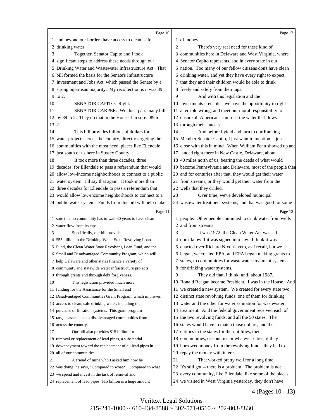<span id="page-5-0"></span>

|       | Page 10                                                                                                              |    | Page 12                                                                                                                   |
|-------|----------------------------------------------------------------------------------------------------------------------|----|---------------------------------------------------------------------------------------------------------------------------|
|       | 1 and beyond our borders have access to clean, safe                                                                  |    | 1 of money.                                                                                                               |
|       | 2 drinking water.                                                                                                    | 2  | There's very real need for these kind of                                                                                  |
| 3     | Together, Senator Capito and I took                                                                                  |    | 3 communities here in Delaware and West Virginia, where                                                                   |
|       | 4 significant steps to address these needs through our                                                               |    | 4 Senator Capito represents, and in every state in our                                                                    |
|       | 5 Drinking Water and Wastewater Infrastructure Act. That                                                             |    | 5 nation. Too many of our fellow citizens don't have clean                                                                |
|       | 6 bill formed the basis for the Senate's Infrastructure                                                              |    | 6 drinking water, and yet they have every right to expect                                                                 |
|       | 7 Investment and Jobs Act, which passed the Senate by a                                                              |    | 7 that they and their children would be able to drink                                                                     |
|       | 8 strong bipartisan majority. My recollection is it was 89                                                           |    | 8 freely and safely from their taps.                                                                                      |
|       | 9 to 2.                                                                                                              | 9  | And with this legislation and the                                                                                         |
| 10    | SENATOR CAPITO: Right.                                                                                               |    | 10 investments it enables, we have the opportunity to right                                                               |
| 11    | SENATOR CARPER: We don't pass many bills                                                                             |    | 11 a terrible wrong, and meet our moral responsibility to                                                                 |
|       | 12 by 89 to 2. They do that in the House, I'm sure. 89 to                                                            |    | 12 ensure all Americans can trust the water that flows                                                                    |
| 13 2. |                                                                                                                      |    | 13 through their faucets.                                                                                                 |
| 14    | This bill provides billions of dollars for                                                                           | 14 | And before I yield and turn to our Ranking                                                                                |
|       | 15 water projects across the country, directly targeting the                                                         |    | 15 Member Senator Capito, I just want to mention -- just                                                                  |
|       | 16 communities with the most need, places like Ellendale                                                             |    | 16 close with this in mind. When William Penn showed up and                                                               |
|       | 17 just south of us here in Sussex County.                                                                           |    | 17 landed right there in New Castle, Delaware, about                                                                      |
| 18    | It took more than three decades, three                                                                               |    | 18 40 miles north of us, bearing the deeds of what would                                                                  |
|       | 19 decades, for Ellendale to pass a referendum that would                                                            |    | 19 become Pennsylvania and Delaware, most of the people then                                                              |
|       | 20 allow low-income neighborhoods to connect to a public                                                             |    | 20 and for centuries after that, they would get their water                                                               |
|       | 21 water system. I'll say that again. It took more than                                                              |    | 21 from streams, or they would get their water from the                                                                   |
|       | 22 three decades for Ellendale to pass a referendum that                                                             |    | 22 wells that they drilled.                                                                                               |
|       | 23 would allow low-income neighborhoods to connect to a                                                              | 23 | Over time, we've developed municipal                                                                                      |
|       | 24 public water system. Funds from this bill will help make                                                          |    | 24 wastewater treatment systems, and that was good for some                                                               |
|       |                                                                                                                      |    |                                                                                                                           |
|       |                                                                                                                      |    |                                                                                                                           |
|       | Page 11                                                                                                              |    | Page 13                                                                                                                   |
|       | 1 sure that no community has to wait 30 years to have clean                                                          |    | 1 people. Other people continued to drink water from wells<br>2 and from streams.                                         |
| 3     | 2 water flow from its taps.                                                                                          | 3  |                                                                                                                           |
|       | Specifically, our bill provides                                                                                      |    | It was 1972, the Clean Water Act was -- I                                                                                 |
|       | 4 \$55 billion to the Drinking Water State Revolving Loan                                                            |    | 4 don't know if it was signed into law. I think it was                                                                    |
|       | 5 Fund, the Clean Water State Revolving Loan Fund, and the                                                           |    | 5 enacted over Richard Nixon's veto, as I recall, but we                                                                  |
|       | 6 Small and Disadvantaged Community Program, which will                                                              |    | 6 began, we created EPA, and EPA began making grants to                                                                   |
|       | 7 help Delaware and other states finance a variety of                                                                |    | 7 states, to communities for wastewater treatment systems                                                                 |
|       | 8 community and statewide water infrastructure projects                                                              | 9  | 8 for drinking water systems.                                                                                             |
| 10    | 9 through grants and through debt forgiveness.                                                                       |    | They did that, I think, until about 1987.                                                                                 |
|       | This legislation provided much more                                                                                  |    | 10 Ronald Reagan became President. I was in the House. And                                                                |
|       | 11 funding for the Assistance for the Small and                                                                      |    | 11 we created a new system. We created for every state two                                                                |
|       | 12 Disadvantaged Communities Grant Program, which improves<br>13 access to clean, safe drinking water, including the |    | 12 distinct state revolving funds, one of them for drinking<br>13 water and the other for water sanitation for wastewater |
|       |                                                                                                                      |    |                                                                                                                           |
|       | 14 purchase of filtration systems. This grant program<br>15 targets assistance to disadvantaged communities from     |    | 14 treatment. And the federal government received each of                                                                 |
|       | 16 across the country.                                                                                               |    | 15 the two revolving funds, and all the 50 states. The<br>16 states would have to match those dollars, and the            |
| 17    |                                                                                                                      |    | 17 entities in the states for their utilities, their                                                                      |
|       | Our bill also provides \$15 billion for<br>18 removal or replacement of lead pipes, a substantial                    | 18 |                                                                                                                           |
|       |                                                                                                                      |    | communities, or counties or whatever cities, if they                                                                      |
|       | 19 downpayment toward the replacement of all lead pipes in<br>20 all of our communities.                             |    | 19 borrowed money from the revolving funds, they had to<br>20 repay the money with interest.                              |
| 21    | A friend of mine who I asked him how he                                                                              | 21 | That worked pretty well for a long time.                                                                                  |
|       | 22 was doing, he says, "Compared to what?" Compared to what                                                          |    | 22 It's still got -- there is a problem. The problem is not                                                               |
|       | 23 we spend and invest in the task of removal and                                                                    |    | 23 every community, like Ellendale, like some of the places                                                               |

4 (Pages 10 - 13)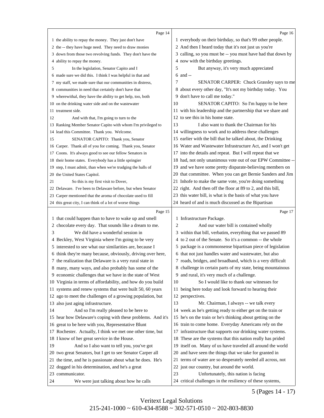<span id="page-6-0"></span>

|    | Page 14                                                                                                |                | Page 16                                                                                                    |
|----|--------------------------------------------------------------------------------------------------------|----------------|------------------------------------------------------------------------------------------------------------|
|    | 1 the ability to repay the money. They just don't have                                                 |                | 1 everybody on their birthday, so that's 99 other people.                                                  |
|    | 2 the -- they have huge need. They need to draw monies                                                 |                | 2 And then I heard today that it's not just us you're                                                      |
|    | 3 down from those two revolving funds. They don't have the                                             |                | 3 calling, so you must be -- you must have had that down by                                                |
|    | 4 ability to repay the money.                                                                          |                | 4 now with the birthday greetings.                                                                         |
| 5  | In the legislation, Senator Capito and I                                                               | 5              | But anyway, it's very much appreciated                                                                     |
|    | 6 made sure we did this. I think I was helpful in that and                                             |                | $6$ and $-$                                                                                                |
|    | 7 my staff, we made sure that our communities in distress,                                             | 7              | SENATOR CARPER: Chuck Grassley says to me                                                                  |
|    | 8 communities in need that certainly don't have that                                                   |                | 8 about every other day, "It's not my birthday today. You                                                  |
|    | 9 wherewithal, they have the ability to get help, too, both                                            |                | 9 don't have to call me today."                                                                            |
|    | 10 on the drinking water side and on the wastewater                                                    | 10             | SENATOR CAPITO: So I'm happy to be here                                                                    |
|    | 11 treatment side.                                                                                     |                | 11 with his leadership and the partnership that we share and                                               |
| 12 | And with that, I'm going to turn to the                                                                |                | 12 to see this in his home state.                                                                          |
|    | 13 Ranking Member Senator Capito with whom I'm privileged to                                           | 13             | I also want to thank the Chairman for his                                                                  |
|    | 14 lead this Committee. Thank you. Welcome.                                                            |                | 14 willingness to work and to address these challenges                                                     |
| 15 | SENATOR CAPITO: Thank you, Senator                                                                     |                | 15 earlier with the bill that he talked about, the Drinking                                                |
|    | 16 Carper. Thank all of you for coming. Thank you, Senator                                             |                | 16 Water and Wastewater Infrastructure Act, and I won't get                                                |
|    | 17 Coons. It's always good to see our fellow Senators in                                               |                | 17 into the details and repeat. But I will repeat that we                                                  |
|    | 18 their home states. Everybody has a little springier                                                 |                | 18 had, not only unanimous vote out of our EPW Committee --                                                |
|    | 19 step, I must admit, than when we're trudging the halls of                                           |                | 19 and we have some pretty disparate-believing members on                                                  |
|    | 20 the United States Capitol.                                                                          |                | 20 that committee. When you can get Bernie Sanders and Jim                                                 |
| 21 | So this is my first visit to Dover,                                                                    |                | 21 Inhofe to make the same vote, you're doing something                                                    |
|    | 22 Delaware. I've been to Delaware before, but when Senator                                            |                | 22 right. And then off the floor at 89 to 2, and this bill,                                                |
|    | 23 Carper mentioned that the aroma of chocolate used to fill                                           |                | 23 this water bill, is what is the basis of what you have                                                  |
|    | 24 this great city, I can think of a lot of worse things                                               |                | 24 heard of and is much discussed as the Bipartisan                                                        |
|    |                                                                                                        |                |                                                                                                            |
|    |                                                                                                        |                |                                                                                                            |
|    | Page 15                                                                                                |                | Page 17                                                                                                    |
|    | 1 that could happen than to have to wake up and smell                                                  | $\overline{2}$ | 1 Infrastructure Package.                                                                                  |
| 3  | 2 chocolate every day. That sounds like a dream to me.<br>We did have a wonderful session in           |                | And our water bill is contained wholly                                                                     |
|    |                                                                                                        |                | 3 within that bill, verbatim, everything that we passed 89                                                 |
|    | 4 Beckley, West Virginia where I'm going to be very                                                    |                | 4 to 2 out of the Senate. So it's a common -- the whole                                                    |
| 6  | 5 interested to see what our similarities are, because I                                               |                | 5 package is a commonsense bipartisan piece of legislation                                                 |
|    | think they're many because, obviously, driving over here,                                              |                | 6 that not just handles water and wastewater, but also                                                     |
|    | 7 the realization that Delaware is a very rural state in                                               |                | 7 roads, bridges, and broadband, which is a very difficult                                                 |
|    | 8 many, many ways, and also probably has some of the                                                   |                | 8 challenge in certain parts of my state, being mountainous<br>9 and rural, it's very much of a challenge. |
|    | 9 economic challenges that we have in the state of West                                                | 10             |                                                                                                            |
|    | 10 Virginia in terms of affordability, and how do you build                                            |                | So I would like to thank our witnesses for                                                                 |
|    | 11 systems and renew systems that were built 50, 60 years                                              |                | 11 being here today and look forward to hearing their                                                      |
|    | 12 ago to meet the challenges of a growing population, but                                             | 13             | 12 perspectives.                                                                                           |
| 14 | 13 also just aging infrastructure.                                                                     |                | Mr. Chairman, I always -- we talk every<br>14 week as he's getting ready to either get on the train or     |
|    | And so I'm really pleased to be here to<br>15 hear how Delaware's coping with these problems. And it's |                | 15 he's on the train or he's thinking about getting on the                                                 |
|    | 16 great to be here with you, Representative Blunt                                                     |                | 16 train to come home. Everyday Americans rely on the                                                      |
|    | 17 Rochester. Actually, I think we met one other time, but                                             |                | 17 infrastructure that supports our drinking water systems.                                                |
|    | 18 I know of her great service in the House.                                                           |                | 18 These are the systems that this nation really has prided                                                |
| 19 | And so I also want to tell you, you've got                                                             |                | 19 itself on. Many of us have traveled all around the world                                                |
|    | 20 two great Senators, but I get to see Senator Carper all                                             |                | 20 and have seen the things that we take for granted in                                                    |
|    | 21 the time, and he is passionate about what he does. He's                                             |                | 21 terms of water are so desperately needed all across, not                                                |
|    | 22 dogged in his determination, and he's a great                                                       |                | 22 just our country, but around the world.                                                                 |
|    | 23 communicator.                                                                                       | 23             | Unfortunately, this nation is facing                                                                       |

5 (Pages 14 - 17)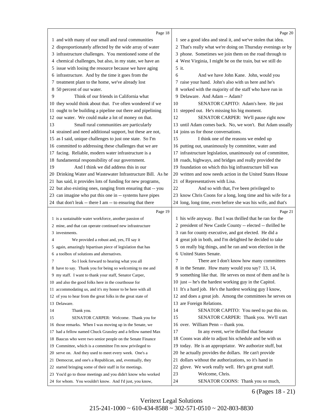<span id="page-7-0"></span>

|    | Page 18                                                                                                                 |    | Page 20                                                                                                            |
|----|-------------------------------------------------------------------------------------------------------------------------|----|--------------------------------------------------------------------------------------------------------------------|
|    | 1 and with many of our small and rural communities                                                                      |    | 1 see a good idea and steal it, and we've stolen that idea.                                                        |
|    | 2 disproportionately affected by the wide array of water                                                                |    | 2 That's really what we're doing on Thursday evenings or by                                                        |
|    | 3 infrastructure challenges. You mentioned some of the                                                                  |    | 3 phone. Sometimes we join them on the road through to                                                             |
|    | 4 chemical challenges, but also, in my state, we have an                                                                |    | 4 West Virginia, I might be on the train, but we still do                                                          |
|    | 5 issue with losing the resource because we have aging                                                                  |    | 5 it.                                                                                                              |
|    | 6 infrastructure. And by the time it goes from the                                                                      | 6  | And we have John Kane. John, would you                                                                             |
|    | 7 treatment plant to the home, we've already lost                                                                       |    | 7 raise your hand. John's also with us here and he's                                                               |
|    | 8 50 percent of our water.                                                                                              |    | 8 worked with the majority of the staff who have run in                                                            |
| 9  | Think of our friends in California what                                                                                 |    | 9 Delaware. And Adam -- Adam?                                                                                      |
|    | 10 they would think about that. I've often wondered if we                                                               | 10 | SENATOR CAPITO: Adam's here. He just                                                                               |
|    | 11 ought to be building a pipeline out there and pipelining                                                             |    | 11 stepped out. He's missing his big moment.                                                                       |
|    | 12 our water. We could make a lot of money on that.                                                                     | 12 | SENATOR CARPER: We'll pause right now                                                                              |
| 13 | Small rural communities are particularly                                                                                |    | 13 until Adam comes back. No, we won't. But Adam usually                                                           |
|    | 14 strained and need additional support, but these are not,                                                             |    | 14 joins us for those conversations.                                                                               |
|    | 15 as I said, unique challenges to just one state. So I'm                                                               | 15 | I think one of the reasons we ended up                                                                             |
|    | 16 committed to addressing these challenges that we are                                                                 |    | 16 putting out, unanimously by committee, water and                                                                |
|    | 17 facing. Reliable, modern water infrastructure is a                                                                   |    | 17 infrastructure legislation, unanimously out of committee,                                                       |
|    | 18 fundamental responsibility of our government.                                                                        |    | 18 roads, highways, and bridges and really provided the                                                            |
| 19 | And I think we did address this in our                                                                                  |    | 19 foundation on which this big infrastructure bill was                                                            |
|    | 20 Drinking Water and Wastewater Infrastructure Bill. As he                                                             |    | 20 written and now needs action in the United States House                                                         |
|    | 21 has said, it provides lots of funding for new programs,                                                              |    | 21 of Representatives with Lisa.                                                                                   |
|    | 22 but also existing ones, ranging from ensuring that -- you                                                            | 22 | And so with that, I've been privileged to                                                                          |
|    | 23 can imagine who put this one in -- systems have pipes                                                                |    | 23 know Chris Coons for a long, long time and his wife for a                                                       |
|    | 24 that don't leak -- there I am -- to ensuring that there                                                              |    | 24 long, long time, even before she was his wife, and that's                                                       |
|    |                                                                                                                         |    |                                                                                                                    |
|    |                                                                                                                         |    |                                                                                                                    |
|    | Page 19                                                                                                                 |    | Page 21                                                                                                            |
|    | 1 is a sustainable water workforce, another passion of                                                                  |    | 1 his wife anyway. But I was thrilled that he ran for the                                                          |
|    | 2 mine, and that can operate continued new infrastructure<br>3 investments.                                             |    | 2 president of New Castle County -- elected -- thrilled he                                                         |
| 4  |                                                                                                                         |    | 3 ran for county executive, and got elected. He did a<br>4 great job in both, and I'm delighted he decided to take |
| 5  | We provided a robust and, yes, I'll say it                                                                              |    |                                                                                                                    |
|    | again, amazingly bipartisan piece of legislation that has<br>6 a toolbox of solutions and alternatives.                 |    | 5 on really big things, and he ran and won election in the<br>6 United States Senate.                              |
| 7  | So I look forward to hearing what you all                                                                               | 7  | There are I don't know how many committees                                                                         |
|    | 8 have to say. Thank you for being so welcoming to me and                                                               |    | 8 in the Senate. How many would you say? 13, 14,                                                                   |
|    | 9 my staff. I want to thank your staff, Senator Carper,                                                                 |    | 9 something like that. He serves on most of them and he is                                                         |
|    |                                                                                                                         |    | 10 just -- he's the hardest working guy in the Capitol.                                                            |
|    | 10 and also the good folks here in the courthouse for<br>11 accommodating us, and it's my honor to be here with all     |    | 11 It's a hard job. He's the hardest working guy I know,                                                           |
|    | 12 of you to hear from the great folks in the great state of                                                            |    | 12 and does a great job. Among the committees he serves on                                                         |
|    | 13 Delaware.                                                                                                            |    | 13 are Foreign Relations.                                                                                          |
| 14 | Thank you.                                                                                                              | 14 | SENATOR CAPITO: You need to put this on.                                                                           |
| 15 | SENATOR CARPER: Welcome. Thank you for                                                                                  | 15 | SENATOR CARPER: Thank you. We'll start                                                                             |
|    |                                                                                                                         |    | 16 over. William Penn -- thank you.                                                                                |
|    | 16 those remarks. When I was moving up in the Senate, we<br>17 had a fellow named Chuck Grassley and a fellow named Max | 17 | In any event, we're thrilled that Senator                                                                          |
|    | 18 Baucus who were two senior people on the Senate Finance                                                              | 18 | Coons was able to adjust his schedule and be with us                                                               |
|    | 19 Committee, which is a committee I'm now privileged to                                                                |    | 19 today. He is an appropriator. We authorize stuff, but                                                           |
|    | 20 serve on. And they used to meet every week. One's a                                                                  | 20 | he actually provides the dollars. He can't provide                                                                 |
|    | 21 Democrat, and one's a Republican, and, eventually, they                                                              |    | 21 dollars without the authorizations, so it's hand in                                                             |
|    | 22 started bringing some of their staff in for meetings.                                                                | 22 | glove. We work really well. He's got great staff.                                                                  |
|    | 23 You'd go to those meetings and you didn't know who worked                                                            | 23 | Welcome, Chris.                                                                                                    |

6 (Pages 18 - 21)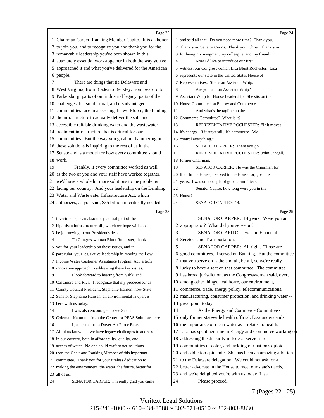<span id="page-8-0"></span>

|    | Page 22                                                       |    | Page 24                                                      |
|----|---------------------------------------------------------------|----|--------------------------------------------------------------|
|    | 1 Chairman Carper, Ranking Member Capito. It is an honor      |    | 1 and said all that. Do you need more time? Thank you.       |
|    | 2 to join you, and to recognize you and thank you for the     |    | 2 Thank you, Senator Coons. Thank you, Chris. Thank you      |
|    | 3 remarkable leadership you've both shown in this             |    | 3 for being my wingman, my colleague, and my friend.         |
|    | 4 absolutely essential work-together in both the way you've   | 4  | Now I'd like to introduce our first                          |
| 5  | approached it and what you've delivered for the American      |    | 5 witness, our Congresswoman Lisa Blunt Rochester. Lisa      |
|    | 6 people.                                                     |    | 6 represents our state in the United States House of         |
| 7  | There are things that tie Delaware and                        |    | 7 Representatives. She is an Assistant Whip.                 |
|    | 8 West Virginia, from Blades to Beckley, from Seaford to      | 8  | Are you still an Assistant Whip?                             |
|    | 9 Parkersburg, parts of our industrial legacy, parts of the   |    | 9 Assistant Whip for House Leadership. She sits on the       |
|    | 10 challenges that small, rural, and disadvantaged            |    | 10 House Committee on Energy and Commerce.                   |
|    | 11 communities face in accessing the workforce, the funding,  | 11 | And what's the tagline on the                                |
|    | 12 the infrastructure to actually deliver the safe and        |    | 12 Commerce Committee? What is it?                           |
|    | 13 accessible reliable drinking water and the wastewater      | 13 | REPRESENTATIVE ROCHESTER: "If it moves,                      |
|    | 14 treatment infrastructure that is critical for our          |    | 14 it's energy. If it stays still, it's commerce. We         |
|    | 15 communities. But the way you go about hammering out        |    | 15 control everything."                                      |
|    | 16 these solutions is inspiring to the rest of us in the      | 16 | SENATOR CARPER: There you go.                                |
|    | 17 Senate and is a model for how every committee should       | 17 | REPRESENTATIVE ROCHESTER: John Dingell,                      |
|    | 18 work.                                                      |    | 18 former Chairman.                                          |
| 19 | Frankly, if every committee worked as well                    | 19 | SENATOR CARPER: He was the Chairman for                      |
|    | 20 as the two of you and your staff have worked together,     |    | 20 life. In the House, I served in the House for, gosh, ten  |
|    | 21 we'd have a whole lot more solutions to the problems       |    | 21 years. I was on a couple of good committees.              |
|    | 22 facing our country. And your leadership on the Drinking    | 22 | Senator Capito, how long were you in the                     |
|    | 23 Water and Wastewater Infrastructure Act, which             |    | 23 House?                                                    |
|    | 24 authorizes, as you said, \$35 billion in critically needed | 24 | <b>SENATOR CAPITO: 14.</b>                                   |
|    | Page 23                                                       |    | Page 25                                                      |
|    | 1 investments, is an absolutely central part of the           | 1  | SENATOR CARPER: 14 years. Were you an                        |
|    | 2 bipartisan infrastructure bill, which we hope will soon     |    | 2 appropriator? What did you serve on?                       |
|    | 3 be journeying to our President's desk.                      | 3  | SENATOR CAPITO: I was on Financial                           |
| 4  | To Congresswoman Blunt Rochester, thank                       | 4  | Services and Transportation.                                 |
|    | 5 you for your leadership on these issues, and in             | 5  | SENATOR CARPER: All right. Those are                         |
|    | 6 particular, your legislative leadership in moving the Low   |    | 6 good committees. I served on Banking. But the committee    |
|    | 7 Income Water Customer Assistance Program Act, a truly       |    | 7 that you serve on is the end-all, be-all, so we're really  |
|    | 8 innovative approach to addressing these key issues.         |    | 8 lucky to have a seat on that committee. The committee      |
| 9  | I look forward to hearing from Vikki and                      |    | 9 has broad jurisdiction, as the Congresswoman said, over,   |
|    | 10 Cassandra and Rick. I recognize that my predecessor as     |    | 10 among other things, healthcare, our environment,          |
|    |                                                               |    | 11 commerce, trade, energy policy, telecommunications,       |
|    | 11 County Council President, Stephanie Hansen, now State      |    |                                                              |
|    | 12 Senator Stephanie Hansen, an environmental lawyer, is      |    | 12 manufacturing, consumer protection, and drinking water -- |
|    | 13 here with us today.                                        |    | 13 great point today.                                        |
| 14 | I was also encouraged to see Seetha                           | 14 | As the Energy and Commerce Committee's                       |
|    | 15 Coleman-Kammula from the Center for PFAS Solutions here.   |    | 15 only former statewide health official, Lisa understands   |
| 16 | I just came from Dover Air Force Base.                        |    | 16 the importance of clean water as it relates to health.    |
|    | 17 All of us know that we have legacy challenges to address   |    | 17 Lisa has spent her time in Energy and Commerce working on |
|    | 18 in our country, both in affordability, quality, and        |    | 18 addressing the disparity in federal services for          |
|    | 19 access of water. No one could craft better solutions       |    | 19 communities of color, and tackling our nation's opioid    |
|    | 20 than the Chair and Ranking Member of this important        |    | 20 and addiction epidemic. She has been an amazing addition  |
|    | 21 committee. Thank you for your tireless dedication to       |    | 21 to the Delaware delegation. We could not ask for a        |
|    | 22 making the environment, the water, the future, better for  |    | 22 better advocate in the House to meet our state's needs,   |
|    | 23 all of us.                                                 |    | 23 and we're delighted you're with us today, Lisa.           |
| 24 | SENATOR CARPER: I'm really glad you came                      | 24 | Please proceed.                                              |

7 (Pages 22 - 25)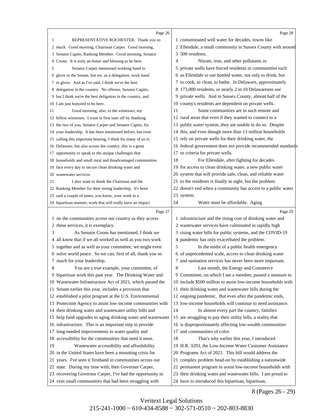<span id="page-9-0"></span>

|    | Page 26                                                      |    | Page 28                                                       |  |
|----|--------------------------------------------------------------|----|---------------------------------------------------------------|--|
| 1  | REPRESENTATIVE ROCHESTER: Thank you so                       |    | 1 contaminated well water for decades, towns like             |  |
|    | 2 much. Good morning, Chairman Carper. Good morning,         |    | 2 Ellendale, a small community in Sussex County with around   |  |
|    | 3 Senator Capito, Ranking Member. Good morning, Senator      |    | 3 500 residents.                                              |  |
| 4  | Coons. It is truly an honor and blessing to be here.         | 4  | Nitrate, iron, and other pollutants in                        |  |
| 5  | Senator Carper mentioned working hand in                     |    | 5 private wells have forced residents in communities such     |  |
|    | 6 glove in the Senate, but we, as a delegation, work hand    |    | 6 as Ellendale to use bottled water, not only to drink, but   |  |
|    | 7 in glove. And as I've said, I think we're the best         |    | 7 to cook, to clean, to bathe. In Delaware, approximately     |  |
|    | 8 delegation in the country. No offense, Senator Capito,     |    | 8 173,000 residents, or nearly 2 in 10 Delawareans use        |  |
|    | 9 but I think we're the best deligation in the country, and  |    | 9 private wells. And in Sussex County, almost half of the     |  |
|    | 10 I am just honored to be here.                             |    | 10 county's residents are dependent on private wells.         |  |
| 11 | Good morning, also, to the witnesses, my                     | 11 | Some communities are in such remote and                       |  |
|    | 12 fellow witnesses. I want to first start off by thanking   |    | 12 rural areas that even if they wanted to connect to a       |  |
|    | 13 the two of you, Senator Carper and Senator Capito, for    |    | 13 public water system, they are unable to do so. Despite     |  |
|    | 14 your leadership. It has been mentioned before, but even   |    | 14 this, and even though more than 13 million households      |  |
|    | 15 calling this important hearing, I think for many of us in |    | 15 rely on private wells for their drinking water, the        |  |
|    | 16 Delaware, but also across the country, this is a great    |    | 16 federal government does not provide recommended standards  |  |
|    | 17 opportunity to speak to the unique challenges that        |    | 17 or criteria for private wells.                             |  |
|    | 18 households and small rural and disadvantaged communities  | 18 | For Ellendale, after fighting for decades                     |  |
|    | 19 face every day to secure clean drinking water and         |    | 19 for access to clean drinking water, a new public water     |  |
|    | 20 wastewater services.                                      |    | 20 system that will provide safe, clean, and reliable water   |  |
| 21 | I also want to thank the Chairman and the                    |    | 21 to the residents is finally in sight, but the problem      |  |
|    | 22 Ranking Member for their strong leadership. It's been     |    | 22 doesn't end when a community has access to a public water  |  |
|    | 23 said a couple of times, you know, your work in a          |    | 23 system.                                                    |  |
|    | 24 bipartisan manner, work that will really have an impact   | 24 | Water must be affordable. Aging                               |  |
|    | Page 27                                                      |    | Page 29                                                       |  |
|    | 1 on the communities across our country as they access       |    | 1 infrastructure and the rising cost of drinking water and    |  |
|    | 2 these services, it is exemplary.                           |    | 2 wastewater services have culminated in rapidly high         |  |
| 3  | As Senator Coons has mentioned, I think we                   |    | 3 rising water bills for public systems, and the COVID-19     |  |
| 4  | all know that if we all worked as well as you two work       |    | 4 pandemic has only exacerbated the problem.                  |  |
|    | 5 together and as well as your committee, we might even      | 5  | In the midst of a public health emergency                     |  |
|    | 6 solve world peace. So we can, first of all, thank you so   |    | 6 of unprecedented scale, access to clean drinking water      |  |
|    | 7 much for your leadership.                                  |    | 7 and sanitation services has never been more important.      |  |
| 8  | You are a true example, your committee, of                   | 8  | Last month, the Energy and Commerce                           |  |
|    | 9 bipartisan work this past year. The Drinking Water and     |    | 9 Committee, on which I am a member, passed a measure to      |  |
|    | 10 Wastewater Infrastructure Act of 2021, which passed the   |    | 10 include \$500 million to assist low-income households with |  |
|    | 11 Senate earlier this year, includes a provision that       |    | 11 their drinking water and wastewater bills during the       |  |
|    | 12 established a pilot program at the U.S. Environmental     |    | 12 ongoing pandemic. But even after the pandemic ends,        |  |
|    | 13 Protection Agency to assist low-income communities with   |    | 13 low-income households will continue to need assistance.    |  |
|    | 14 their drinking water and wastewater utility bills and     | 14 | In almost every part the country, families                    |  |
|    | 15 help fund upgrades to aging drinking water and wastewater |    | 15 are struggling to pay their utility bills, a reality that  |  |
|    | 16 infrastructure. This is an important step to provide      |    | 16 is disproportionately affecting low-wealth communities     |  |
|    | 17 long-needed improvements in water quality and             |    | 17 and communities of color.                                  |  |
|    | 18 accessibility for the communities that need it most.      | 18 | That's why earlier this year, I introduced                    |  |
| 19 | Wastewater accessibility and affordability                   |    | 19 H.R. 3293, the Low-Income Water Customer Assistance        |  |
|    | 20 in the United States have been a mounting crisis for      |    | 20 Programs Act of 2021. This bill would address the          |  |
|    | 21 years. I've seen it firsthand in communities across our   |    | 21 complex problem head-on by establishing a nationwide       |  |
|    | 22 state. During my time with, then Governor Carper,         |    | 22 permanent program to assist low-income households with     |  |
|    | 23 recovering Governor Carper, I've had the opportunity to   |    | 23 their drinking water and wastewater bills. I am proud to   |  |
|    |                                                              |    |                                                               |  |

8 (Pages 26 - 29)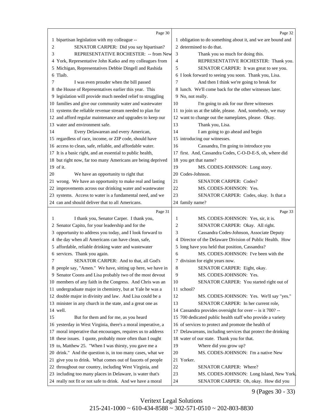<span id="page-10-0"></span>

|    | Page 30                                                                                                                  |    | Page 32                                                      |
|----|--------------------------------------------------------------------------------------------------------------------------|----|--------------------------------------------------------------|
|    | 1 bipartisan legislation with my colleague --                                                                            |    | 1 obligation to do something about it, and we are bound and  |
| 2  | SENATOR CARPER: Did you say bipartisan?                                                                                  |    | 2 determined to do that.                                     |
| 3  | REPRESENTATIVE ROCHESTER: -- from New                                                                                    | 3  | Thank you so much for doing this.                            |
|    | 4 York, Representative John Katko and my colleagues from                                                                 | 4  | REPRESENTATIVE ROCHESTER: Thank you.                         |
| 5  | Michigan, Representatives Debbie Dingell and Rashida                                                                     | 5  | SENATOR CARPER: It was great to see you.                     |
|    | 6 Tlaib.                                                                                                                 |    | 6 I look forward to seeing you soon. Thank you, Lisa.        |
| 7  | I was even prouder when the bill passed                                                                                  | 7  | And then I think we're going to break for                    |
|    | 8 the House of Representatives earlier this year. This                                                                   |    | 8 lunch. We'll come back for the other witnesses later.      |
|    | 9 legislation will provide much needed relief to struggling                                                              |    | 9 No, not really.                                            |
|    | 10 families and give our community water and wastewater                                                                  | 10 | I'm going to ask for our three witnesses                     |
|    | 11 systems the reliable revenue stream needed to plan for                                                                |    | 11 to join us at the table, please. And, somebody, we may    |
|    | 12 and afford regular maintenance and upgrades to keep our                                                               |    | 12 want to change out the nameplates, please. Okay.          |
|    | 13 water and environment safe.                                                                                           | 13 | Thank you, Lisa.                                             |
| 14 | Every Delawarean and every American,                                                                                     | 14 | I am going to go ahead and begin                             |
|    | 15 regardless of race, income, or ZIP code, should have                                                                  |    | 15 introducing our witnesses.                                |
|    | 16 access to clean, safe, reliable, and affordable water.                                                                | 16 | Cassandra, I'm going to introduce you                        |
|    | 17 It is a basic right, and an essential to public health,                                                               |    | 17 first. And, Cassandra Codes, C-O-D-E-S, oh, where did     |
|    | 18 but right now, far too many Americans are being deprived                                                              | 18 | you get that name?                                           |
|    | 19 of it.                                                                                                                | 19 | MS. CODES-JOHNSON: Long story.                               |
| 20 | We have an opportunity to right that                                                                                     |    | 20 Codes-Johnson.                                            |
|    | 21 wrong. We have an opportunity to make real and lasting                                                                | 21 | <b>SENATOR CARPER: Codes?</b>                                |
|    | 22 improvements across our drinking water and wastewater                                                                 | 22 | MS. CODES-JOHNSON: Yes.                                      |
|    | 23 systems. Access to water is a fundamental need, and we                                                                | 23 | SENATOR CARPER: Codes, okay. Is that a                       |
|    | 24 can and should deliver that to all Americans.                                                                         |    | 24 family name?                                              |
|    |                                                                                                                          |    |                                                              |
|    |                                                                                                                          |    |                                                              |
| 1  | Page 31<br>I thank you, Senator Carper. I thank you,                                                                     | 1  | Page 33<br>MS. CODES-JOHNSON: Yes, sir, it is.               |
|    | 2 Senator Capito, for your leadership and for the                                                                        | 2  | SENATOR CARPER: Okay. All right.                             |
| 3  | opportunity to address you today, and I look forward to                                                                  | 3  | Cassandra Codes-Johnson, Associate Deputy                    |
|    | 4 the day when all Americans can have clean, safe,                                                                       |    | 4 Director of the Delaware Division of Public Health. How    |
|    | 5 affordable, reliable drinking water and wastewater                                                                     |    | 5 long have you held that position, Cassandra?               |
|    | 6 services. Thank you again.                                                                                             | 6  | MS. CODES-JOHNSON: I've been with the                        |
| 7  | SENATOR CARPER: And to that, all God's                                                                                   |    | 7 division for eight years now.                              |
|    | 8 people say, "Amen." We have, sitting up here, we have in                                                               | 8  | SENATOR CARPER: Eight, okay.                                 |
|    | 9 Senator Coons and Lisa probably two of the most devout                                                                 | 9  | MS. CODES-JOHNSON: Yes.                                      |
|    | 10 members of any faith in the Congress. And Chris was an                                                                | 10 | SENATOR CARPER: You started right out of                     |
|    | 11 undergraduate major in chemistry, but at Yale he was a                                                                |    | 11 school?                                                   |
|    | 12 double major in divinity and law. And Lisa could be a                                                                 | 12 | MS. CODES-JOHNSON: Yes. We'll say "yes."                     |
|    | 13 minister in any church in the state, and a great one as                                                               | 13 | SENATOR CARPER: In her current role,                         |
|    | 14 well.                                                                                                                 |    | 14 Cassandra provides oversight for over -- is it 700? --    |
| 15 | But for them and for me, as you heard                                                                                    |    | 15 700 dedicated public health staff who provide a variety   |
|    | 16 yesterday in West Virginia, there's a moral imperative, a                                                             |    | 16 of services to protect and promote the health of          |
|    | 17 moral imperative that encourages, requires us to address                                                              |    | 17 Delawareans, including services that protect the drinking |
|    | 18 these issues. I quote, probably more often than I ought                                                               |    | 18 water of our state. Thank you for that.                   |
|    | 19 to, Matthew 25. "When I was thirsty, you gave me a                                                                    | 19 | Where did you grow up?                                       |
|    | 20 drink." And the question is, in too many cases, what we                                                               | 20 | MS. CODES-JOHNSON: I'm a native New                          |
|    | 21 give you to drink. What comes out of faucets of people                                                                |    | 21 Yorker.                                                   |
|    | 22 throughout our country, including West Virginia, and                                                                  | 22 | SENATOR CARPER: Where?                                       |
|    | 23 including too many places in Delaware, is water that's<br>24 really not fit or not safe to drink. And we have a moral | 23 | MS. CODES-JOHNSON: Long Island, New York.                    |

9 (Pages 30 - 33)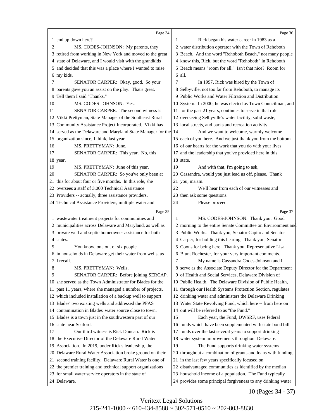<span id="page-11-0"></span>

|    | Page 34                                                      |    | Page 36                                                      |
|----|--------------------------------------------------------------|----|--------------------------------------------------------------|
|    | 1 end up down here?                                          | 1  | Rick began his water career in 1983 as a                     |
| 2  | MS. CODES-JOHNSON: My parents, they                          |    | 2 water distribution operator with the Town of Rehoboth      |
|    | 3 retired from working in New York and moved to the great    |    | 3 Beach. And the word "Rehoboth Beach," not many people      |
|    | 4 state of Delaware, and I would visit with the grandkids    |    | 4 know this, Rick, but the word "Rehoboth" in Rehoboth       |
|    | 5 and decided that this was a place where I wanted to raise  |    | 5 Beach means "room for all." Isn't that nice? Room for      |
|    | 6 my kids.                                                   |    | 6 all.                                                       |
| 7  | SENATOR CARPER: Okay, good. So your                          | 7  | In 1997, Rick was hired by the Town of                       |
|    | 8 parents gave you an assist on the play. That's great.      |    | 8 Selbyville, not too far from Rehoboth, to manage its       |
| 9. | Tell them I said "Thanks."                                   |    | 9 Public Works and Water Filtration and Distribution         |
| 10 | MS. CODES-JOHNSON: Yes.                                      |    | 10 System. In 2000, he was elected as Town Councilman, and   |
| 11 | SENATOR CARPER: The second witness is                        |    | 11 for the past 21 years, continues to serve in that role    |
|    | 12 Vikki Prettyman, State Manager of the Southeast Rural     |    | 12 overseeing Selbyville's water facility, solid waste,      |
|    | 13 Community Assistance Project Incorporated. Vikki has      |    | 13 local streets, and parks and recreation activity.         |
|    | 14 served as the Delaware and Maryland State Manager for the | 14 | And we want to welcome, warmly welcome                       |
|    | 15 organization since, I think, last year --                 |    | 15 each of you here. And we just thank you from the bottom   |
| 16 | MS. PRETTYMAN: June.                                         |    | 16 of our hearts for the work that you do with your lives    |
| 17 | SENATOR CARPER: This year. No, this                          |    | 17 and the leadership that you've provided here in this      |
|    | 18 year.                                                     |    | 18 state.                                                    |
| 19 | MS. PRETTYMAN: June of this year.                            | 19 | And with that, I'm going to ask,                             |
| 20 | SENATOR CARPER: So you've only been at                       |    | 20 Cassandra, would you just lead us off, please. Thank      |
|    | 21 this for about four or five months. In this role, she     |    | 21 you, ma'am.                                               |
|    | 22 oversees a staff of 3,000 Technical Assistance            | 22 | We'll hear from each of our witnesses and                    |
|    | 23 Providers -- actually, three assistance providers,        | 23 | then ask some questions.                                     |
|    | 24 Technical Assistance Providers, multiple water and        | 24 | Please proceed.                                              |
|    |                                                              |    |                                                              |
|    | Page 35                                                      |    | Page 37                                                      |
|    | 1 wastewater treatment projects for communities and          | 1  | MS. CODES-JOHNSON: Thank you. Good                           |
|    | 2 municipalities across Delaware and Maryland, as well as    |    | 2 morning to the entire Senate Committee on Environment and  |
|    | 3 private well and septic homeowner assistance for both      |    | 3 Public Works. Thank you, Senator Capito and Senator        |
|    | 4 states.                                                    |    | 4 Carper, for holding this hearing. Thank you, Senator       |
| 5  | You know, one out of six people                              |    | 5 Coons for being here. Thank you, Representative Lisa       |
|    | 6 in households in Delaware get their water from wells, as   |    | 6 Blunt Rochester, for your very important comments.         |
|    | 7 I recall.                                                  | 7  | My name is Cassandra Codes-Johnson and I                     |
| 8  | MS. PRETTYMAN: Wells.                                        |    | 8 serve as the Associate Deputy Director for the Department  |
| 9  | SENATOR CARPER: Before joining SERCAP,                       |    | 9 of Health and Social Services, Delaware Division of        |
|    | 10 she served as the Town Administrator for Blades for the   |    | 10 Public Health. The Delaware Division of Public Health,    |
|    | 11 past 11 years, where she managed a number of projects,    |    | 11 through our Health Systems Protection Section, regulates  |
|    | 12 which included installation of a backup well to support   |    | 12 drinking water and administers the Delaware Drinking      |
|    | 13 Blades' two existing wells and addressed the PFAS         |    | 13 Water State Revolving Fund, which here -- from here on    |
|    | 14 contamination in Blades' water source close to town.      |    | 14 out will be referred to as "the Fund."                    |
|    | 15 Blades is a town just in the southwestern part of our     | 15 | Each year, the Fund, DWSRF, uses federal                     |
|    | 16 state near Seaford.                                       |    | 16 funds which have been supplemented with state bond bill   |
| 17 | Our third witness is Rick Duncan. Rick is                    |    | 17 funds over the last several years to support drinking     |
|    | 18 the Executive Director of the Delaware Rural Water        |    | 18 water system improvements throughout Delaware.            |
|    | 19 Association. In 2019, under Rick's leadership, the        | 19 | The Fund supports drinking water systems                     |
|    | 20 Delaware Rural Water Association broke ground on their    |    | 20 throughout a combination of grants and loans with funding |
|    | 21 second training facility. Delaware Rural Water is one of  |    | 21 in the last few years specifically focused on             |
|    | 22 the premier training and technical support organizations  |    | 22 disadvantaged communities as identified by the median     |
|    | 23 for small water service operators in the state of         |    | 23 household income of a population. The Fund typically      |

10 (Pages 34 - 37)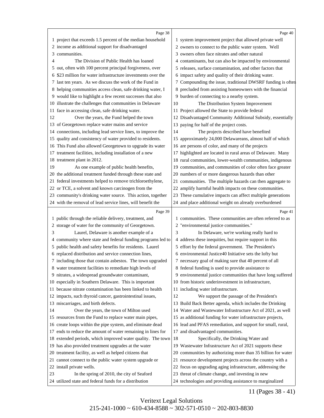<span id="page-12-0"></span>

|    | Page 38                                                                 |    | Page 40                                                                                                         |
|----|-------------------------------------------------------------------------|----|-----------------------------------------------------------------------------------------------------------------|
|    | 1 project that exceeds 1.5 percent of the median household              |    | 1 system improvement project that allowed private well                                                          |
|    | 2 income as additional support for disadvantaged                        |    | 2 owners to connect to the public water system. Well                                                            |
| 3  | communities.                                                            |    | 3 owners often face nitrates and other natural                                                                  |
| 4  | The Division of Public Health has loaned                                |    | 4 contaminants, but can also be impacted by environmental                                                       |
| 5  | out, often with 100 percent principal forgiveness, over                 |    | 5 releases, surface contamination, and other factors that                                                       |
| 6  | \$23 million for water infrastructure investments over the              |    | 6 impact safety and quality of their drinking water.                                                            |
|    | 7 last ten years. As we discuss the work of the Fund in                 |    | 7 Compounding the issue, traditional DWSRF funding is often                                                     |
|    | 8 helping communities access clean, safe drinking water, I              |    | 8 precluded from assisting homeowners with the financial                                                        |
|    | 9 would like to highlight a few recent successes that also              |    | 9 burden of connecting to a nearby system.                                                                      |
|    | 10 illustrate the challenges that communities in Delaware               | 10 | The Distribution System Improvement                                                                             |
| 11 | face in accessing clean, safe drinking water.                           |    | 11 Project allowed the State to provide federal                                                                 |
| 12 | Over the years, the Fund helped the town                                |    | 12 Disadvantaged Community Additional Subsidy, essentially                                                      |
| 13 | of Georgetown replace water mains and service                           | 13 | paying for half of the project costs.                                                                           |
| 14 | connections, including lead service lines, to improve the               | 14 | The projects described have benefited                                                                           |
|    | 15 quality and consistency of water provided to residents.              | 15 | approximately 24,000 Delawareans, almost half of which                                                          |
|    | 16 This Fund also allowed Georgetown to upgrade its water               |    | 16 are persons of color, and many of the projects                                                               |
|    | 17 treatment facilities, including installation of a new                |    | 17 highlighted are located in rural areas of Delaware. Many                                                     |
|    | 18 treatment plant in 2012.                                             |    | 18 rural communities, lower-wealth communities, indigenous                                                      |
| 19 | As one example of public health benefits,                               |    | 19 communities, and communities of color often face greater                                                     |
|    | 20 the additional treatment funded through these state and              |    | 20 numbers of or more dangerous hazards than other                                                              |
|    | 21 federal investments helped to remove trichloroethylene,              |    | 21 communities. The multiple hazards can then aggregate to                                                      |
|    | 22 or TCE, a solvent and known carcinogen from the                      |    | 22 amplify harmful health impacts on these communities.                                                         |
|    | 23 community's drinking water source. This action, together             |    | 23 These cumulative impacts can affect multiple generations                                                     |
|    | 24 with the removal of lead service lines, will benefit the             |    | 24 and place additional weight on already overburdened                                                          |
|    |                                                                         |    |                                                                                                                 |
|    |                                                                         |    |                                                                                                                 |
|    | Page 39                                                                 |    | Page 41                                                                                                         |
|    | 1 public through the reliable delivery, treatment, and                  |    | 1 communities. These communities are often referred to as                                                       |
| 3  | 2 storage of water for the community of Georgetown.                     | 3  | 2 "environmental justice communities."                                                                          |
| 4  | Laurel, Delaware is another example of a                                |    | In Delaware, we're working really hard to                                                                       |
|    | community where state and federal funding programs led to               |    | 4 address these inequities, but require support in this                                                         |
| 5  | public health and safety benefits for residents. Laurel                 |    | 5 effort by the federal government. The President's                                                             |
|    | 6 replaced distribution and service connection lines,                   |    | 6 environmental Justice40 Initiative sets the lofty but                                                         |
|    | 7 including those that contain asbestos. The town upgraded              |    | 7 necessary goal of making sure that 40 percent of all                                                          |
|    | 8 water treatment facilities to remediate high levels of                |    | 8 federal funding is used to provide assistance to                                                              |
|    | 9 nitrates, a widespread groundwater contaminant,                       |    | 9 environmental justice communities that have long suffered                                                     |
|    | 10 especially in Southern Delaware. This is important                   |    | 10 from historic underinvestment in infrastructure,                                                             |
|    | 11 because nitrate contamination has been linked to health              |    | 11 including water infrastructure.                                                                              |
|    | 12 impacts, such thyroid cancer, gastrointestinal issues,               | 12 | We support the passage of the President's                                                                       |
| 14 | 13 miscarriages, and birth defects.                                     |    | 13 Build Back Better agenda, which includes the Drinking                                                        |
|    | Over the years, the town of Milton used                                 |    | 14 Water and Wastewater Infrastructure Act of 2021, as well                                                     |
|    | 15 resources from the Fund to replace water main pipes,                 |    | 15 as additional funding for water infrastructure projects,                                                     |
|    | 16 create loops within the pipe system, and eliminate dead              |    | 16 lead and PFAS remediation, and support for small, rural,                                                     |
|    | 17 ends to reduce the amount of water remaining in lines for            | 18 | 17 and disadvantaged communities.                                                                               |
|    | 18 extended periods, which improved water quality. The town             |    | Specifically, the Drinking Water and                                                                            |
|    | 19 has also provided treatment upgrades at the water                    |    | 19 Wastewater Infrastructure Act of 2021 supports these                                                         |
|    | 20 treatment facility, as well as helped citizens that                  |    | 20 communities by authorizing more than 35 billion for water                                                    |
|    | 21 cannot connect to the public water system upgrade or                 |    | 21 resource development projects across the country with a                                                      |
| 23 | 22 install private wells.<br>In the spring of 2010, the city of Seaford |    | 22 focus on upgrading aging infrastructure, addressing the<br>23 threat of climate change, and investing in new |

11 (Pages 38 - 41)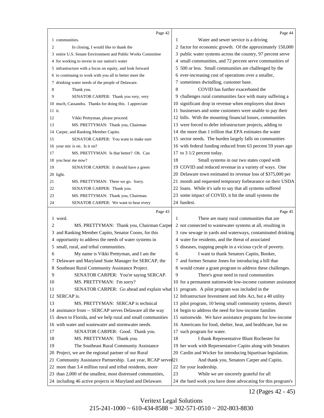<span id="page-13-0"></span>

|        | Page 42                                                                                                                  |    | Page 44                                                                                                 |
|--------|--------------------------------------------------------------------------------------------------------------------------|----|---------------------------------------------------------------------------------------------------------|
|        | 1 communities.                                                                                                           | 1  | Water and sewer service is a driving                                                                    |
| 2      | In closing, I would like to thank the                                                                                    |    | 2 factor for economic growth. Of the approximately 150,000                                              |
|        | 3 entire U.S. Senate Environment and Public Works Committee                                                              |    | 3 public water systems across the country, 97 percent serve                                             |
|        | 4 for working to invest in our nation's water                                                                            |    | 4 small communities, and 72 percent serve communities of                                                |
|        | 5 infrastructure with a focus on equity, and look forward                                                                |    | 5 500 or less. Small communities are challenged by the                                                  |
|        | 6 to continuing to work with you all to better meet the                                                                  |    | 6 ever-increasing cost of operations over a smaller,                                                    |
|        | 7 drinking water needs of the people of Delaware.                                                                        |    | 7 sometimes dwindling, customer base.                                                                   |
| 8      | Thank you.                                                                                                               | 8  | COVID has further exacerbated the                                                                       |
| 9      | SENATOR CARPER: Thank you very, very                                                                                     |    | 9 challenges rural communities face with many suffering a                                               |
|        | 10 much, Cassandra. Thanks for doing this. I appreciate                                                                  |    | 10 significant drop in revenue when employers shut down                                                 |
| 11 it. |                                                                                                                          |    | 11 businesses and some customers were unable to pay their                                               |
| 12     | Vikki Prettyman, please proceed.                                                                                         |    | 12 bills. With the mounting financial losses, communities                                               |
| 13     | MS. PRETTYMAN: Thank you, Chairman                                                                                       |    | 13 were forced to defer infrastructure projects, adding to                                              |
|        | 14 Carper, and Ranking Member Capito.                                                                                    |    | 14 the more than 1 trillion that EPA estimates the water                                                |
| 15     | SENATOR CARPER: You want to make sure                                                                                    |    | 15 sector needs. The burden largely falls on communities                                                |
|        | 16 your mic is on. Is it on?                                                                                             |    | 16 with federal funding reduced from 63 percent 59 years ago                                            |
| 17     | MS. PRETTYMAN: Is that better? Oh. Can                                                                                   |    | 17 to 3 1/2 percent today.                                                                              |
|        | 18 you hear me now?                                                                                                      | 18 | Small systems in our two states coped with                                                              |
| 19     | SENATOR CARPER: It should have a green                                                                                   |    | 19 COVID and reduced revenue in a variety of ways. One                                                  |
|        | 20 light.                                                                                                                |    | 20 Delaware town estimated its revenue loss of \$375,000 per                                            |
| 21     | MS. PRETTYMAN: There we go. Sorry.                                                                                       |    | 21 month and requested temporary forbearance on their USDA                                              |
| 22     | SENATOR CARPER: Thank you.                                                                                               |    | 22 loans. While it's safe to say that all systems suffered                                              |
| 23     | MS. PRETTYMAN: Thank you, Chairman.                                                                                      |    | 23 some impact of COVID, it hit the small systems the                                                   |
| 24     | SENATOR CARPER: We want to hear every                                                                                    |    | 24 hardest.                                                                                             |
|        | Page 43                                                                                                                  |    | Page 45                                                                                                 |
|        | 1 word.                                                                                                                  | 1  | There are many rural communities that are                                                               |
| 2      | MS. PRETTYMAN: Thank you, Chairman Carper                                                                                |    | 2 not connected to wastewater systems at all, resulting in                                              |
| 3      | and Ranking Member Capito, Senator Coons, for this                                                                       |    | 3 raw sewage in yards and waterways, contaminated drinking                                              |
| 4      | opportunity to address the needs of water systems in                                                                     |    | 4 water for residents, and the threat of associated                                                     |
|        | 5 small, rural, and tribal communities.                                                                                  |    | 5 diseases, trapping people in a vicious cycle of poverty.                                              |
| 6      | My name is Vikki Prettyman, and I am the                                                                                 | 6  | I want to thank Senators Capito, Booker,                                                                |
|        | 7 Delaware and Maryland State Manager for SERCAP, the                                                                    |    | 7 and former Senator Jones for introducing a bill that                                                  |
|        | 8 Southeast Rural Community Assistance Project.                                                                          |    | 8 would create a grant program to address these challenges.                                             |
| 9      | SENATOR CARPER: You're saying SERCAP.                                                                                    | 9  | There's great need in rural communities                                                                 |
| 10     | MS. PRETTYMAN: I'm sorry?                                                                                                |    | 10 for a permanent nationwide low-income customer assistance                                            |
| 11     | SENATOR CARPER: Go ahead and explain what 11 program. A pilot program was included in the                                |    |                                                                                                         |
|        | 12 SERCAP is.                                                                                                            |    | 12 Infrastructure Investment and Jobs Act, but a 40 utility                                             |
| 13     | MS. PRETTYMAN: SERCAP is technical                                                                                       |    | 13 pilot program, 10 being small community systems, doesn't                                             |
|        | 14 assistance from -- SERCAP serves Delaware all the way                                                                 |    | 14 begin to address the need for low-income families                                                    |
|        |                                                                                                                          |    |                                                                                                         |
|        | 15 down to Florida, and we help rural and small communities                                                              |    | 15 nationwide. We have assistance programs for low-income                                               |
|        | 16 with water and wastewater and stormwater needs.                                                                       |    | 16 Americans for food, shelter, heat, and healthcare, but no                                            |
| 17     | SENATOR CARPER: Good. Thank you.                                                                                         |    | 17 such program for water.                                                                              |
| 18     | MS. PRETTYMAN: Thank you.                                                                                                | 18 | I thank Representative Blunt Rochester for                                                              |
| 19     | The Southeast Rural Community Assistance                                                                                 |    | 19 her work with Representative Capito along with Senators                                              |
|        | 20 Project, we are the regional partner of our Rural                                                                     |    | 20 Cardin and Wicker for introducing bipartisan legislation.                                            |
|        | 21 Community Assistance Partnership. Last year, RCAP served 21                                                           |    | And thank you, Senators Carper and Capito,                                                              |
|        | 22 more than 3.4 million rural and tribal residents, more                                                                |    | 22 for your leadership.                                                                                 |
|        | 23 than 2,000 of the smallest, most distressed communities,<br>24 including 46 active projects in Maryland and Delaware. | 23 | While we are sincerely grateful for all<br>24 the hard work you have done advocating for this program's |

12 (Pages 42 - 45)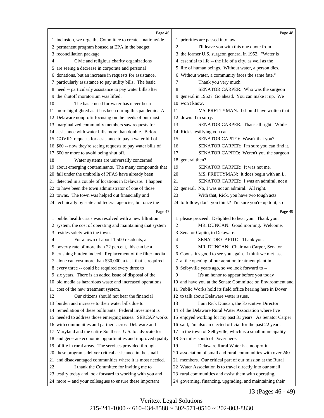<span id="page-14-0"></span>

|    | Page 46                                                      |                | Page 48                                                     |
|----|--------------------------------------------------------------|----------------|-------------------------------------------------------------|
|    | 1 inclusion, we urge the Committee to create a nationwide    |                | 1 priorities are passed into law.                           |
|    | 2 permanent program housed at EPA in the budget              | $\overline{2}$ | I'll leave you with this one quote from                     |
|    | 3 reconciliation package.                                    |                | 3 the former U.S. surgeon general in 1952. "Water is        |
| 4  | Civic and religious charity organizations                    |                | 4 essential to life -- the life of a city, as well as the   |
|    | 5 are seeing a decrease in corporate and personal            |                | 5 life of human beings. Without water, a person dies.       |
|    | 6 donations, but an increase in requests for assistance,     | 6              | Without water, a community faces the same fate."            |
|    | 7 particularly assistance to pay utility bills. The basic    | 7              | Thank you very much.                                        |
|    | 8 need -- particularly assistance to pay water bills after   | 8              | SENATOR CARPER: Who was the surgeon                         |
|    | 9 the shutoff moratorium was lifted.                         | 9              | general in 1952? Go ahead. You can make it up. We           |
| 10 | The basic need for water has never been                      |                | 10 won't know.                                              |
|    | 11 more highlighted as it has been during this pandemic. A   | 11             | MS. PRETTYMAN: I should have written that                   |
|    | 12 Delaware nonprofit focusing on the needs of our most      |                | 12 down. I'm sorry.                                         |
|    | 13 marginalized community members saw requests for           | 13             | SENATOR CARPER: That's all right. While                     |
|    | 14 assistance with water bills more than double. Before      |                | 14 Rick's testifying you can --                             |
|    | 15 COVID, requests for assistance to pay a water bill of     | 15             | SENATOR CAPITO: Wasn't that you?                            |
|    | 16 \$60 -- now they're seeing requests to pay water bills of | 16             | SENATOR CARPER: I'm sure you can find it.                   |
|    | 17 600 or more to avoid being shut off.                      | 17             | SENATOR CAPITO: Weren't you the surgeon                     |
| 18 | Water systems are universally concerned                      | 18             | general then?                                               |
|    | 19 about emerging contaminants. The many compounds that      | 19             | <b>SENATOR CARPER:</b> It was not me.                       |
|    | 20 fall under the umbrella of PFAS have already been         | 20             | MS. PRETTYMAN: It does begin with an L.                     |
|    | 21 detected in a couple of locations in Delaware. I happen   | 21             | SENATOR CARPER: I was an admiral, not a                     |
|    | 22 to have been the town administrator of one of those       | 22             | general. No, I was not an admiral. All right.               |
|    | 23 towns. The town was helped out financially and            | 23             | With that, Rick, you have two tough acts                    |
|    | 24 technically by state and federal agencies, but once the   |                | 24 to follow, don't you think? I'm sure you're up to it, so |
|    |                                                              |                |                                                             |
|    | Page 47                                                      |                | Page 49                                                     |
|    | 1 public health crisis was resolved with a new filtration    |                | 1 please proceed. Delighted to hear you. Thank you.         |
|    | 2 system, the cost of operating and maintaining that system  | $\overline{c}$ | MR. DUNCAN: Good morning. Welcome,                          |
|    | 3 resides solely with the town.                              |                | 3 Senator Capito, to Delaware.                              |
| 4  | For a town of about 1,500 residents, a                       | 4              | SENATOR CAPITO: Thank you.                                  |
|    | 5 poverty rate of more than 22 percent, this can be a        | 5              | MR. DUNCAN: Chairman Carper, Senator                        |
|    | 6 crushing burden indeed. Replacement of the filter media    |                | 6 Coons, it's good to see you again. I think we met last    |
|    | 7 alone can cost more than \$30,000, a task that is required |                | 7 at the opening of our aeration treatment plant in         |
|    | 8 every three -- could be required every three to            |                | 8 Selbyville years ago, so we look forward to --            |
|    | 9 six years. There is an added issue of disposal of the      | 9              | It's an honor to appear before you today                    |
|    | 10 old media as hazardous waste and increased operations     |                | 10 and have you at the Senate Committee on Environment and  |
|    | 11 cost of the new treatment system.                         |                | 11 Public Works hold its field office hearing here in Dover |
| 12 | Our citizens should not bear the financial                   |                | 12 to talk about Delaware water issues.                     |
|    | 13 burden and increase to their water bills due to           | 13             | I am Rick Duncan, the Executive Director                    |
|    | 14 remediation of these pollutants. Federal investment is    |                | 14 of the Delaware Rural Water Association where I've       |
|    | 15 needed to address those emerging issues. SERCAP works     |                | 15 enjoyed working for my past 31 years. As Senator Carper  |
|    | 16 with communities and partners across Delaware and         |                | 16 said, I'm also an elected official for the past 22 years |
|    | 17 Maryland and the entire Southeast U.S. to advocate for    |                | 17 in the town of Selbyville, which is a small municipality |
|    | 18 and generate economic opportunities and improved quality  |                | 18 55 miles south of Dover here.                            |
|    | 19 of life in rural areas. The services provided through     | 19             | Delaware Rural Water is a nonprofit                         |
| 20 | these programs deliver critical assistance in the small      |                | 20 association of small and rural communities with over 240 |
| 21 | and disadvantaged communities where it is most needed.       |                | 21 members. Our critical part of our mission at the Rural   |
| 22 | I thank the Committee for inviting me to                     |                | 22 Water Association is to travel directly into our small,  |
|    | 23 testify today and look forward to working with you and    |                | 23 rural communities and assist them with operating,        |

13 (Pages 46 - 49)

Veritext Legal Solutions 215-241-1000 ~ 610-434-8588 ~ 302-571-0510 ~ 202-803-8830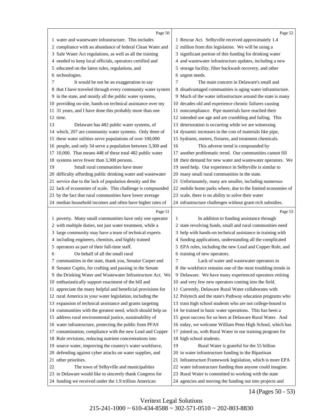<span id="page-15-0"></span>

|    | Page 50                                                                           |    | Page 52                                                                                  |
|----|-----------------------------------------------------------------------------------|----|------------------------------------------------------------------------------------------|
|    | 1 water and wastewater infrastructure. This includes                              |    | 1 Rescue Act. Selbyville received approximately 1.4                                      |
|    | 2 compliance with an abundance of federal Clean Water and                         |    | 2 million from this legislation. We will be using a                                      |
|    | 3 Safe Water Act regulations, as well as all the training                         |    | 3 significant portion of this funding for drinking water                                 |
|    | 4 needed to keep local officials, operators certified and                         |    | 4 and wastewater infrastructure updates, including a new                                 |
|    | 5 educated on the latest rules, regulations, and                                  |    | 5 storage facility, filter backwash recovery, and other                                  |
|    | 6 technologies.                                                                   |    | 6 urgent needs.                                                                          |
| 7  | It would be not be an exaggeration to say                                         | 7  | The main concern in Delaware's small and                                                 |
|    | 8 that I have traveled through every community water system                       |    | 8 disadvantaged communities is aging water infrastructure.                               |
|    | 9 in the state, and mostly all the public water systems,                          |    | 9 Much of the water infrastructure around the state is many                              |
|    | 10 providing on-site, hands-on technical assistance over my                       |    | 10 decades old and experience chronic failures causing                                   |
|    | 11 31 years, and I have done this probably more than one                          |    | 11 noncompliance. Pipe materials have reached their                                      |
|    | 12 time.                                                                          |    | 12 intended use age and are crumbling and failing. This                                  |
| 13 | Delaware has 482 public water systems, of                                         |    | 13 deterioration is occurring while we are witnessing                                    |
|    | 14 which, 207 are community water systems. Only three of                          |    | 14 dynamic increases in the cost of materials like pipe,                                 |
|    | 15 these water utilities serve populations of over 100,000                        |    | 15 hydrants, meters, fixtures, and treatment chemicals.                                  |
|    | 16 people, and only 34 serve a population between 3,300 and                       | 16 | This adverse trend is compounded by                                                      |
|    | 17 10,000. That means 448 of these total 482 public water                         |    | 17 another problematic trend. Our communities cannot fill                                |
|    | 18 systems serve fewer than 3,300 persons.                                        |    | 18 their demand for new water and wastewater operators. We                               |
| 19 | Small rural communities have more                                                 |    | 19 need help. Our experience in Selbyville is similar to                                 |
|    | 20 difficulty affording public drinking water and wastewater                      |    | 20 many small rural communities in the state.                                            |
|    | 21 service due to the lack of population density and the                          |    | 21 Unfortunately, many are smaller, including numerous                                   |
|    | 22 lack of economies of scale. This challenge is compounded                       |    | 22 mobile home parks where, due to the limited economies of                              |
|    | 23 by the fact that rural communities have lower average                          |    | 23 scale, there is no ability to solve their water                                       |
|    | 24 median household incomes and often have higher rates of                        |    | 24 infrastructure challenges without grant-rich subsidies.                               |
|    |                                                                                   |    |                                                                                          |
|    |                                                                                   |    |                                                                                          |
|    | Page 51                                                                           |    | Page 53                                                                                  |
|    | 1 poverty. Many small communities have only one operator                          | 1  | In addition to funding assistance through                                                |
|    | 2 with multiple duties, not just water treatment, while a                         |    | 2 state revolving funds, small and rural communities need                                |
|    | 3 large community may have a team of technical experts                            |    | 3 help with hands-on technical assistance in training with                               |
|    | 4 including engineers, chemists, and highly trained                               |    | 4 funding applications, understanding all the complicated                                |
| 6  | 5 operators as part of their full-time staff.<br>On behalf of all the small rural |    | 5 EPA rules, including the new Lead and Copper Rule, and<br>6 training of new operators. |
|    | 7 communities in the state, thank you, Senator Carper and                         | 7  | Lack of water and wastewater operators in                                                |
|    | 8 Senator Capito, for crafting and passing in the Senate                          |    | 8 the workforce remains one of the most troubling trends in                              |
|    | 9 the Drinking Water and Wastewater Infrastructure Act. We                        |    | 9 Delaware. We have many experienced operators retiring                                  |
|    | 10 enthusiastically support enactment of the bill and                             |    | 10 and very few new operators coming into the field.                                     |
|    | 11 appreciate the many helpful and beneficial provisions for                      |    | 11 Currently, Delaware Rural Water collaborates with                                     |
|    | 12 rural America in your water legislation, including the                         |    | 12 Polytech and the state's Pathway education programs who                               |
|    | 13 expansion of technical assistance and grants targeting                         |    | 13 train high school students who are not college-bound to                               |
|    | 14 communities with the greatest need, which should help us                       |    | 14 be trained in basic water operations. This has been a                                 |
|    | 15 address rural environmental justice, sustainability of                         |    | 15 great success for us here at Delaware Rural Water. And                                |
|    | 16 water infrastructure, protecting the public from PFAS                          |    | 16 today, we welcome William Penn High School, which has                                 |
|    | 17 contamination, compliance with the new Lead and Copper                         |    | 17 joined us, with Rural Water in our training program for                               |
|    | 18 Rule revisions, reducing nutrient concentrations into                          |    | 18 high school students.                                                                 |
|    | 19 source water, improving the country's water workforce,                         | 19 | Rural Water is grateful for the 55 billion                                               |
|    | 20 defending against cyber attacks on water supplies, and                         |    | 20 in water infrastructure funding in the Bipartisan                                     |
|    | 21 other priorities.                                                              |    | 21 Infrastructure Framework legislation, which is more EPA                               |
| 22 | The town of Selbyville and municipalities                                         |    | 22 water infrastructure funding than anyone could imagine.                               |
|    | 23 in Delaware would like to sincerely thank Congress for                         |    | 23 Rural Water is committed to working with the state                                    |

14 (Pages 50 - 53)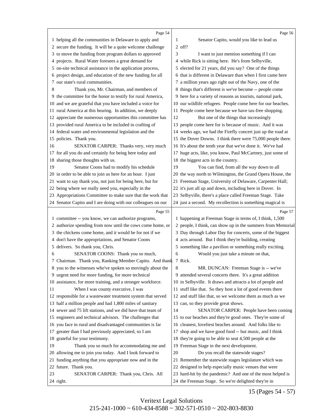<span id="page-16-0"></span>

|    | Page 54                                                      |    | Page 56                                                      |
|----|--------------------------------------------------------------|----|--------------------------------------------------------------|
|    | 1 helping all the communities in Delaware to apply and       | 1  | Senator Capito, would you like to lead us                    |
|    | 2 secure the funding. It will be a quite welcome challenge   |    | 2 off?                                                       |
|    | 3 to move the funding from program dollars to approved       | 3  | I want to just mention something if I can                    |
|    | projects. Rural Water foresees a great demand for            |    | 4 while Rick is sitting here. He's from Selbyville,          |
| 4  |                                                              |    |                                                              |
| 5  | on-site technical assistance in the application process,     |    | 5 elected for 21 years, did you say? One of the things       |
|    | 6 project design, and education of the new funding for all   |    | 6 that is different in Delaware than when I first came here  |
| 7  | our state's rural communities.                               |    | 7 a million years ago right out of the Navy, one of the      |
| 8  | Thank you, Mr. Chairman, and members of                      |    | 8 things that's different is we've become -- people come     |
|    | 9 the committee for the honor to testify for rural America,  |    | 9 here for a variety of reasons as tourists, national park,  |
|    | 10 and we are grateful that you have included a voice for    |    | 10 our wildlife refugees. People come here for our beaches.  |
|    | 11 rural America at this hearing. In addition, we deeply     |    | 11 People come here because we have tax-free shopping.       |
|    | 12 appreciate the numerous opportunities this committee has  | 12 | But one of the things that increasingly                      |
|    | 13 provided rural America to be included in crafting of      |    | 13 people come here for is because of music. And it was      |
|    | 14 federal water and environmental legislation and the       |    | 14 weeks ago, we had the Firefly concert just up the road at |
|    | 15 policies. Thank you.                                      |    | 15 the Dover Downs. I think there were 75,000 people there.  |
| 16 | SENATOR CARPER: Thanks very, very much                       |    | 16 It's about the tenth year that we've done it. We've had   |
|    | 17 for all you do and certainly for being here today and     |    | 17 huge acts, like, you know, Paul McCartney, just some of   |
|    | 18 sharing those thoughts with us.                           |    | 18 the biggest acts in the country.                          |
| 19 | Senator Coons had to modify his schedule                     | 19 | You can find, from all the way down to all                   |
|    | 20 in order to be able to join us here for an hour. I just   |    | 20 the way north to Wilmington, the Grand Opera House, the   |
|    | 21 want to say thank you, not just for being here, but for   |    | 21 Freeman Stage, University of Delaware, Carpenter Hall;    |
|    | 22 being where we really need you, especially in the         |    | 22 it's just all up and down, including here in Dover. In    |
|    | 23 Appropriations Committee to make sure that the work that  |    | 23 Selbyville, there's a place called Freeman Stage. Take    |
|    | 24 Senator Capito and I are doing with our colleagues on our |    | 24 just a second. My recollection is something magical is    |
|    |                                                              |    |                                                              |
|    | Page 55                                                      |    | Page 57                                                      |
|    | 1 committee -- you know, we can authorize programs,          |    | 1 happening at Freeman Stage in terms of, I think, 1,500     |
| 2  | authorize spending from now until the cows come home, or     |    | 2 people, I think, can show up in the summers from Memorial  |
|    | 3 the chickens come home, and it would be for not if we      |    | 3 Day through Labor Day for concerts, some of the biggest    |
|    | 4 don't have the appropriations, and Senator Coons           |    | 4 acts around. But I think they're building, creating        |
|    | 5 delivers. So thank you, Chris.                             |    | 5 something like a pavilion or something really exciting.    |
| 6  | SENATOR COONS: Thank you so much,                            | 6  | Would you just take a minute on that,                        |
|    | 7 Chairman. Thank you, Ranking Member Capito. And thank      |    | 7 Rick.                                                      |
|    | 8 you to the witnesses who've spoken so movingly about the   | 8  | MR. DUNCAN: Freeman Stage is -- we've                        |
|    | 9 urgent need for more funding, for more technical           |    | 9 attended several concerts there. It's a great addition     |
|    | 10 assistance, for more training, and a stronger workforce.  |    | 10 in Selbyville. It draws and attracts a lot of people and  |
| 11 | When I was county executive, I was                           |    | 11 stuff like that. So they host a lot of good events there  |
|    | 12 responsible for a wastewater treatment system that served |    | 12 and stuff like that, so we welcome them as much as we     |
|    | 13 half a million people and had 1,800 miles of sanitary     |    | 13 can, so they provide great shows.                         |
|    | 14 sewer and 75 lift stations, and we did have that team of  | 14 | SENATOR CARPER: People have been coming                      |
|    | 15 engineers and technical advisors. The challenges that     |    | 15 to our beaches and they're good ones. They're some of     |
|    | 16 you face in rural and disadvantaged communities is far    |    | 16 cleanest, loveliest beaches around. And folks like to     |
|    | 17 greater than I had previously appreciated, so I am        | 17 | shop and we have good food -- but music, and I think         |
|    | 18 grateful for your testimony.                              |    | 18 they're going to be able to seat 4,500 people at the      |
| 19 | Thank you so much for accommodating me and                   |    | 19 Freeman Stage in the next development.                    |
|    | 20 allowing me to join you today. And I look forward to      | 20 | Do you recall the statewide stages?                          |
|    | 21 funding anything that you appropriate now and in the      |    | 21 Remember the statewide stages legislature which was       |
|    | 22 future. Thank you.                                        |    | 22 designed to help especially music venues that were        |
| 23 | SENATOR CARPER: Thank you, Chris. All                        |    | 23 hard-hit by the pandemic? And one of the most helped is   |

15 (Pages 54 - 57)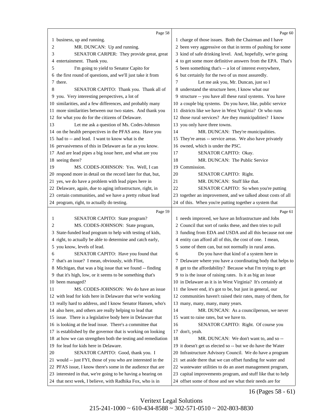<span id="page-17-0"></span>

|    | Page 58                                                      |    | Page 60                                                      |
|----|--------------------------------------------------------------|----|--------------------------------------------------------------|
|    | 1 business, up and running.                                  |    | 1 charge of those issues. Both the Chairman and I have       |
| 2  | MR. DUNCAN: Up and running.                                  |    | 2 been very aggressive on that in terms of pushing for some  |
| 3  | SENATOR CARPER: They provide great, great                    |    | 3 kind of safe drinking level. And, hopefully, we're going   |
| 4  | entertainment. Thank you.                                    |    | 4 to get some more definitive answers from the EPA. That's   |
| 5  | I'm going to yield to Senator Capito for                     |    | 5 been something that's -- a lot of interest everywhere,     |
|    | 6 the first round of questions, and we'll just take it from  |    | 6 but certainly for the two of us most assuredly.            |
| 7  | there.                                                       | 7  | Let me ask you, Mr. Duncan, just so I                        |
| 8  | SENATOR CAPITO: Thank you. Thank all of                      |    | 8 understand the structure here, I know what our             |
|    | 9 you. Very interesting perspectives, a lot of               |    | 9 structure -- you have all these rural systems. You have    |
|    | 10 similarities, and a few differences, and probably many    |    | 10 a couple big systems. Do you have, like, public service   |
|    | 11 more similarities between our two states. And thank you   |    | 11 districts like we have in West Virginia? Or who runs      |
|    | 12 for what you do for the citizens of Delaware.             |    | 12 those rural services? Are they municipalities? I know     |
| 13 | Let me ask a question of Ms. Codes-Johnson                   |    | 13 you only have three towns.                                |
|    | 14 on the health perspectives in the PFAS area. Have you     | 14 | MR. DUNCAN: They're municipalities.                          |
|    | 15 had to -- and lead. I want to know what is the            |    | 15 They're areas -- service areas. We also have privately    |
|    | 16 pervasiveness of this in Delaware as far as you know.     |    | 16 owned, which is under the PSC.                            |
|    | 17 And are lead pipes a big issue here, and what are you     | 17 | SENATOR CAPITO: Okay.                                        |
|    | 18 seeing there?                                             | 18 | MR. DUNCAN: The Public Service                               |
| 19 | MS. CODES-JOHNSON: Yes. Well, I can                          |    | 19 Commission.                                               |
|    | 20 respond more in detail on the record later for that, but, | 20 | SENATOR CAPITO: Right.                                       |
|    | 21 yes, we do have a problem with lead pipes here in         | 21 | MR. DUNCAN: Stuff like that.                                 |
|    | 22 Delaware, again, due to aging infrastructure, right, in   | 22 | SENATOR CAPITO: So when you're putting                       |
|    | 23 certain communities, and we have a pretty robust lead     |    | 23 together an improvement, and we talked about costs of all |
|    | 24 program, right, to actually do testing.                   |    | 24 of this. When you're putting together a system that       |
|    |                                                              |    |                                                              |
|    | Page 59                                                      |    | Page 61                                                      |
| 1  | SENATOR CAPITO: State program?                               |    | 1 needs improved, we have an Infrastructure and Jobs         |
| 2  | MS. CODES-JOHNSON: State program,                            |    | 2 Council that sort of ranks these, and then tries to pull   |
| 3  | State-funded lead program to help with testing of kids,      |    | 3 funding from EDA and USDA and all this because not one     |
| 4  | right, to actually be able to determine and catch early,     |    | 4 entity can afford all of this, the cost of one. I mean,    |
| 5  | you know, levels of lead.                                    |    | 5 some of them can, but not normally in rural areas.         |
| 6  | SENATOR CAPITO: Have you found that                          | 6  | Do you have that kind of a system here in                    |
|    | 7 that's an issue? I mean, obviously, with Flint,            |    | 7 Delaware where you have a coordinating body that helps to  |
|    | 8 Michigan, that was a big issue that we found -- finding    |    | 8 get to the affordability? Because what I'm trying to get   |
|    | 9 that it's high, low, or it seems to be something that's    |    | 9 to is the issue of raising rates. Is it as big an issue    |
|    | 10 been managed?                                             |    | 10 in Delaware as it is in West Virginia? It's certainly at  |
| 11 | MS. CODES-JOHNSON: We do have an issue                       |    | 11 the lower end, it's got to be, but just in general, our   |
|    | 12 with lead for kids here in Delaware that we're working    |    | 12 communities haven't raised their rates, many of them, for |
|    | 13 really hard to address, and I know Senator Hansen, who's  |    | 13 many, many, many, many years.                             |
|    | 14 also here, and others are really helping to lead that     | 14 | MR. DUNCAN: As a councilperson, we never                     |
|    | 15 issue. There is a legislative body here in Delaware that  |    | 15 want to raise rates, but we have to.                      |
|    | 16 is looking at the lead issue. There's a committee that    | 16 | SENATOR CAPITO: Right. Of course you                         |
|    | 17 is established by the governor that is working on looking |    | 17 don't, yeah.                                              |
|    | 18 at how we can strengthen both the testing and remediation | 18 | MR. DUNCAN: We don't want to, and so --                      |
|    | 19 for lead for kids here in Delaware.                       |    | 19 it doesn't get us elected so -- but we do have the Water  |
| 20 | SENATOR CAPITO: Good, thank you. I                           |    | 20 Infrastructure Advisory Council. We do have a program     |
|    | 21 would -- just FYI, those of you who are interested in the |    | 21 set aside there that we can offset funding for water and  |
|    | 22 PFAS issue, I know there's some in the audience that are  |    | 22 wastewater utilities to do an asset management program,   |
|    | 23 interested in that, we're going to be having a hearing on |    | 23 capital improvements program, and stuff like that to help |

16 (Pages 58 - 61)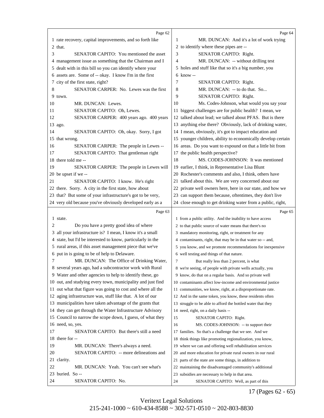<span id="page-18-0"></span>

|    | Page 62                                                     | Page 64                                                      |
|----|-------------------------------------------------------------|--------------------------------------------------------------|
|    | 1 rate recovery, capital improvements, and so forth like    | 1<br>MR. DUNCAN: And it's a lot of work trying               |
|    | 2 that.                                                     | 2 to identify where these pipes are --                       |
| 3  | <b>SENATOR CAPITO:</b> You mentioned the asset              | 3<br>SENATOR CAPITO: Right.                                  |
| 4  | management issue as something that the Chairman and I       | MR. DUNCAN: -- without drilling test<br>4                    |
| 5  | dealt with in this bill so you can identify where your      | 5 holes and stuff like that so it's a big number, you        |
|    | 6 assets are. Some of -- okay. I know I'm in the first      | $6 \;$ know --                                               |
|    | 7 city of the first state, right?                           | 7<br>SENATOR CAPITO: Right.                                  |
| 8  | SENATOR CARPER: No. Lewes was the first                     | MR. DUNCAN: -- to do that. So<br>8                           |
|    | 9 town.                                                     | 9<br>SENATOR CAPITO: Right.                                  |
| 10 | MR. DUNCAN: Lewes.                                          | 10<br>Ms. Codes-Johnson, what would you say your             |
| 11 | SENATOR CAPITO: Oh, Lewes.                                  | biggest challenges are for public health? I mean, we<br>11   |
| 12 | SENATOR CARPER: 400 years ago. 400 years                    | 12 talked about lead; we talked about PFAS. But is there     |
|    | 13 ago.                                                     | 13 anything else there? Obviously, lack of drinking water,   |
| 14 | SENATOR CAPITO: Oh, okay. Sorry, I got                      | 14 I mean, obviously, it's got to impact education and       |
|    | 15 that wrong.                                              | 15 younger children, ability to economically develop certain |
| 16 | SENATOR CARPER: The people in Lewes --                      | 16 areas. Do you want to expound on that a little bit from   |
| 17 | SENATOR CAPITO: That gentleman right                        | the public health perspective?<br>17                         |
|    | 18 there told me --                                         | 18<br>MS. CODES-JOHNSON: It was mentioned                    |
| 19 | SENATOR CARPER: The people in Lewes will                    | 19 earlier, I think, in Representative Lisa Blunt            |
|    | 20 be upset if we --                                        | 20 Rochester's comments and also, I think, others have       |
| 21 | SENATOR CAPITO: I know. He's right                          | 21 talked about this. We are very concerned about our        |
|    | 22 there. Sorry. A city in the first state, how about       | 22 private well owners here, here in our state, and how we   |
|    | 23 that? But some of your infrastructure's got to be very,  | 23 can support them because, oftentimes, they don't live     |
|    | 24 very old because you've obviously developed early as a   | 24 close enough to get drinking water from a public, right,  |
|    |                                                             |                                                              |
|    | Page 63                                                     | Page 65                                                      |
|    | 1 state.                                                    | 1 from a public utility. And the inability to have access    |
| 2  | Do you have a pretty good idea of where                     | 2 to that public source of water means that there's no       |
| 3  | all your infrastructure is? I mean, I know it's a small     | 3 mandatory monitoring, right, or treatment for any          |
|    | 4 state, but I'd be interested to know, particularly in the | 4 contaminants, right, that may be in that water so -- and,  |
|    | 5 rural areas, if this asset management piece that we've    | 5 you know, and we promote recommendations for inexpensive   |
|    | 6 put in is going to be of help to Delaware.                | 6 well testing and things of that nature.                    |
| 7  | MR. DUNCAN: The Office of Drinking Water,                   | 7<br>But really less than 2 percent, is what                 |
|    | 8 several years ago, had a subcontractor work with Rural    | 8 we're seeing, of people with private wells actually, you   |
|    | 9 Water and other agencies to help to identify these, go    | 9 know, do that on a regular basis. And so private well      |
|    | 10 out, and studying every town, municipality and just find | 10 contaminants affect low-income and environmental justice  |
| 11 | out what that figure was going to cost and where all the    | 11 communities, we know, right, at a disproportionate rate.  |
|    | 12 aging infrastructure was, stuff like that. A lot of our  | 12 And in the same token, you know, these residents often    |
|    | 13 municipalities have taken advantage of the grants that   | 13 struggle to be able to afford the bottled water that they |
|    | 14 they can get through the Water Infrastructure Advisory   | 14 need, right, on a daily basis --                          |
|    | 15 Council to narrow the scope down, I guess, of what they  | 15<br>SENATOR CAPITO: Right.                                 |
|    | 16 need, so, yes.                                           | 16<br>MS. CODES-JOHNSON: -- to support their                 |
| 17 | SENATOR CAPITO: But there's still a need                    | 17 families. So that's a challenge that we see. And we       |
|    | 18 there for --                                             | 18 think things like promoting regionalization, you know,    |
| 19 | MR. DUNCAN: There's always a need.                          | 19 where we can and offering well rehabilitation services    |
| 20 | SENATOR CAPITO: -- more delineations and                    | 20 and more education for private rural owners in our rural  |
|    | 21 clarity.                                                 | 21 parts of the state are some things, in addition to        |
| 22 | MR. DUNCAN: Yeah. You can't see what's                      | 22 maintaining the disadvantaged community's additional      |
|    | 23 buried. So --                                            | 23 subsidies are necessary to help in that area.             |

17 (Pages 62 - 65)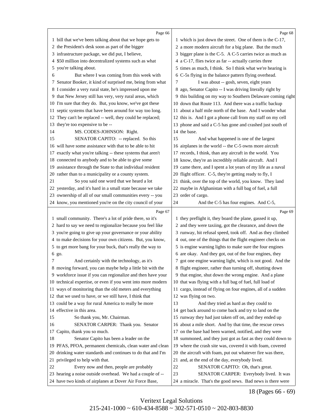<span id="page-19-0"></span>

|     | Page 66                                                                                               |    | Page 68                                                                      |
|-----|-------------------------------------------------------------------------------------------------------|----|------------------------------------------------------------------------------|
|     | 1 bill that we've been talking about that we hope gets to                                             |    | 1 which is just down the street. One of them is the C-17,                    |
|     | 2 the President's desk soon as part of the bigger                                                     |    | 2 a more modern aircraft for a big plane. But the much                       |
|     | 3 infrastructure package, we did put, I believe,                                                      |    | 3 bigger plane is the C-5. A C-5 carries twice as much as                    |
|     | 4 \$50 million into decentralized systems such as what                                                |    | 4 a C-17, flies twice as far -- actually carries three                       |
| 5   | you're talking about.                                                                                 |    | 5 times as much, I think. So I think what we're hearing is                   |
| 6   | But where I was coming from this week with                                                            |    | 6 C-5s flying in the balance pattern flying overhead.                        |
|     | 7 Senator Booker, it kind of surprised me, being from what                                            | 7  | I was about -- gosh, seven, eight years                                      |
|     | 8 I consider a very rural state, he's impressed upon me                                               |    | 8 ago, Senator Capito -- I was driving literally right by                    |
|     | 9 that New Jersey still has very, very rural areas, which                                             |    | 9 this building on my way to Southern Delaware coming right                  |
|     | 10 I'm sure that they do. But, you know, we've got these                                              |    | 10 down that Route 113. And there was a traffic backup                       |
| 11. | septic systems that have been around for way too long.                                                |    | 11 about a half mile north of the base. And I wonder what                    |
|     | 12 They can't be replaced -- well, they could be replaced;                                            |    | 12 this is. And I got a phone call from my staff on my cell                  |
| 13  | they're too expensive to be --                                                                        |    | 13 phone and said a C-5 has gone and crashed just south of                   |
| 14  | MS. CODES-JOHNSON: Right.                                                                             |    | 14 the base.                                                                 |
| 15  | SENATOR CAPITO: -- replaced. So this                                                                  | 15 | And what happened is one of the largest                                      |
| 16  | will have some assistance with that to be able to hit                                                 |    | 16 airplanes in the world -- the C-5 owns more aircraft                      |
| 17  | exactly what you're talking -- these systems that aren't                                              |    | 17 records, I think, than any aircraft in the world. You                     |
|     | 18 connected to anybody and to be able to give some                                                   |    | 18 know, they're an incredibly reliable aircraft. And I                      |
|     | 19 assistance through the State to that individual resident                                           |    | 19 came there, and I spent a lot years of my life as a naval                 |
|     | 20 rather than to a municipality or a county system.                                                  |    | 20 flight officer. C-5, they're getting ready to fly, I                      |
| 21  | So you said one word that we heard a lot                                                              |    | 21 think, over the top of the world, you know. They land                     |
|     | 22 yesterday, and it's hard in a small state because we take                                          |    | 22 maybe in Afghanistan with a full bag of fuel, a full                      |
|     | 23 ownership of all of our small communities every -- you                                             |    | 23 order of cargo.                                                           |
|     | 24 know, you mentioned you're on the city council of your                                             | 24 | And the C-5 has four engines. And C-5,                                       |
|     |                                                                                                       |    |                                                                              |
|     |                                                                                                       |    |                                                                              |
|     | Page 67                                                                                               |    | Page 69                                                                      |
|     | 1 small community. There's a lot of pride there, so it's                                              |    | 1 they preflight it, they board the plane, gassed it up,                     |
|     | 2 hard to say we need to regionalize because you feel like                                            |    | 2 and they were taxiing, got the clearance, and down the                     |
|     | 3 you're going to give up your governance or your ability                                             |    | 3 runway, hit refusal speed, took off. And as they climbed                   |
|     | 4 to make decisions for your own citizens. But, you know,                                             |    | 4 out, one of the things that the flight engineer checks on                  |
|     | 5 to get more bang for your buck, that's really the way to                                            |    | 5 is engine warning lights to make sure the four engines                     |
|     | 6 go.                                                                                                 |    | 6 are okay. And they got, out of the four engines, they                      |
| 7   | And certainly with the technology, as it's                                                            |    | 7 got one engine warning light, which is not good. And the                   |
|     | 8 moving forward, you can maybe help a little bit with the                                            |    | 8 flight engineer, rather than turning off, shutting down                    |
|     | 9 workforce issue if you can regionalize and then have your                                           |    | 9 that engine, shut down the wrong engine. And a plane                       |
|     | 10 technical expertise, or even if you went into more modern                                          |    | 10 that was flying with a full bag of fuel, full load of                     |
|     | 11 ways of monitoring than the old meters and everything                                              |    | 11 cargo, instead of flying on four engines, all of a sudden                 |
|     | 12 that we used to have, or we still have, I think that                                               |    | 12 was flying on two.                                                        |
|     | 13 could be a way for rural America to really be more                                                 | 13 | And they tried as hard as they could to                                      |
|     | 14 effective in this area.                                                                            |    | 14 get back around to come back and try to land on the                       |
| 15  | So thank you, Mr. Chairman.                                                                           |    | 15 runway they had just taken off on, and they ended up                      |
| 16  | SENATOR CARPER: Thank you. Senator                                                                    |    | 16 about a mile short. And by that time, the rescue crews                    |
|     | 17 Capito, thank you so much.                                                                         |    | 17 on the base had been warned, notified, and they were                      |
| 18  | Senator Capito has been a leader on the                                                               |    | 18 summoned, and they just got as fast as they could down to                 |
| 20  | 19 PFAS, PFOA, permanent chemicals, clean water and clean                                             |    | 19 where the crash site was, covered it with foam, covered                   |
| 21  | drinking water standards and continues to do that and I'm                                             |    | 20 the aircraft with foam, put out whatever fire was there,                  |
| 22  | privileged to help with that.                                                                         | 22 | 21 and, at the end of the day, everybody lived.                              |
|     | Every now and then, people are probably<br>23 hearing a noise outside overhead. We had a couple of -- | 23 | SENATOR CAPITO: Oh, that's great.<br>SENATOR CARPER: Everybody lived. It was |

18 (Pages 66 - 69)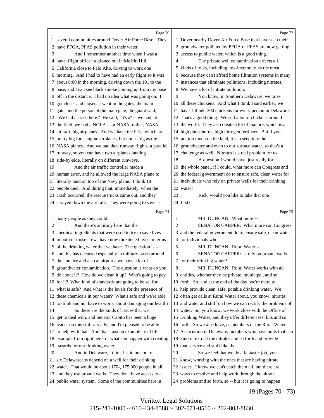<span id="page-20-0"></span>

|    | Page 70                                                                                                               |                | Page 72                                                                                                           |
|----|-----------------------------------------------------------------------------------------------------------------------|----------------|-------------------------------------------------------------------------------------------------------------------|
|    | 1 several communities around Dover Air Force Base. They                                                               |                | 1 Dover nearby Dover Air Force Base that have seen their                                                          |
|    | 2 have PFOA, PFAS pollution in their water.                                                                           |                | 2 groundwater polluted by PFOA or PFAS are now getting                                                            |
| 3  | And I remember another time when I was a                                                                              |                | 3 access to public water, which is a good thing.                                                                  |
| 4  | naval flight officer stationed out in Moffitt Hill,                                                                   | 4              | The private well contamination affects all                                                                        |
| 5  | California close to Palo Alto, driving to work one                                                                    |                | 5 kinds of folks, including low-income folks the most,                                                            |
|    | 6 morning. And I had to have had an early flight so it was                                                            |                | 6 because they can't afford home filtration systems in many                                                       |
|    | 7 about 8:00 in the morning, driving down the 101 to the                                                              |                | 7 instances that eliminate pollutions, including nitrates.                                                        |
|    | 8 base, and I can see black smoke coming up from my base                                                              |                | 8 We have a lot of nitrate pollution.                                                                             |
|    | 9 off in the distance. I had no idea what was going on. I                                                             | 9              | You know, in Southern Delaware, we raise                                                                          |
|    | 10 got closer and closer. I went in the gates, the main                                                               |                | 10 all these chickens. And what I think I said earlier, we                                                        |
|    | 11 gate, and the person at the main gate, the guard said,                                                             |                | 11 have, I think, 300 chickens for every person in Delaware.                                                      |
|    | 12 "We had a crash here." He said, "It's a" -- we had, at                                                             |                | 12 That's a good thing. We sell a lot of chickens around                                                          |
|    | 13 the field, we had a NOLA -- or NASA, rather, NASA                                                                  |                | 13 the world. They also create a lot of manure, which is a                                                        |
|    | 14 aircraft, big airplanes. And we have the P-3s, which are                                                           |                | 14 high phosphorus, high nitrogen fertilizer. But if you                                                          |
|    | 15 pretty big four-engine airplanes, but not as big as the                                                            |                | 15 put too much on the land, it can seep into the                                                                 |
|    | 16 NASA planes. And we had dual runway flights, a parallel                                                            |                | 16 groundwater and even to our surface water, so that's a                                                         |
|    | 17 runway, so you can have two airplanes landing                                                                      | 17             | challenge as well. Nitrates is a real problem for us.                                                             |
|    | 18 side-by-side, literally on different runways.                                                                      | 18             | A question I would have, just really for                                                                          |
| 19 | And the air traffic controller made a                                                                                 |                | 19 the whole panel, if I could, what more can Congress and                                                        |
|    | 20 human error, and he allowed the large NASA plane to                                                                |                | 20 the federal government do to ensure safe, clean water for                                                      |
|    | 21 literally land on top of the Navy plane. I think 18                                                                |                | 21 individuals who rely on private wells for their drinking                                                       |
|    | 22 people died. And during that, immediately, when the                                                                |                | 22 water?                                                                                                         |
|    | 23 crash occurred, the rescue trucks came out, and they                                                               | 23             | Rick, would you like to take that one                                                                             |
|    | 24 sprayed down the aircraft. They were going to save as                                                              |                | 24 first?                                                                                                         |
|    |                                                                                                                       |                |                                                                                                                   |
|    |                                                                                                                       |                |                                                                                                                   |
|    | Page 71                                                                                                               |                | Page 73                                                                                                           |
|    | 1 many people as they could.                                                                                          | 1              | MR. DUNCAN: What more --                                                                                          |
| 2  | And there's an irony here that the                                                                                    | $\overline{c}$ | SENATOR CARPER: What more can Congress                                                                            |
| 3  | chemical ingredients that were used to try to save lives                                                              |                | 3 and the federal government do to ensure safe, clean water                                                       |
|    | 4 in both of those crews have now threatened lives in terms                                                           |                | 4 for individuals who --                                                                                          |
|    | 5 of the drinking water that we have. The question is --                                                              | 5              | MR. DUNCAN: Rural Water --                                                                                        |
|    | 6 and this has occurred especially in military bases around                                                           | 6              | SENATOR CARPER: -- rely on private wells                                                                          |
|    | 7 the country and also at airports, we have a lot of                                                                  |                | 7 for their drinking water?                                                                                       |
|    | 8 groundwater contamination. The question is what do you                                                              | 8              | MR. DUNCAN: Rural Water works with all                                                                            |
|    | 9 do about it? How do we clean it up? Who's going to pay                                                              |                | 9 entities, whether they be private, municipal, and so                                                            |
|    | 10 for it? What kind of standards are going to be set for                                                             |                | 10 forth. So, and at the end of the day, we're there to                                                           |
|    | 11 what is safe? And what is the levels for the presence of                                                           |                | 11 help provide clean, safe, potable drinking water. We                                                           |
|    | 12 these chemicals in our water? What's safe and we're able                                                           |                | 12 often get calls at Rural Water about, you know, nitrates                                                       |
|    | 13 to drink and not have to worry about damaging our health?                                                          |                | 13 and water and stuff on how we can rectify the problems of                                                      |
| 14 | So these are the kinds of issues that we                                                                              |                | 14 water. So, you know, we work close with the Office of                                                          |
|    | 15 get to deal with, and Senator Capito has been a huge                                                               |                | 15 Drinking Water, and they offer different test kits and so                                                      |
|    | 16 leader on this stuff already, and I'm pleased to be able                                                           |                | 16 forth. So we also have, as members of the Rural Water                                                          |
|    | 17 to help with that. And that's just an example, real life                                                           |                | 17 Association in Delaware, members who have units that can                                                       |
|    | 18 example from right here, of what can happen with creating                                                          |                | 18 kind of extract the nitrates and so forth and provide                                                          |
|    | 19 hazards for our drinking water.                                                                                    |                | 19 that service and stuff like that.                                                                              |
| 20 | And in Delaware, I think I said one out of                                                                            | 20             | So we feel that we do a fantastic job, you                                                                        |
|    | 21 six Delawareans depend on a well for their drinking                                                                |                | 21 know, working with the ones that are having nitrate                                                            |
|    | 22 water. That would be about 170-, 175,000 people in all,                                                            |                | 22 issues. I know we can't catch them all, but there are                                                          |
|    | 23 and they use private wells. They don't have access to a<br>24 public water system. Some of the communities here in |                | 23 ways to resolve and help work through the nitrate<br>24 problems and so forth, so -- but it is going to happen |

19 (Pages 70 - 73)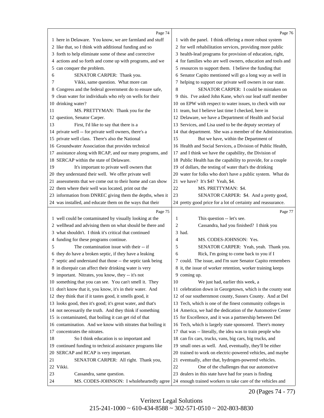<span id="page-21-0"></span>

|    | Page 74                                                                | Page 76                                                      |
|----|------------------------------------------------------------------------|--------------------------------------------------------------|
|    | 1 here in Delaware. You know, we are farmland and stuff                | 1 with the panel. I think offering a more robust system      |
|    | 2 like that, so I think with additional funding and so                 | 2 for well rehabilitation services, providing more public    |
|    | 3 forth to help eliminate some of these and corrective                 | 3 health-lead programs for provision of education, right,    |
|    | 4 actions and so forth and come up with programs, and we               | 4 for families who are well owners, education and tools and  |
| 5  | can conquer the problem.                                               | 5 resources to support them. I believe the funding that      |
| 6  | SENATOR CARPER: Thank you.                                             | 6 Senator Capito mentioned will go a long way as well in     |
| 7  | Vikki, same question. What more can                                    | 7 helping to support our private well owners in our state.   |
|    | 8 Congress and the federal government do to ensure safe,               | 8<br>SENATOR CARPER: I could be mistaken on                  |
|    | 9 clean water for individuals who rely on wells for their              | 9 this. I've asked John Kane, who's our lead staff member    |
|    | 10 drinking water?                                                     | 10 on EPW with respect to water issues, to check with our    |
| 11 | MS. PRETTYMAN: Thank you for the                                       | 11 team, but I believe last time I checked, here in          |
|    | 12 question, Senator Carper.                                           | 12 Delaware, we have a Department of Health and Social       |
| 13 | First, I'd like to say that there is a                                 | 13 Services, and Lisa used to be the deputy secretary of     |
|    | 14 private well -- for private well owners, there's a                  | 14 that department. She was a member of the Administration.  |
|    | 15 private well class. There's also the National                       | 15<br>But we have, within the Department of                  |
|    | 16 Groundwater Association that provides technical                     | 16 Health and Social Services, a Division of Public Health,  |
|    | 17 assistance along with RCAP, and our many programs, and              | 17 and I think we have the capability, the Division of       |
|    | 18 SERCAP within the state of Delaware.                                | 18 Public Health has the capability to provide, for a couple |
| 19 | It's important to private well owners that                             | 19 of dollars, the testing of water that's the drinking      |
|    | 20 they understand their well. We offer private well                   | 20 water for folks who don't have a public system. What do   |
|    | 21 assessments that we come out to their home and can show             | 21 we have? It's \$4? Yeah, \$4.                             |
|    | 22 them where their well was located, print out the                    | 22<br>MS. PRETTYMAN: \$4.                                    |
|    | 23 information from DNREC giving them the depths, when it              | 23<br>SENATOR CARPER: \$4. And a pretty good,                |
|    | 24 was installed, and educate them on the ways that their              | 24 pretty good price for a lot of certainty and reassurance. |
|    |                                                                        |                                                              |
|    |                                                                        | Page 77                                                      |
|    | Page 75<br>1 well could be contaminated by visually looking at the     | This question -- let's see.<br>1                             |
|    | 2 wellhead and advising them on what should be there and               | $\overline{2}$<br>Cassandra, had you finished? I think you   |
|    | 3 what shouldn't. I think it's critical that continued                 | 3 had.                                                       |
|    | 4 funding for these programs continue.                                 | 4<br>MS. CODES-JOHNSON: Yes.                                 |
| 5  | The contamination issue with their -- if                               | 5<br>SENATOR CARPER: Yeah, yeah. Thank you.                  |
|    | 6 they do have a broken septic, if they have a leaking                 | Rick, I'm going to come back to you if I<br>6                |
|    | 7 septic and understand that those -- the septic tank being            | 7 could. The issue, and I'm sure Senator Capito remembers    |
|    | 8 in disrepair can affect their drinking water is very                 | 8 it, the issue of worker retention, worker training keeps   |
|    | 9 important. Nitrates, you know, they -- it's not                      | 9 coming up.                                                 |
|    | 10 something that you can see. You can't smell it. They                | 10<br>We just had, earlier this week, a                      |
|    | 11 don't know that it, you know, it's in their water. And              | 11 celebration down in Georgetown, which is the county seat  |
|    | 12 they think that if it tastes good, it smells good, it               | 12 of our southernmost county, Sussex County. And at Del     |
|    | 13 looks good, then it's good; it's great water, and that's            | 13 Tech, which is one of the finest community colleges in    |
|    | 14 not necessarily the truth. And they think if something              | 14 America, we had the dedication of the Automotive Center   |
|    | 15 is contaminated, that boiling it can get rid of that                | 15 for Excellence, and it was a partnership between Del      |
|    | 16 contamination. And we know with nitrates that boiling it            | 16 Tech, which is largely state sponsored. There's money     |
|    | 17 concentrates the nitrates.                                          | 17 that was -- literally, the idea was to train people who   |
| 18 | So I think education is so important and                               | 18 can fix cars, trucks, vans, big cars, big trucks, and     |
|    | 19 continued funding to technical assistance programs like             | 19 small ones as well. And, eventually, they'll be either    |
|    | 20 SERCAP and RCAP is very important.                                  | 20 trained to work on electric-powered vehicles, and maybe   |
| 21 | SENATOR CARPER: All right. Thank you,                                  | 21 eventually, after that, hydrogen-powered vehicles.        |
|    | 22 Vikki.                                                              | 22<br>One of the challenges that our automotive              |
| 23 | Cassandra, same question.<br>MS. CODES-JOHNSON: I wholeheartedly agree | 23 dealers in this state have had for years is finding       |

20 (Pages 74 - 77)

Veritext Legal Solutions  $215-241-1000 \sim 610-434-8588 \sim 302-571-0510 \sim 202-803-8830$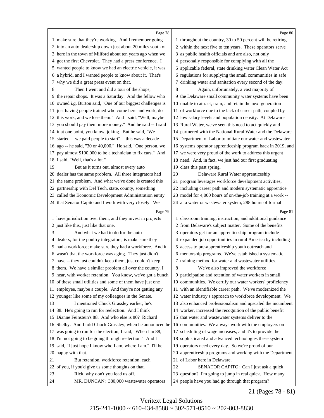<span id="page-22-0"></span>

|    | Page 78                                                      |    | Page 80                                                      |
|----|--------------------------------------------------------------|----|--------------------------------------------------------------|
|    | 1 make sure that they're working. And I remember going       |    | 1 throughout the country, 30 to 50 percent will be retiring  |
|    | 2 into an auto dealership down just about 20 miles south of  |    | 2 within the next five to ten years. These operators serve   |
|    | 3 here in the town of Milford about ten years ago when we    |    | 3 as public health officials and are also, not only          |
|    | 4 got the first Chevrolet. They had a press conference. I    |    | 4 personally responsible for complying with all the          |
|    | 5 wanted people to know we had an electric vehicle, it was   |    | 5 applicable federal, state drinking water Clean Water Act   |
|    | 6 a hybrid, and I wanted people to know about it. That's     |    | 6 regulations for supplying the small communities in safe    |
| 7. | why we did a great press event on that.                      |    | 7 drinking water and sanitation every second of the day.     |
| 8  | Then I went and did a tour of the shops,                     | 8  | Again, unfortunately, a vast majority of                     |
|    | 9 the repair shops. It was a Saturday. And the fellow who    |    | 9 the Delaware small community water systems have been       |
|    | 10 owned i.g. Burton said, "One of our biggest challenges is |    | 10 unable to attract, train, and retain the next generation  |
|    | 11 just having people trained who come here and work, do     |    | 11 of workforce due to the lack of career path, coupled by   |
|    | 12 this work, and we lose them." And I said, "Well, maybe    |    | 12 low salary levels and population density. At Delaware     |
|    | 13 you should pay them more money." And he said -- I said    |    | 13 Rural Water, we've seen this need to act quickly and      |
|    | 14 it at one point, you know, joking. But he said, "We       |    | 14 partnered with the National Rural Water and the Delaware  |
|    | 15 started -- we paid people to start" -- this was a decade  |    | 15 Department of Labor to initiate our water and wastewater  |
|    | 16 ago -- he said, "30 or 40,000." He said, "One person, we  |    | 16 systems operator apprenticeship program back in 2019, and |
| 17 | pay almost \$100,000 to be a technician to fix cars." And    |    | 17 we were very proud of the work to address this urgent     |
|    | 18 I said, "Well, that's a lot."                             |    | 18 need. And, in fact, we just had our first graduating      |
| 19 | But as it turns out, almost every auto                       |    | 19 class this past spring.                                   |
|    | 20 dealer has the same problem. All three integrators had    | 20 | Delaware Rural Water apprenticeship                          |
| 21 | the same problem. And what we've done is created this        |    | 21 program leverages workforce development activities,       |
|    | 22 partnership with Del Tech, state, county, something       |    | 22 including career path and modern systematic apprentice    |
|    | 23 called the Economic Development Administration entity     |    |                                                              |
|    |                                                              |    | 23 model for 4,000 hours of on-the-job training at a work -- |
|    | 24 that Senator Capito and I work with very closely. We      |    | 24 at a water or wastewater system, 288 hours of formal      |
|    | Page 79                                                      |    | Page 81                                                      |
|    | 1 have jurisdiction over them, and they invest in projects   |    | 1 classroom training, instruction, and additional guidance   |
|    | 2 just like this, just like that one.                        |    | 2 from Delaware's subject matter. Some of the benefits       |
| 3  | And what we had to do for the auto                           |    | 3 operators get for an apprenticeship program include        |
|    | 4 dealers, for the poultry integrators, is make sure they    |    | 4 expanded job opportunities in rural America by including   |
|    | 5 had a workforce; make sure they had a workforce. And it    |    | 5 access to pre-apprenticeship youth outreach and            |
|    | 6 wasn't that the workforce was aging. They just didn't      |    | 6 mentorship programs. We've established a systematic        |
|    | 7 have -- they just couldn't keep them, just couldn't keep   |    | 7 training method for water and wastewater utilities.        |
|    | 8 them. We have a similar problem all over the country, I    | 8  | We've also improved the workforce                            |
|    | 9 hear, with worker retention. You know, we've got a bunch   |    | 9 participation and retention of water workers in small      |
|    | 10 of these small utilities and some of them have just one   |    | 10 communities. We certify our water workers' proficiency    |
|    | 11 employee, maybe a couple. And they're not getting any     |    | 11 with an identifiable career path. We've modernized the    |
|    | 12 younger like some of my colleagues in the Senate.         |    | 12 water industry's approach to workforce development. We    |
| 13 | I mentioned Chuck Grassley earlier; he's                     |    | 13 also enhanced professionalism and upscaled the incumbent  |
|    | 14 88. He's going to run for reelection. And I think         |    | 14 worker, increased the recognition of the public benefit   |
|    | 15 Dianne Feinstein's 88. And who else is 80? Richard        |    | 15 that water and wastewater systems deliver to the          |
|    | 16 Shelby. And I told Chuck Grassley, when he announced he   |    | 16 communities. We always work with the employers on         |
|    | 17 was going to run for the election, I said, "When I'm 88,  |    | 17 scheduling of wage increases, and it's to provide the     |
|    | 18 I'm not going to be going through reelection." And I      |    | 18 sophisticated and advanced technologies these system      |
|    | 19 said, "I just hope I know who I am, where I am." I'll be  |    | 19 operators need every day. So we're proud of our           |
|    | 20 happy with that.                                          |    | 20 apprenticeship programs and working with the Department   |
| 21 | But retention, workforce retention, each                     |    | 21 of Labor here in Delaware.                                |
|    | 22 of you, if you'd give us some thoughts on that.           | 22 | SENATOR CAPITO: Can I just ask a quick                       |
| 23 | Rick, why don't you lead us off.                             |    | 23 question? I'm going to jump in real quick. How many       |
| 24 | MR. DUNCAN: 380,000 wastewater operators                     |    | 24 people have you had go through that program?              |
|    |                                                              |    |                                                              |

21 (Pages 78 - 81)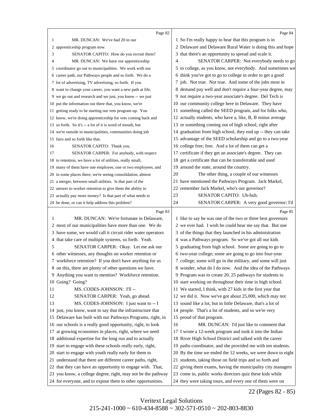<span id="page-23-0"></span>

|    | Page 82                                                      |    | Page 84                                                      |
|----|--------------------------------------------------------------|----|--------------------------------------------------------------|
| 1  | MR. DUNCAN: We've had 20 in our                              |    | 1 So I'm really happy to hear that this program is in        |
|    | 2 apprenticeship program now.                                |    | 2 Delaware and Delaware Rural Water is doing this and hope   |
| 3  | SENATOR CAPITO: How do you recruit them?                     |    | 3 that there's an opportunity to spread and scale it.        |
| 4  | MR. DUNCAN: We have our apprenticeship                       | 4  | SENATOR CARPER: Not everybody needs to go                    |
|    | 5 coordinator go out to municipalities. We work with our     |    | 5 to college, as you know, not everybody. And sometimes we   |
|    | 6 career path, our Pathways people and so forth. We do a     |    | 6 think you've got to go to college in order to get a good   |
|    | 7 lot of advertising, TV advertising, so forth. If you       |    | 7 job. Not true. Not true. And some of the jobs most in      |
|    | 8 want to change your career, you want a new path at life,   |    | 8 demand pay well and don't require a four-year degree, may  |
|    | 9 we go out and research and we just, you know -- we just    |    | 9 not require a two-year associate's degree. Del Tech is     |
|    | 10 put the information out there that, you know, we're       |    | 10 our community college here in Delaware. They have         |
|    | 11 getting ready to be starting our vets program up. You     |    | 11 something called the SEED program, and for folks who,     |
|    | 12 know, we're doing apprenticeship for vets coming back and |    | 12 actually students, who have a, like, B, B minus average   |
|    | 13 so forth. So it's -- a lot of it is word of mouth, but    |    | 13 or something coming out of high school, right after       |
|    | 14 we're outside in municipalities, communities doing job    |    | 14 graduation from high school, they end up -- they can take |
|    | 15 fairs and so forth like that.                             |    | 15 advantage of the SEED scholarship and go to a two-year    |
| 16 | SENATOR CAPITO: Thank you.                                   |    | 16 college free; free. And a lot of them can get a           |
| 17 | SENATOR CARPER: For anybody, with respect                    |    | 17 certificate if they get an associate's degree. They can   |
|    | 18 to retention, we have a lot of utilities, really small,   |    | 18 get a certificate that can be transferrable and used      |
|    | 19 many of them have one employee, one or two employees, and |    | 19 around the state, around the country.                     |
|    | 20 in some places there, we're seeing consolidation, almost  | 20 | The other thing, a couple of our witnesses                   |
|    | 21 a merger, between small utilities. Is that part of the    |    | 21 have mentioned the Pathways Program. Jack Markel,         |
|    | 22 answer to worker retention to give them the ability to    |    | 22 remember Jack Markel, who's our governor?                 |
|    | 23 actually pay more money? Is that part of what needs to    | 23 | SENATOR CAPITO: Uh-huh.                                      |
|    | 24 be done, or can it help address this problem?             | 24 | SENATOR CARPER: A very good governor; I'd                    |
|    | Page 83                                                      |    | Page 85                                                      |
| 1  | MR. DUNCAN: We're fortunate in Delaware,                     |    | 1 like to say he was one of the two or three best governors  |
|    | 2 most of our municipalities have more than one. We do       |    | 2 we ever had. I wish he could hear me say that. But one     |
|    | 3 have some, we would call it circuit rider water operators  |    | 3 of the things that they launched in his administration     |
|    | 4 that take care of multiple systems, so forth. Yeah.        |    | 4 was a Pathways program. So we've got all our kids          |
| 5  | SENATOR CARPER: Okay. Let me ask our                         |    | 5 graduating from high school. Some are going to go to       |
|    | 6 other witnesses, any thoughts on worker retention or       |    | 6 two-year college; some are going to go into four-year      |
|    | 7 workforce retention? If you don't have anything for us     |    | 7 college; some will go in the military, and some will just  |
|    | 8 on this, there are plenty of other questions we have.      |    | 8 wonder, what do I do now. And the idea of the Pathways     |
|    | 9 Anything you want to mention? Workforce retention.         |    | 9 Program was to create 20, 25 pathways for students to      |
|    | 10 Going? Going?                                             |    | 10 start working on throughout their time in high school.    |
| 11 | MS. CODES-JOHNSON: I'll --                                   |    | 11 We started, I think, with 27 kids in the first year that  |
| 12 | SENATOR CARPER: Yeah, go ahead.                              |    | 12 we did it. Now we've got about 25,000, which may not      |
| 13 | MS. CODES-JOHNSON: I just want to -- I                       |    | 13 sound like a lot, but in little Delaware, that's a lot of |
|    | 14 just, you know, want to say that the infrastructure that  |    | 14 people. That's a lot of students, and so we're very       |
|    | 15 Delaware has built with our Pathways Programs, right, in  |    | 15 proud of that program.                                    |
|    | 16 our schools is a really good opportunity, right, to look  | 16 | MR. DUNCAN: I'd just like to comment that                    |
|    | 17 at growing economies in places, right, where we need      |    | 17 I wrote a 12-week program and took it into the Indian     |
|    | 18 additional expertise for the long run and to actually     |    | 18 River High School District and talked with the career     |
|    | 19 start to engage with these schools really early, right,   |    | 19 paths coordinator, and she provided me with ten students. |
|    | 20 start to engage with youth really early for them to       |    | 20 By the time we ended the 12 weeks, we were down to eight  |
|    | 21 understand that there are different career paths, right,  |    | 21 students, taking those on field trips and so forth and    |
|    | 22 that they can have an opportunity to engage with. That,   |    | 22 giving them exams, having the municipality city managers  |
|    | 23 you know, a college degree, right, may not be the pathway |    | 23 come in, public works directors quiz these kids while     |

they were taking tours, and every one of them were on

22 (Pages 82 - 85)

Veritext Legal Solutions  $215-241-1000 \sim 610-434-8588 \sim 302-571-0510 \sim 202-803-8830$ 

for everyone, and to expose them to other opportunities.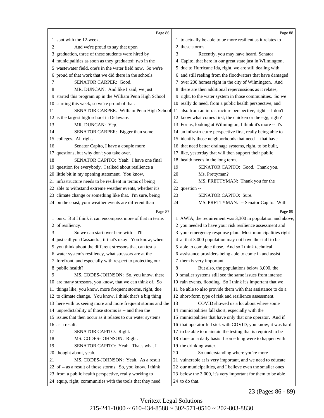<span id="page-24-0"></span>

|    | Page 86                                                      |    | Page 88                                                      |
|----|--------------------------------------------------------------|----|--------------------------------------------------------------|
|    | 1 spot with the 12-week.                                     |    | 1 to actually be able to be more resilient as it relates to  |
| 2  | And we're proud to say that upon                             |    | 2 these storms.                                              |
| 3  | graduation, three of these students were hired by            | 3  | Recently, you may have heard, Senator                        |
|    | 4 municipalities as soon as they graduated: two in the       |    | 4 Capito, that here in our great state just in Wilmington,   |
| 5. | wastewater field, one's in the water field now. So we're     |    | 5 due to Hurricane Ida, right, we are still dealing with     |
| 6  | proud of that work that we did there in the schools.         |    | 6 and still reeling from the floodwaters that have damaged   |
| 7  | <b>SENATOR CARPER: Good.</b>                                 |    | 7 over 200 homes right in the city of Wilmington. And        |
| 8  | MR. DUNCAN: And like I said, we just                         |    | 8 there are then additional repercussions as it relates,     |
|    | 9 started this program up in the William Penn High School    |    | 9 right, to the water system in those communities. So we     |
|    | 10 starting this week, so we're proud of that.               |    | 10 really do need, from a public health perspective, and     |
| 11 | SENATOR CARPER: William Penn High School                     |    | 11 also from an infrastructure perspective, right -- I don't |
|    | 12 is the largest high school in Delaware.                   |    | 12 know what comes first, the chicken or the egg, right?     |
| 13 | MR. DUNCAN: Yep.                                             |    | 13 For us, looking at Wilmington, I think it's more -- it's  |
| 14 | SENATOR CARPER: Bigger than some                             |    | 14 an infrastructure perspective first, really being able to |
|    | 15 colleges. All right.                                      |    | 15 identify those neighborhoods that need -- that have --    |
| 16 | Senator Capito, I have a couple more                         |    | 16 that need better drainage systems, right, to be built,    |
|    | 17 questions, but why don't you take over.                   |    | 17 like, yesterday that will then support their public       |
| 18 | SENATOR CAPITO: Yeah. I have one final                       |    | 18 health needs in the long term.                            |
|    | 19 question for everybody. I talked about resilience a       | 19 | SENATOR CAPITO: Good. Thank you.                             |
|    | 20 little bit in my opening statement. You know,             | 20 | Ms. Prettyman?                                               |
|    | 21 infrastructure needs to be resilient in terms of being    | 21 | MS. PRETTYMAN: Thank you for the                             |
|    | 22 able to withstand extreme weather events, whether it's    |    | 22 question --                                               |
|    | 23 climate change or something like that. I'm sure, being    | 23 | <b>SENATOR CAPITO: Sure.</b>                                 |
|    | 24 on the coast, your weather events are different than      | 24 | MS. PRETTYMAN: -- Senator Capito. With                       |
|    | Page 87                                                      |    | Page 89                                                      |
|    | 1 ours. But I think it can encompass more of that in terms   |    | 1 AWIA, the requirement was 3,300 in population and above,   |
|    | 2 of resiliency.                                             |    | 2 you needed to have your risk resilience assessment and     |
| 3  | So we can start over here with -- I'll                       |    | 3 your emergency response plan. Most municipalities right    |
|    | 4 just call you Cassandra, if that's okay. You know, when    |    | 4 at that 3,000 population may not have the staff to be      |
| 5. | you think about the different stressors that can test a      |    | 5 able to complete those. And so I think technical           |
|    | 6 water system's resiliency, what stressors are at the       |    | 6 assistance providers being able to come in and assist      |
|    | 7 forefront, and especially with respect to protecting our   |    | 7 them is very important.                                    |
|    | 8 public health?                                             | 8  | But also, the populations below 3,000, the                   |
| 9  | MS. CODES-JOHNSON: So, you know, there                       |    | 9 smaller systems still see the same issues from intense     |
|    | 10 are many stressors, you know, that we can think of. So    |    | 10 rain events, flooding. So I think it's important that we  |
|    |                                                              |    |                                                              |
|    | 11 things like, you know, more frequent storms, right, due   |    | 11 be able to also provide them with that assistance to do a |
|    | 12 to climate change. You know, I think that's a big thing   |    | 12 short-form type of risk and resilience assessment.        |
|    | 13 here with us seeing more and more frequent storms and the | 13 | COVID showed us a lot about where some                       |
|    | 14 unpredictability of those storms is -- and then the       |    | 14 municipalities fall short, especially with the            |
|    | 15 issues that then occur as it relates to our water systems |    | 15 municipalities that have only that one operator. And if   |
|    | 16 as a result.                                              |    | 16 that operator fell sick with COVID, you know, it was hard |
| 17 | SENATOR CAPITO: Right.                                       |    | 17 to be able to maintain the testing that is required to be |
| 18 | MS. CODES-JOHNSON: Right.                                    |    | 18 done on a daily basis if something were to happen with    |
| 19 | SENATOR CAPITO: Yeah. That's what I                          |    | 19 the drinking water.                                       |
|    | 20 thought about, yeah.                                      | 20 | So understanding where you're more                           |
| 21 | MS. CODES-JOHNSON: Yeah. As a result                         |    | 21 vulnerable at is very important, and we need to educate   |
|    | 22 of -- as a result of those storms. So, you know, I think  |    | 22 our municipalities, and I believe even the smaller ones   |
|    | 23 from a public health perspective, really working to       |    | 23 below the 3,000, it's very important for them to be able  |

23 (Pages 86 - 89)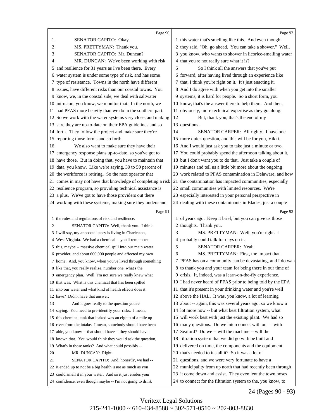<span id="page-25-0"></span>

|    | Page 90                                                      |    | Page 92                                                      |
|----|--------------------------------------------------------------|----|--------------------------------------------------------------|
| 1  | SENATOR CAPITO: Okay.                                        |    | 1 this water that's smelling like this. And even though      |
| 2  | MS. PRETTYMAN: Thank you.                                    |    | 2 they said, "Oh, go ahead. You can take a shower." Well,    |
| 3  | SENATOR CAPITO: Mr. Duncan?                                  |    | 3 you know, who wants to shower in licorice-smelling water   |
| 4  | MR. DUNCAN: We've been working with risk                     |    | 4 that you're not really sure what it is?                    |
|    | 5 and resilience for 31 years as I've been there. Every      | 5  | So I think all the answers that you've put                   |
| 6  | water system is under some type of risk, and has some        |    | 6 forward, after having lived through an experience like     |
|    | 7 type of resistance. Towns in the north have different      |    | 7 that, I think you're right on it. It's just enacting it.   |
|    | 8 issues, have different risks than our coastal towns. You   |    | 8 And I do agree with when you get into the smaller          |
|    | 9 know, we, in the coastal side, we deal with saltwater      |    | 9 systems, it is hard for people. So a short form, you       |
|    | 10 intrusion, you know, we monitor that. In the north, we    |    | 10 know, that's the answer there to help them. And then,     |
|    | 11 had PFAS more heavily than we do in the southern part.    |    | 11 obviously, more technical expertise as they go along.     |
|    | 12 So we work with the water systems very close, and making  | 12 | But, thank you, that's the end of my                         |
|    | 13 sure they are up-to-date on their EPA guidelines and so   |    | 13 questions.                                                |
|    | 14 forth. They follow the project and make sure they're      | 14 | SENATOR CARPER: All righty. I have one                       |
|    | 15 reporting those forms and so forth.                       |    | 15 more quick question, and this will be for you, Vikki.     |
| 16 | We also want to make sure they have their                    |    | 16 And I would just ask you to take just a minute or two.    |
|    | 17 emergency response plans up-to-date, so you've got to     |    | 17 You could probably spend the afternoon talking about it,  |
|    | 18 have those. But in doing that, you have to maintain that  |    | 18 but I don't want you to do that. Just take a couple of    |
|    | 19 data, you know. Like we're saying, 30 to 50 percent of    |    | 19 minutes and tell us a little bit more about the ongoing   |
|    | 20 the workforce is retiring. So the next operator that      |    | 20 work related to PFAS contamination in Delaware, and how   |
|    | 21 comes in may not have that knowledge of completing a risk |    | 21 the contamination has impacted communities, especially    |
|    | 22 resilience program, so providing technical assistance is  |    | 22 small communities with limited resources. We're           |
|    | 23 a plus. We've got to have those providers out there       |    | 23 especially interested in your personal perspective in     |
|    | 24 working with these systems, making sure they understand   |    | 24 dealing with these contaminants in Blades, just a couple  |
|    |                                                              |    |                                                              |
|    | Page 91                                                      |    | Page 93                                                      |
|    | 1 the rules and regulations of risk and resilience.          |    | 1 of years ago. Keep it brief, but you can give us those     |
| 2  | SENATOR CAPITO: Well, thank you. I think                     |    | 2 thoughts. Thank you.                                       |
|    | 3 I will say, my anecdotal story is living in Charleston,    | 3  | MS. PRETTYMAN: Well, you're right. I                         |
|    | 4 West Virginia. We had a chemical -- you'll remember        |    | 4 probably could talk for days on it.                        |
|    | 5 this, maybe -- massive chemical spill into our main water  | 5  | SENATOR CARPER: Yeah.                                        |
|    | 6 provider, and about 600,000 people and affected my own     | 6  | MS. PRETTYMAN: First, the impact that                        |
|    | 7 home. And, you know, when you've lived through something   |    | 7 PFAS has on a community can be devastating, and I do want  |
|    | 8 like that, you really realize, number one, what's the      |    | 8 to thank you and your team for being there in our time of  |
|    | 9 emergency plan. Well, I'm not sure we really knew what     |    | 9 crisis. It, indeed, was a learn-on-the-fly experience.     |
|    | 10 that was. What is this chemical that has been spilled     |    | 10 I had never heard of PFAS prior to being told by the EPA  |
|    | 11 into our water and what kind of health effects does it    |    | 11 that it's present in your drinking water and you're well  |
|    | 12 have? Didn't have that answer.                            |    | 12 above the HAL. It was, you know, a lot of learning        |
| 13 | And it goes really to the question you're                    |    | 13 about -- again, this was several years ago, so we know a  |
|    | 14 saying. You need to pre-identify your risks. I mean,      |    | 14 lot more now -- but what best filtration system, what     |
|    | 15 this chemical tank that leaked was an eighth of a mile up |    | 15 will work best with just the existing plant. We had so    |
|    | 16 river from the intake. I mean, somebody should have been  |    | 16 many questions. Do we interconnect with our -- with       |
|    | 17 able, you know -- that should have -- they should have    |    | 17 Seaford? Do we -- will the machine -- will the            |
|    | 18 known that. You would think they would ask the question,  |    | 18 filtration system that we did go with be built and        |
|    | 19 What's in those tanks? And what could possibly --         | 19 | delivered on time, the components and the equipment          |
| 20 | MR. DUNCAN: Right.                                           |    | 20 that's needed to install it? So it was a lot of           |
| 21 | SENATOR CAPITO: And, honestly, we had --                     |    | 21 questions, and we were very fortunate to have a           |
|    | 22 it ended up to not be a big health issue as much as you   |    | 22 municipality from up north that had recently been through |
|    | 23 could smell it in your water. And so it just erodes your  |    | 23 it come down and assist. They even lent the town hoses    |

24 (Pages 90 - 93)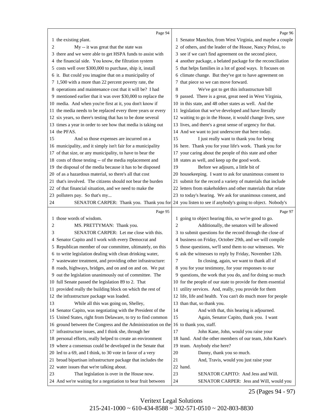<span id="page-26-0"></span>

|    | Page 94                                                      |    | Page 96                                                                                              |
|----|--------------------------------------------------------------|----|------------------------------------------------------------------------------------------------------|
|    | 1 the existing plant.                                        |    | 1 Senator Manchin, from West Virginia, and maybe a couple                                            |
| 2  | My -- it was great that the state was                        |    | 2 of others, and the leader of the House, Nancy Pelosi, to                                           |
|    | 3 there and we were able to get HSPA funds to assist with    |    | 3 see if we can't find agreement on the second piece,                                                |
|    | 4 the financial side. You know, the filtration system        |    | 4 another package, a belated package for the reconciliation                                          |
|    | 5 costs well over \$300,000 to purchase, ship it, install    |    | 5 that helps families in a lot of good ways. It focuses on                                           |
|    | 6 it. But could you imagine that on a municipality of        |    | 6 climate change. But they've got to have agreement on                                               |
|    | 7 1,500 with a more than 22 percent poverty rate, the        |    | 7 that piece so we can move forward.                                                                 |
|    | 8 operations and maintenance cost that it will be? I had     | 8  | We've got to get this infrastructure bill                                                            |
|    | 9 mentioned earlier that it was over \$30,000 to replace the |    | 9 passed. There is a great, great need in West Virginia,                                             |
|    | 10 media. And when you're first at it, you don't know if     |    | 10 in this state, and 48 other states as well. And the                                               |
|    | 11 the media needs to be replaced every three years or every |    | 11 legislation that we've developed and have literally                                               |
|    | 12 six years, so there's testing that has to be done several |    | 12 waiting to go in the House, it would change lives, save                                           |
|    | 13 times a year in order to see how that media is taking out |    | 13 lives, and there's a great sense of urgency for that.                                             |
|    | 14 the PFAS.                                                 |    | 14 And we want to just underscore that here today.                                                   |
| 15 | And so those expenses are incurred on a                      | 15 | I just really want to thank you for being                                                            |
|    | 16 municipality, and it simply isn't fair for a municipality |    | 16 here. Thank you for your life's work. Thank you for                                               |
|    | 17 of that size, or any municipality, to have to bear the    |    | 17 your caring about the people of this state and other                                              |
|    | 18 costs of those testing -- of the media replacement and    |    | 18 states as well, and keep up the good work.                                                        |
|    | 19 the disposal of the media because it has to be disposed   | 19 | Before we adjourn, a little bit of                                                                   |
|    | 20 of as a hazardous material, so there's all that cost      |    | 20 housekeeping. I want to ask for unanimous consent to                                              |
|    | 21 that's involved. The citizens should not bear the burden  |    | 21 submit for the record a variety of materials that include                                         |
|    | 22 of that financial situation, and we need to make the      |    | 22 letters from stakeholders and other materials that relate                                         |
|    | 23 polluters pay. So that's my                               |    | 23 to today's hearing. We ask for unanimous consent, and                                             |
| 24 |                                                              |    | SENATOR CARPER: Thank you. Thank you for 24 you listen to see if anybody's going to object. Nobody's |
|    | Page 95                                                      |    | Page 97                                                                                              |
|    | 1 those words of wisdom.                                     |    | 1 going to object hearing this, so we're good to go.                                                 |
| 2  | MS. PRETTYMAN: Thank you.                                    | 2  | Additionally, the senators will be allowed                                                           |
| 3  | SENATOR CARPER: Let me close with this.                      |    | 3 to submit questions for the record through the close of                                            |
| 4  | Senator Capito and I work with every Democrat and            |    | 4 business on Friday, October 29th, and we will compile                                              |
|    | 5 Republican member of our committee, ultimately, on this    |    | 5 those questions, we'll send them to our witnesses. We                                              |
|    | 6 to write legislation dealing with clean drinking water,    |    | 6 ask the witnesses to reply by Friday, November 12th.                                               |
|    | 7 was tewater treatment, and providing other infrastructure: | 7  | In closing, again, we want to thank all of                                                           |
|    | 8 roads, highways, bridges, and on and on and on. We put     |    | 8 you for your testimony, for your responses to our                                                  |
|    | 9 out the legislation unanimously out of committee. The      |    | 9 questions, the work that you do, and for doing so much                                             |
|    | 10 full Senate passed the legislation 89 to 2. That          |    | 10 for the people of our state to provide for them essential                                         |
|    | 11 provided really the building block on which the rest of   |    | 11 utility services. And, really, you provide for them                                               |
|    | 12 the infrastructure package was loaded.                    |    | 12 life, life and health. You can't do much more for people                                          |
| 13 | While all this was going on, Shelley,                        |    | 13 than that, so thank you.                                                                          |
|    | 14 Senator Capito, was negotiating with the President of the | 14 | And with that, this hearing is adjourned.                                                            |
|    | 15 United States, right from Delaware, to try to find common | 15 | Again, Senator Capito, thank you. I want                                                             |
|    | 16 ground between the Congress and the Administration on the |    | 16 to thank you, staff.                                                                              |
|    | 17 infrastructure issues, and I think she, through her       | 17 | John Kane, John, would you raise your                                                                |
|    | 18 personal efforts, really helped to create an environment  |    | 18 hand. And the other members of our team, John Kane's                                              |
|    | 19 where a consensus could be developed in the Senate that   |    | 19 team. Anybody else here?                                                                          |
|    | 20 led to a 69, and I think, to 30 vote in favor of a very   | 20 | Danny, thank you so much.                                                                            |
|    | 21 broad bipartisan infrastructure package that includes the | 21 | And, Travis, would you just raise your                                                               |
|    | 22 water issues that we're talking about.                    |    | 22 hand.                                                                                             |
| 23 | That legislation is over in the House now.                   | 23 | SENATOR CAPITO: And Jess and Will.                                                                   |
|    | 24 And we're waiting for a negotiation to bear fruit between | 24 | SENATOR CARPER: Jess and Will, would you                                                             |

25 (Pages 94 - 97)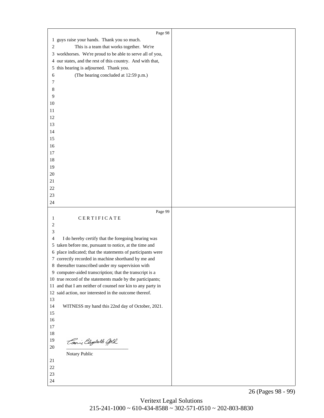<span id="page-27-0"></span>

|          | Page 98                                                     |  |
|----------|-------------------------------------------------------------|--|
|          | 1 guys raise your hands. Thank you so much.                 |  |
| 2        | This is a team that works together. We're                   |  |
|          | 3 workhorses. We're proud to be able to serve all of you,   |  |
|          |                                                             |  |
|          | 4 our states, and the rest of this country. And with that,  |  |
| 5        | this hearing is adjourned. Thank you.                       |  |
| 6        | (The hearing concluded at 12:59 p.m.)                       |  |
| 7        |                                                             |  |
| 8        |                                                             |  |
| 9        |                                                             |  |
| 10       |                                                             |  |
| 11       |                                                             |  |
| 12       |                                                             |  |
| 13       |                                                             |  |
| 14       |                                                             |  |
| 15       |                                                             |  |
| 16       |                                                             |  |
| $17\,$   |                                                             |  |
| 18       |                                                             |  |
| 19       |                                                             |  |
| 20       |                                                             |  |
| 21       |                                                             |  |
| 22       |                                                             |  |
| 23       |                                                             |  |
|          |                                                             |  |
| 24       |                                                             |  |
|          |                                                             |  |
|          | Page 99                                                     |  |
| 1        | CERTIFICATE                                                 |  |
| 2        |                                                             |  |
| 3        |                                                             |  |
| 4        | I do hereby certify that the foregoing hearing was          |  |
|          | 5 taken before me, pursuant to notice, at the time and      |  |
|          | 6 place indicated; that the statements of participants were |  |
|          | 7 correctly recorded in machine shorthand by me and         |  |
|          | 8 thereafter transcribed under my supervision with          |  |
|          | 9 computer-aided transcription; that the transcript is a    |  |
|          | 10 true record of the statements made by the participants;  |  |
| 11       | and that I am neither of counsel nor kin to any party in    |  |
|          | 12 said action, nor interested in the outcome thereof.      |  |
| 13       |                                                             |  |
| 14       | WITNESS my hand this 22nd day of October, 2021.             |  |
| 15       |                                                             |  |
| 16       |                                                             |  |
| $17\,$   |                                                             |  |
| $18\,$   |                                                             |  |
| 19       |                                                             |  |
| 20       | Tanie Elizabeth Gold                                        |  |
|          | Notary Public                                               |  |
| 21       |                                                             |  |
| $22\,$   |                                                             |  |
| 23<br>24 |                                                             |  |

26 (Pages 98 - 99)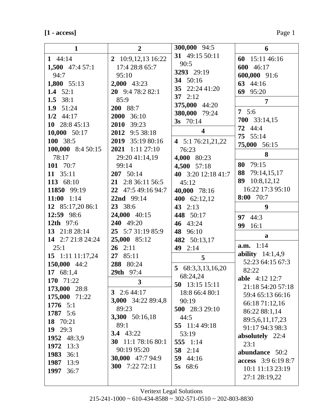# $[1 - \mathrm{access}]$

| $\mathbf{1}$                  | $\overline{2}$            | 300,000 94:5            | 6                                      |
|-------------------------------|---------------------------|-------------------------|----------------------------------------|
| 1 $44:14$                     | 2 10:9,12,13 16:22        | 31 49:15 50:11          | 60 15:11 46:16                         |
| 1,500 $47:457:1$              | 17:4 28:8 65:7            | 90:5                    | 600 46:17                              |
| 94:7                          | 95:10                     | 3293 29:19              | 600,000 91:6                           |
| 1,800 55:13                   | $2,000$ 43:23             | 34 50:16                | 63 44:16                               |
| 1.4 $52:1$                    | 20 $9:478:282:1$          | 35 22:24 41:20          | 69 95:20                               |
| 1.5 $38:1$                    | 85:9                      | 37 $2:12$               | 7                                      |
| 1.9 $51:24$                   | 200 88:7                  | 375,000 44:20           | 7 $5:6$                                |
| $1/2$ 44:17                   | 2000 36:10                | 380,000 79:24           | 700 33:14,15                           |
| 10 $28:845:13$                | 2010 39:23                | 3s $70:14$              | 72 44:4                                |
| 10,000 50:17                  | 2012 9:5 38:18            | $\overline{\mathbf{4}}$ | 75 55:14                               |
| 100 38:5                      | 2019 35:19 80:16          | 4 5:1 76:21,21,22       | 75,000 56:15                           |
| 100,000 8:4 50:15             | 2021 1:11 27:10           | 76:23                   |                                        |
| 78:17                         | 29:20 41:14,19            | 4,000 80:23             | 8                                      |
| 101 70:7                      | 99:14                     | 4,500 57:18             | 80 79:15                               |
| 11 35:11                      | $207 \quad 50:14$         | 40 3:20 12:18 41:7      | 88 79:14,15,17                         |
| 113 68:10                     | 21 2:8 36:11 56:5         | 45:12                   | 89 10:8,12,12                          |
| 11850 99:19                   | 22 47:5 49:16 94:7        | 40,000 78:16            | 16:22 17:3 95:10                       |
| 11:00 $1:14$                  | 22nd 99:14                | 400 62:12,12            | 8:00 70:7                              |
| 12 85:17,20 86:1              | 23 38:6                   | 43 2:13                 | 9                                      |
| 12:59 98:6                    | 24,000 40:15              | 448 50:17               | 97 44:3                                |
| <b>12th</b> 97:6              | 240 49:20                 | 46 43:24                | 99<br>16:1                             |
| 13 21:8 28:14                 | 25 5:7 31:19 85:9         | 48 96:10                | a                                      |
| 14 2:7 21:8 24:24             | 25,000 85:12              | 482 50:13,17            |                                        |
| 25:1                          | $26 \quad 2:11$           | 49 2:14                 | a.m. 1:14                              |
| 15 1:11 11:17,24              | 27 85:11                  | 5                       | ability $14:1,4,9$<br>52:23 64:15 67:3 |
| 150,000 44:2                  | 288 80:24                 | 5 $68:3,3,13,16,20$     | 82:22                                  |
| 17 68:1,4                     | 29th 97:4                 | 68:24,24                | <b>able</b> 4:12 12:7                  |
| 170 71:22                     | 3                         | 50 13:15 15:11          | 21:18 54:20 57:18                      |
| 173,000 28:8                  | 3 $2:644:17$              | 18:8 66:4 80:1          | 59:4 65:13 66:16                       |
| 175,000 71:22                 | <b>3,000</b> 34:22 89:4,8 | 90:19                   | 66:18 71:12,16                         |
| 1776 $5:1$                    | 89:23                     | 500 28:3 29:10          | 86:22 88:1,14                          |
| 1787 5:6                      | 3,300 50:16,18            | 44:5                    | 89:5,6,11,17,23                        |
| 18 70:21                      | 89:1                      | 55 11:4 49:18           | 91:17 94:3 98:3                        |
| 19 $29:3$                     | 3.4 $43:22$               | 53:19                   | absolutely 22:4                        |
| 1952 48:3,9                   | 30 11:1 78:16 80:1        | 555 1:14                | 23:1                                   |
| 1972<br>13:3                  | 90:19 95:20               | 58 2:14                 | abundance 50:2                         |
| <b>1983</b> 36:1<br>1987 13:9 | <b>30,000</b> 47:7 94:9   | 59 $44:16$              | access 3:9 6:19 8:7                    |
| 1997 36:7                     | 300 7:22 72:11            | 5s 68:6                 | 10:1 11:13 23:19                       |
|                               |                           |                         | 27:1 28:19,22                          |
|                               |                           |                         |                                        |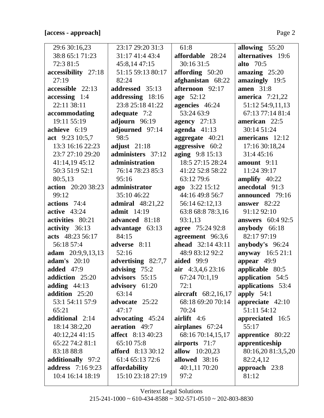# **[access - approach]** Page 2

 $\overline{\mathsf{L}}$ 

| 29:6 30:16,23             | 23:17 29:20 31:3         | 61:8                     | allowing 55:20           |
|---------------------------|--------------------------|--------------------------|--------------------------|
| 38:8 65:1 71:23           | 31:17 41:4 43:4          | affordable 28:24         | alternatives 19:6        |
| 72:3 81:5                 | 45:8,14 47:15            | 30:16 31:5               | <b>alto</b> 70:5         |
| accessibility 27:18       | 51:15 59:13 80:17        | affording 50:20          | amazing $25:20$          |
| 27:19                     | 82:24                    | afghanistan 68:22        | amazingly 19:5           |
| accessible 22:13          | addressed 35:13          | afternoon 92:17          | <b>amen</b> 31:8         |
| $accessing$ 1:4           | addressing 18:16         | age 52:12                | america $7:21,22$        |
| 22:11 38:11               | 23:8 25:18 41:22         | agencies 46:24           | 51:12 54:9,11,13         |
| accommodating             | adequate 7:2             | 53:24 63:9               | 67:13 77:14 81:4         |
| 19:11 55:19               | adjourn 96:19            | agency $27:13$           | american 22:5            |
| achieve 6:19              | adjourned 97:14          | agenda $41:13$           | 30:14 51:24              |
| act $9:2310:5,7$          | 98:5                     | aggregate 40:21          | americans 12:12          |
| 13:3 16:16 22:23          | adjust $21:18$           | aggressive 60:2          | 17:16 30:18,24           |
| 23:7 27:10 29:20          | administers 37:12        | aging 9:8 15:13          | 31:4 45:16               |
| 41:14,19 45:12            | administration           | 18:5 27:15 28:24         | amount 9:11              |
| 50:3 51:9 52:1            | 76:14 78:23 85:3         | 41:22 52:8 58:22         | 11:24 39:17              |
| 80:5,13                   | 95:16                    | 63:12 79:6               | amplify $40:22$          |
| <b>action</b> 20:20 38:23 | administrator            | ago 3:22 15:12           | anecdotal 91:3           |
| 99:12                     | 35:10 46:22              | 44:16 49:8 56:7          | announced 79:16          |
| actions 74:4              | <b>admiral</b> 48:21,22  | 56:14 62:12,13           | answer $82:22$           |
| active $43:24$            | <b>admit</b> 14:19       | 63:8 68:8 78:3,16        | 91:12 92:10              |
| activities 80:21          | advanced 81:18           | 93:1,13                  | <b>answers</b> 60:4 92:5 |
| activity 36:13            | advantage 63:13          | agree 75:24 92:8         | anybody 66:18            |
| acts 48:23 56:17          | 84:15                    | agreement 96:3,6         | 82:17 97:19              |
| 56:18 57:4                | adverse 8:11             | <b>ahead</b> 32:14 43:11 | anybody's 96:24          |
| adam 20:9,9,13,13         | 52:16                    | 48:9 83:12 92:2          | anyway 16:5 21:1         |
| adam's $20:10$            | advertising 82:7,7       | <b>aided</b> 99:9        | appear 49:9              |
| <b>added</b> 47:9         | advising 75:2            | air $4:3,4,6$ 23:16      | applicable 80:5          |
| addiction 25:20           | advisors 55:15           | 67:24 70:1,19            | application 54:5         |
| adding $44:13$            | advisory 61:20           | 72:1                     | applications 53:4        |
| addition 25:20            | 63:14                    | aircraft 68:2,16,17      | apply $54:1$             |
| 53:1 54:11 57:9           | advocate 25:22           | 68:18 69:20 70:14        | appreciate $42:10$       |
| 65:21                     | 47:17                    | 70:24                    | 51:11 54:12              |
| additional 2:14           | advocating 45:24         | airlift $4:6$            | appreciated 16:5         |
| 18:14 38:2,20             | aeration 49:7            | airplanes 67:24          | 55:17                    |
| 40:12,24 41:15            | <b>affect</b> 8:13 40:23 | 68:16 70:14,15,17        | apprentice 80:22         |
| 65:22 74:2 81:1           | 65:10 75:8               | airports 71:7            | apprenticeship           |
| 83:18 88:8                | <b>afford</b> 8:13 30:12 | <b>allow</b> 10:20,23    | 80:16,20 81:3,5,20       |
| additionally 97:2         | 61:4 65:13 72:6          | allowed 38:16            | 82:2,4,12                |
| <b>address</b> 7:16 9:23  | affordability            | 40:1,11 70:20            | approach 23:8            |
| 10:4 16:14 18:19          | 15:10 23:18 27:19        | 97:2                     | 81:12                    |
|                           |                          |                          |                          |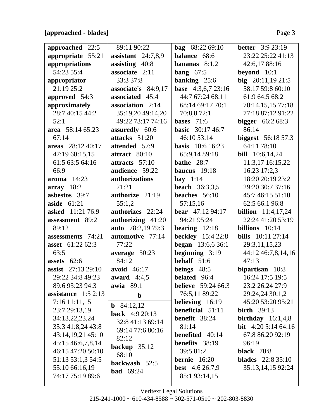## **[approached - blades]** Page 3

| approached 22:5         | 89:11 90:22              | <b>bag</b> $68:2269:10$   | <b>better</b> $3:923:19$    |
|-------------------------|--------------------------|---------------------------|-----------------------------|
| appropriate 55:21       | assistant $24:7,8,9$     | balance 68:6              | 23:22 25:22 41:13           |
| appropriations          | assisting $40:8$         | bananas $8:1,2$           | 42:6,17 88:16               |
| 54:23 55:4              | associate 2:11           | bang $67:5$               | beyond $10:1$               |
| appropriator            | 33:3 37:8                | banking $25:6$            | big $20:11,1921:5$          |
| 21:19 25:2              | associate's 84:9,17      | base 4:3,6,7 23:16        | 58:17 59:8 60:10            |
| approved 54:3           | associated 45:4          | 44:7 67:24 68:11          | 61:9 64:5 68:2              |
| approximately           | association 2:14         | 68:14 69:17 70:1          | 70:14,15,15 77:18           |
| 28:7 40:15 44:2         | 35:19,20 49:14,20        | 70:8,872:1                | 77:18 87:12 91:22           |
| 52:1                    | 49:22 73:17 74:16        | bases $71:6$              | <b>bigger</b> $66:268:3$    |
| area 58:14 65:23        | assuredly 60:6           | <b>basic</b> 30:17 46:7   | 86:14                       |
| 67:14                   | attacks 51:20            | 46:10 53:14               | <b>biggest</b> 56:18 57:3   |
| areas 28:12 40:17       | attended 57:9            | <b>basis</b> 10:6 16:23   | 64:11 78:10                 |
| 47:19 60:15,15          | attract 80:10            | 65:9,14 89:18             | <b>bill</b> 10:6,14,24      |
| 61:5 63:5 64:16         | attracts $57:10$         | bathe $28:7$              | 11:3,17 16:15,22            |
| 66:9                    | audience 59:22           | baucus $19:18$            | 16:23 17:2,3                |
| $\textbf{aroma}$ 14:23  | authorizations           | bay $1:14$                | 18:20 20:19 23:2            |
| array 18:2              | 21:21                    | <b>beach</b> 36:3,3,5     | 29:20 30:7 37:16            |
| asbestos 39:7           | authorize 21:19          | beaches 56:10             | 45:7 46:15 51:10            |
| aside $61:21$           | 55:1,2                   | 57:15,16                  | 62:5 66:1 96:8              |
| <b>asked</b> 11:21 76:9 | authorizes 22:24         | <b>bear</b> $47:1294:17$  | <b>billion</b> $11:4,17,24$ |
| assessment 89:2         | authorizing 41:20        | 94:21 95:24               | 22:24 41:20 53:19           |
| 89:12                   | <b>auto</b> 78:2,19 79:3 | bearing $12:18$           | billions $10:14$            |
| assessments 74:21       | automotive 77:14         | <b>beckley</b> 15:4 22:8  | <b>bills</b> $10:11\ 27:14$ |
| asset 61:22 62:3        | 77:22                    | <b>began</b> 13:6,6 36:1  | 29:3,11,15,23               |
| 63:5                    | average 50:23            | beginning $3:19$          | 44:12 46:7,8,14,16          |
| assets $62:6$           | 84:12                    | behalf $51:6$             | 47:13                       |
| assist 27:13 29:10      | avoid 46:17              | beings 48:5               | bipartisan 10:8             |
| 29:22 34:8 49:23        | award $4:4,5$            | <b>belated</b> 96:4       | 16:24 17:5 19:5             |
| 89:6 93:23 94:3         | <b>awia</b> 89:1         | <b>believe</b> 59:24 66:3 | 23:2 26:24 27:9             |
| assistance $1:52:13$    | $\mathbf b$              | 76:5,11 89:22             | 29:24,24 30:1,2             |
| $7:16$ 11:11,15         | <b>b</b> 84:12,12        | <b>believing</b> 16:19    | 45:20 53:20 95:21           |
| 23:7 29:13,19           | <b>back</b> 4:9 20:13    | beneficial 51:11          | birth $39:13$               |
| 34:13,22,23,24          | 32:8 41:13 69:14         | benefit 38:24             | birthday $16:1,4,8$         |
| 35:3 41:8,24 43:8       | 69:14 77:6 80:16         | 81:14                     | bit $4:205:1464:16$         |
| 43:14,19,21 45:10       |                          | <b>benefited</b> 40:14    | 67:8 86:20 92:19            |
| 45:15 46:6,7,8,14       | 82:12                    | benefits 38:19            | 96:19                       |
| 46:15 47:20 50:10       | backup $35:12$           | 39:5 81:2                 | <b>black</b> 70:8           |
| 51:13 53:1,3 54:5       | 68:10                    | <b>bernie</b> $16:20$     | <b>blades</b> 22:8 35:10    |
| 55:10 66:16,19          | backwash 52:5            | <b>best</b> 4:6 26:7,9    | 35:13,14,15 92:24           |
| 74:17 75:19 89:6        | <b>bad</b> 69:24         | 85:1 93:14,15             |                             |
|                         |                          |                           |                             |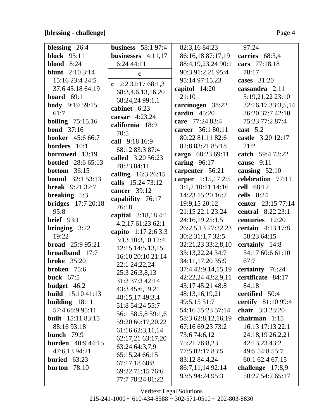# [blessing - challenge]

|--|--|--|

| blessing $26:4$           | business $58:197:4$  | 82:3,16 84:23      | 97:24                     |
|---------------------------|----------------------|--------------------|---------------------------|
| <b>block</b> 95:11        | businesses $4:11,17$ | 86:16,18 87:17,19  | carries 68:3,4            |
| <b>blood</b> 8:24         | 6:24 44:11           | 88:4,19,23,24 90:1 | cars 77:18,18             |
| <b>blunt</b> 2:10 3:14    | $\mathbf c$          | 90:3 91:2,21 95:4  | 78:17                     |
| 15:16 23:4 24:5           | c $2:232:1768:1,3$   | 95:14 97:15,23     | cases $31:20$             |
| 37:6 45:18 64:19          | 68:3,4,6,13,16,20    | capitol $14:20$    | cassandra 2:11            |
| board $69:1$              | 68:24,24 99:1,1      | 21:10              | 5:19,21,22 23:10          |
| <b>body</b> 9:19 59:15    | cabinet 6:23         | carcinogen 38:22   | 32:16,17 33:3,5,14        |
| 61:7                      | caesar $4:23,24$     | cardin $45:20$     | 36:20 37:7 42:10          |
| boiling $75:15,16$        | california 18:9      | care 77:24 83:4    | 75:23 77:2 87:4           |
| <b>bond</b> 37:16         | 70:5                 | career 36:1 80:11  | cast $5:2$                |
| <b>booker</b> 45:6 66:7   | call 9:18 16:9       | 80:22 81:11 82:6   | castle 3:20 12:17         |
| borders 10:1              | 68:12 83:3 87:4      | 82:8 83:21 85:18   | 21:2                      |
| borrowed 13:19            | called 3:20 56:23    | cargo 68:23 69:11  | catch 59:4 73:22          |
| <b>bottled</b> 28:6 65:13 | 78:23 84:11          | caring $96:17$     | cause 9:11                |
| <b>bottom</b> $36:15$     | calling 16:3 26:15   | carpenter 56:21    | causing $52:10$           |
| <b>bound</b> 32:1 53:13   | calls 15:24 73:12    | carper 1:15,17 2:5 | celebration 77:11         |
| <b>break</b> 9:21 32:7    | cancer 39:12         | 3:1,2 10:11 14:16  | cell 68:12                |
| breaking 5:3              | capability 76:17     | 14:23 15:20 16:7   | cells $8:24$              |
| <b>bridges</b> 17:7 20:18 | 76:18                | 19:9,15 20:12      | center 23:15 77:14        |
| 95:8                      | capital 3:18,184:1   | 21:15 22:1 23:24   | <b>central</b> 8:22 23:1  |
| <b>brief</b> $93:1$       | $4:2,17$ 61:23 62:1  | 24:16,19 25:1,5    | centuries 12:20           |
| bringing $3:22$           | capito 1:17 2:6 3:3  | 26:2,5,13 27:22,23 | certain 4:13 17:8         |
| 19:22                     | 3:13 10:3,10 12:4    | 30:2 31:1,7 32:5   | 58:23 64:15               |
| <b>broad</b> 25:9 95:21   | 12:15 14:5,13,15     | 32:21,23 33:2,8,10 | certainly 14:8            |
| broadband 17:7            | 16:10 20:10 21:14    | 33:13,22,24 34:7   | 54:17 60:6 61:10          |
| <b>broke</b> 35:20        | 22:1 24:22,24        | 34:11,17,20 35:9   | 67:7                      |
| broken 75:6               | 25:3 26:3,8,13       | 37:4 42:9,14,15,19 | certainty 76:24           |
| buck $67:5$               | 31:2 37:3 42:14      | 42:22,24 43:2,9,11 | certificate 84:17         |
| budget $46:2$             | 43:3 45:6,19,21      | 43:17 45:21 48:8   | 84:18                     |
| <b>build</b> $15:1041:13$ | 48:15,17 49:3,4      | 48:13,16,19,21     | certified 50:4            |
| building $18:11$          | 51:8 54:24 55:7      | 49:5,15 51:7       | <b>certify</b> 81:10 99:4 |
| 57:4 68:9 95:11           | 56:1 58:5,8 59:1,6   | 54:16 55:23 57:14  | chair 3:3 23:20           |
| <b>built</b> 15:11 83:15  | 59:20 60:17,20,22    | 58:3 62:8,12,16,19 | chairman 1:15             |
| 88:16 93:18               | 61:16 62:3,11,14     | 67:16 69:23 73:2   | 16:13 17:13 22:1          |
| bunch $79:9$              | 62:17,21 63:17,20    | 73:6 74:6,12       | 24:18,19 26:2,21          |
| <b>burden</b> 40:9 44:15  | 63:24 64:3,7,9       | 75:21 76:8,23      | 42:13,23 43:2             |
| 47:6,13 94:21             | 65:15,24 66:15       | 77:5 82:17 83:5    | 49:5 54:8 55:7            |
| buried $63:23$            | 67:17,18 68:8        | 83:12 84:4,24      | 60:1 62:4 67:15           |
| burton $78:10$            | 69:22 71:15 76:6     | 86:7,11,14 92:14   | challenge 17:8,9          |
|                           | 77:7 78:24 81:22     | 93:5 94:24 95:3    | 50:22 54:2 65:17          |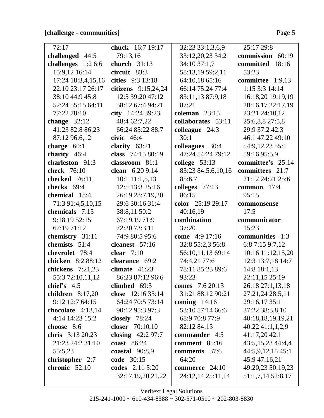## **[challenge - communities]** Page 5

| 72:17               | <b>chuck</b> 16:7 19:17 | 32:23 33:1,3,6,9   | 25:17 29:8        |
|---------------------|-------------------------|--------------------|-------------------|
| challenged 44:5     | 79:13,16                | 33:12,20,23 34:2   | commission 60:19  |
| challenges $1:26:6$ | church $31:13$          | 34:10 37:1,7       | committed 18:16   |
| 15:9,12 16:14       | circuit 83:3            | 58:13,19 59:2,11   | 53:23             |
| 17:24 18:3,4,15,16  | cities 9:3 13:18        | 64:10,18 65:16     | committee 1:9,13  |
| 22:10 23:17 26:17   | citizens $9:15,24,24$   | 66:14 75:24 77:4   | 1:15 3:3 14:14    |
| 38:10 44:9 45:8     | 12:5 39:20 47:12        | 83:11,13 87:9,18   | 16:18,20 19:19,19 |
| 52:24 55:15 64:11   | 58:12 67:4 94:21        | 87:21              | 20:16,17 22:17,19 |
| 77:22 78:10         | city $14:2439:23$       | coleman $23:15$    | 23:21 24:10,12    |
| change $32:12$      | 48:4 62:7,22            | collaborates 53:11 | 25:6,8,8 27:5,8   |
| 41:23 82:8 86:23    | 66:24 85:22 88:7        | colleague 24:3     | 29:9 37:2 42:3    |
| 87:12 96:6,12       | civic $46:4$            | 30:1               | 46:1 47:22 49:10  |
| charge $60:1$       | clarity $63:21$         | colleagues 30:4    | 54:9,12,23 55:1   |
| charity 46:4        | class 74:15 80:19       | 47:24 54:24 79:12  | 59:16 95:5,9      |
| charleston 91:3     | classroom 81:1          | college $53:13$    | committee's 25:14 |
| <b>check</b> 76:10  | clean $6:209:14$        | 83:23 84:5,6,10,16 | committees 21:7   |
| checked 76:11       | $10:1$ 11:1,5,13        | 85:6,7             | 21:12 24:21 25:6  |
| checks 69:4         | 12:5 13:3 25:16         | colleges $77:13$   | common 17:4       |
| chemical 18:4       | 26:19 28:7,19,20        | 86:15              | 95:15             |
| 71:3 91:4,5,10,15   | 29:6 30:16 31:4         | color 25:19 29:17  | commonsense       |
| chemicals 7:15      | 38:8,11 50:2            | 40:16,19           | 17:5              |
| 9:18,1952:15        | 67:19,19 71:9           | combination        | communicator      |
| 67:19 71:12         | 72:20 73:3,11           | 37:20              | 15:23             |
| chemistry 31:11     | 74:9 80:5 95:6          | come 4:9 17:16     | communities 1:3   |
| chemists 51:4       | cleanest 57:16          | 32:8 55:2,3 56:8   | 6:8 7:15 9:7,12   |
| chevrolet 78:4      | clear $7:10$            | 56:10,11,13 69:14  | 10:16 11:12,15,20 |
| chicken 8:2 88:12   | clearance 69:2          | 74:4,21 77:6       | 12:3 13:7,18 14:7 |
| chickens 7:21,23    | climate $41:23$         | 78:11 85:23 89:6   | 14:8 18:1,13      |
| 55:3 72:10,11,12    | 86:23 87:12 96:6        | 93:23              | 22:11,15 25:19    |
| chief's $4:5$       | climbed $69:3$          | comes 7:6 20:13    | 26:18 27:1,13,18  |
| children $8:17,20$  | close 12:16 35:14       | 31:21 88:12 90:21  | 27:21,24 28:5,11  |
| 9:12 12:7 64:15     | 64:24 70:5 73:14        | coming $14:16$     | 29:16,17 35:1     |
| chocolate $4:13,14$ | 90:12 95:3 97:3         | 53:10 57:14 66:6   | 37:22 38:3,8,10   |
| 4:14 14:23 15:2     | closely $78:24$         | 68:9 70:8 77:9     | 40:18,18,19,19,21 |
| choose 8:6          | closer 70:10,10         | 82:12 84:13        | 40:22 41:1,1,2,9  |
| chris 3:13 20:23    | closing $42:297:7$      | commander 4:5      | 41:17,20 42:1     |
| 21:23 24:2 31:10    | <b>coast</b> 86:24      | comment 85:16      | 43:5,15,23 44:4,4 |
| 55:5,23             | coastal $90:8,9$        | comments 37:6      | 44:5,9,12,15 45:1 |
| christopher 2:7     | code 30:15              | 64:20              | 45:9 47:16,21     |
| chronic 52:10       | codes 2:11 5:20         | commerce $24:10$   | 49:20,23 50:19,23 |
|                     | 32:17,19,20,21,22       | 24:12,14 25:11,14  | 51:1,7,14 52:8,17 |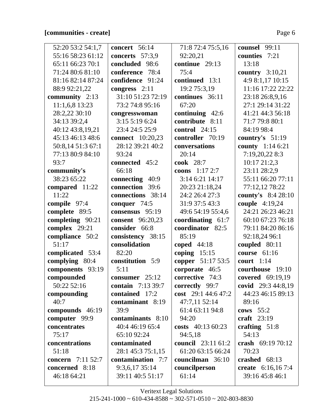## **[communities - create]** Page 6

| 52:20 53:2 54:1,7        | concert $56:14$          | 71:8 72:4 75:5,16         | counsel 99:11      |
|--------------------------|--------------------------|---------------------------|--------------------|
| 55:16 58:23 61:12        | concerts 57:3,9          | 92:20,21                  | counties 7:21      |
| 65:11 66:23 70:1         | concluded 98:6           | continue 29:13            | 13:18              |
| 71:24 80:6 81:10         | conference<br>78:4       | 75:4                      | country $3:10,21$  |
| 81:16 82:14 87:24        | confidence 91:24         | continued 13:1            | 4:9 8:1,17 10:15   |
| 88:9 92:21,22            | congress $2:11$          | 19:2 75:3,19              | 11:16 17:22 22:22  |
| community 2:13           | 31:10 51:23 72:19        | continues 36:11           | 23:18 26:8,9,16    |
| 11:1,6,8 13:23           | 73:2 74:8 95:16          | 67:20                     | 27:1 29:14 31:22   |
| 28:2,22 30:10            | congresswoman            | continuing $42:6$         | 41:21 44:3 56:18   |
| 34:13 39:2,4             | 3:15 5:19 6:24           | contribute 8:11           | 71:7 79:8 80:1     |
| 40:12 43:8,19,21         | 23:4 24:5 25:9           | control $24:15$           | 84:19 98:4         |
| 45:13 46:13 48:6         | <b>connect</b> 10:20,23  | controller 70:19          | country's $51:19$  |
| 50:8,14 51:3 67:1        | 28:12 39:21 40:2         | conversations             | county 1:14 6:21   |
| 77:13 80:9 84:10         | 93:24                    | 20:14                     | 7:19,20,22 8:3     |
| 93:7                     | connected 45:2           | <b>cook</b> 28:7          | 10:17 21:2,3       |
| community's              | 66:18                    | coons $1:172:7$           | 23:11 28:2,9       |
| 38:23 65:22              | connecting 40:9          | 3:14 6:21 14:17           | 55:11 66:20 77:11  |
| compared 11:22           | connection 39:6          | 20:23 21:18,24            | 77:12,12 78:22     |
| 11:22                    | connections 38:14        | 24:2 26:4 27:3            | county's 8:4 28:10 |
| compile 97:4             | conquer $74:5$           | 31:9 37:5 43:3            | couple 4:19,24     |
| complete 89:5            | consensus 95:19          | 49:6 54:19 55:4,6         | 24:21 26:23 46:21  |
| completing 90:21         | <b>consent</b> 96:20,23  | coordinating 61:7         | 60:10 67:23 76:18  |
| complex 29:21            | consider 66:8            | coordinator 82:5          | 79:11 84:20 86:16  |
| compliance 50:2          | consistency 38:15        | 85:19                     | 92:18,24 96:1      |
| 51:17                    | consolidation            | coped $44:18$             | coupled $80:11$    |
| complicated 53:4         | 82:20                    | coping $15:15$            | course $61:16$     |
| complying 80:4           | constitution 5:9         | copper 51:17 53:5         | court 1:14         |
| components 93:19         | 5:11                     | corporate 46:5            | courthouse 19:10   |
| compounded               | consumer 25:12           | corrective 74:3           | covered 69:19,19   |
| 50:22 52:16              | <b>contain</b> 7:13 39:7 | correctly 99:7            | covid 29:3 44:8,19 |
| compounding              | contained 17:2           | cost 29:1 44:6 47:2       | 44:23 46:15 89:13  |
| 40:7                     | contaminant 8:19         | 47:7,11 52:14             | 89:16              |
| compounds 46:19          | 39:9                     | 61:4 63:11 94:8           | cows $55:2$        |
| computer 99:9            | contaminants 8:10        | 94:20                     | craft $23:19$      |
| concentrates             | 40:4 46:19 65:4          | costs $40:1360:23$        | crafting $51:8$    |
| 75:17                    | 65:10 92:24              | 94:5,18                   | 54:13              |
| concentrations           | contaminated             | <b>council</b> 23:11 61:2 | crash 69:19 70:12  |
| 51:18                    | 28:1 45:3 75:1,15        | 61:20 63:15 66:24         | 70:23              |
| <b>concern</b> 7:11 52:7 | contamination 7:7        | councilman 36:10          | crashed $68:13$    |
| concerned 8:18           | 9:3,6,17 35:14           | councilperson             | create 6:16,167:4  |
| 46:18 64:21              | 39:11 40:5 51:17         | 61:14                     | 39:16 45:8 46:1    |
|                          |                          |                           |                    |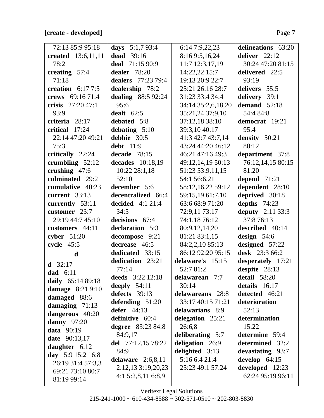# **[create - developed]** Page 7

| 72:13 85:9 95:18          | days $5:1,793:4$          | 6:14 7:9,22,23     | delineations 63:20      |
|---------------------------|---------------------------|--------------------|-------------------------|
| <b>created</b> 13:6,11,11 | <b>dead</b> 39:16         | 8:16 9:5,16,24     | deliver $22:12$         |
| 78:21                     | deal 71:15 90:9           | 11:7 12:3,17,19    | 30:24 47:20 81:15       |
| creating $57:4$           | dealer 78:20              | 14:22,22 15:7      | delivered 22:5          |
| 71:18                     | dealers 77:23 79:4        | 19:13 20:9 22:7    | 93:19                   |
| creation $6:177:5$        | dealership 78:2           | 25:21 26:16 28:7   | delivers 55:5           |
| crews 69:16 71:4          | <b>dealing</b> 88:5 92:24 | 31:23 33:4 34:4    | delivery 39:1           |
| crisis $27:2047:1$        | 95:6                      | 34:14 35:2,6,18,20 | demand 52:18            |
| 93:9                      | dealt $62:5$              | 35:21,24 37:9,10   | 54:4 84:8               |
| criteria 28:17            | debated 5:8               | 37:12,18 38:10     | democrat 19:21          |
| critical 17:24            | debating $5:10$           | 39:3,10 40:17      | 95:4                    |
| 22:14 47:20 49:21         | debbie 30:5               | 41:3 42:7 43:7,14  | density 50:21           |
| 75:3                      | <b>debt</b> 11:9          | 43:24 44:20 46:12  | 80:12                   |
| critically 22:24          | decade 78:15              | 46:21 47:16 49:3   | department 37:8         |
| crumbling $52:12$         | decades 10:18,19          | 49:12,14,19 50:13  | 76:12,14,15 80:15       |
| crushing 47:6             | 10:22 28:1,18             | 51:23 53:9,11,15   | 81:20                   |
| culminated 29:2           | 52:10                     | 54:1 56:6,21       | depend $71:21$          |
| cumulative 40:23          | december 5:6              | 58:12,16,22 59:12  | dependent 28:10         |
| current $33:13$           | decentralized 66:4        | 59:15,19 61:7,10   | deprived 30:18          |
| currently 53:11           | decided $4:121:4$         | 63:6 68:9 71:20    | depths $74:23$          |
| customer 23:7             | 34:5                      | 72:9,11 73:17      | <b>deputy</b> 2:11 33:3 |
| 29:19 44:7 45:10          | decisions 67:4            | 74:1,18 76:12      | 37:8 76:13              |
| customers 44:11           | declaration 5:3           | 80:9,12,14,20      | described 40:14         |
| cyber $51:20$             | decompose 9:21            | 81:21 83:1,15      | design $54:6$           |
| cycle $45:5$              | decrease 46:5             | 84:2,2,10 85:13    | designed 57:22          |
| d                         | dedicated 33:15           | 86:12 92:20 95:15  | desk 23:3 66:2          |
| <b>d</b> 32:17            | dedication 23:21          | delaware's 15:15   | desperately 17:21       |
| dad $6:11$                | 77:14                     | 52:7 81:2          | despite 28:13           |
| daily 65:14 89:18         | deeds 3:22 12:18          | delawarean 7:7     | detail 58:20            |
| damage 8:21 9:10          | deeply $54:11$            | 30:14              | details 16:17           |
| damaged 88:6              | defects 39:13             | delawareans 28:8   | detected 46:21          |
| damaging $71:13$          | defending $51:20$         | 33:17 40:15 71:21  | deterioration           |
| dangerous 40:20           | defer $44:13$             | delawarians 8:9    | 52:13                   |
| <b>danny</b> 97:20        | definitive 60:4           | delegation 25:21   | determination           |
| data 90:19                | <b>degree</b> 83:23 84:8  | 26:6,8             | 15:22                   |
| <b>date</b> 90:13,17      | 84:9,17                   | deliberating 5:7   | determine 59:4          |
| daughter $6:12$           | del 77:12,15 78:22        | deligation 26:9    | determined 32:2         |
| day $5:915:216:8$         | 84:9                      | delighted 3:13     | devastating 93:7        |
| 26:19 31:4 57:3,3         | delaware $2:6,8,11$       | 5:16 6:4 21:4      | develop $64:15$         |
| 69:21 73:10 80:7          | 2:12,13 3:19,20,23        | 25:23 49:1 57:24   | developed 12:23         |
| 81:19 99:14               | 4:15:2,8,116:8,9          |                    | 62:24 95:19 96:11       |
|                           |                           |                    |                         |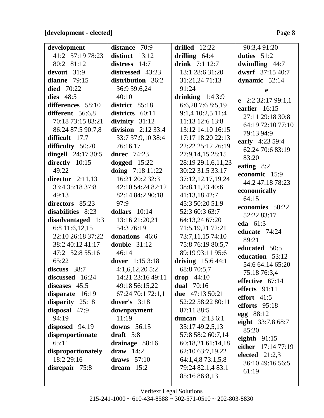#### [development - elected]

| development         | distance 70:9        | drilled $12:22$    | 90:3,4 91:20                |
|---------------------|----------------------|--------------------|-----------------------------|
| 41:21 57:19 78:23   | distinct $13:12$     | drilling $64:4$    | duties $51:2$               |
| 80:21 81:12         | distress 14:7        | drink 7:1 12:7     | dwindling $44:7$            |
| devout 31:9         | distressed 43:23     | 13:1 28:6 31:20    | dwsrf 37:15 40:7            |
| dianne $79:15$      | distribution 36:2    | 31:21,24 71:13     | dynamic $52:14$             |
| died $70:22$        | 36:9 39:6,24         | 91:24              | e                           |
| <b>dies</b> 48:5    | 40:10                | drinking $1:43:9$  | e $2:232:1799:1,1$          |
| differences 58:10   | district 85:18       | 6:6,207:68:5,19    | earlier 16:15               |
| different 56:6,8    | districts 60:11      | 9:1,4 10:2,5 11:4  | 27:11 29:18 30:8            |
| 70:18 73:15 83:21   | divinity $31:12$     | 11:13 12:6 13:8    | 64:19 72:10 77:10           |
| 86:24 87:5 90:7,8   | division $2:12$ 33:4 | 13:12 14:10 16:15  | 79:13 94:9                  |
| difficult 17:7      | 33:7 37:9,10 38:4    | 17:17 18:20 22:13  | early 4:23 59:4             |
| difficulty 50:20    | 76:16,17             | 22:22 25:12 26:19  | 62:24 70:6 83:19            |
| dingell $24:1730:5$ | dnrec $74:23$        | 27:9,14,15 28:15   | 83:20                       |
| directly 10:15      | dogged $15:22$       | 28:19 29:1,6,11,23 |                             |
| 49:22               | doing 7:18 11:22     | 30:22 31:5 33:17   | eating 8:2<br>economic 15:9 |
| director $2:11,13$  | 16:21 20:2 32:3      | 37:12,12,17,19,24  | 44:2 47:18 78:23            |
| 33:4 35:18 37:8     | 42:10 54:24 82:12    | 38:8,11,23 40:6    | economically                |
| 49:13               | 82:14 84:2 90:18     | 41:13,1842:7       | 64:15                       |
| directors 85:23     | 97:9                 | 45:3 50:20 51:9    | economies 50:22             |
| disabilities 8:23   | dollars $10:14$      | 52:3 60:3 63:7     | 52:22 83:17                 |
| disadvantaged 1:3   | 13:16 21:20,21       | 64:13,24 67:20     | <b>eda</b> 61:3             |
| 6:8 11:6,12,15      | 54:3 76:19           | 71:5,19,21 72:21   | educate 74:24               |
| 22:10 26:18 37:22   | donations 46:6       | 73:7,11,15 74:10   | 89:21                       |
| 38:2 40:12 41:17    | double $31:12$       | 75:8 76:19 80:5,7  | educated 50:5               |
| 47:21 52:8 55:16    | 46:14                | 89:19 93:11 95:6   | education 53:12             |
| 65:22               | dover 1:15 3:18      | driving $15:644:1$ | 54:6 64:14 65:20            |
| discuss 38:7        | 4:1,6,12,205:2       | 68:8 70:5,7        | 75:18 76:3,4                |
| discussed 16:24     | 14:21 23:16 49:11    | $drop \quad 44:10$ | effective 67:14             |
| diseases $45:5$     | 49:18 56:15,22       | <b>dual</b> 70:16  | effects 91:11               |
| disparate 16:19     | 67:24 70:1 72:1,1    | due $47:13\,50:21$ | effort 41:5                 |
| disparity 25:18     | dover's $3:18$       | 52:22 58:22 80:11  | efforts 95:18               |
| disposal 47:9       | downpayment          | 87:11 88:5         | egg 88:12                   |
| 94:19               | 11:19                | duncan $2:136:1$   | eight 33:7,8 68:7           |
| disposed 94:19      | downs $56:15$        | 35:17 49:2,5,13    | 85:20                       |
| disproportionate    | draft $5:8$          | 57:8 58:2 60:7,14  | eighth $91:15$              |
| 65:11               | drainage 88:16       | 60:18,21 61:14,18  | either 17:14 77:19          |
| disproportionately  | draw $14:2$          | 62:10 63:7,19,22   | elected $21:2,3$            |
| 18:2 29:16          | draws $57:10$        | 64:1,4,8 73:1,5,8  | 36:10 49:16 56:5            |
| disrepair 75:8      | dream $15:2$         | 79:24 82:1,4 83:1  | 61:19                       |
|                     |                      | 85:16 86:8,13      |                             |
|                     |                      |                    |                             |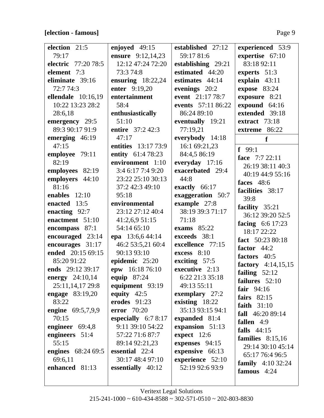## **[election - famous]** Page 9

| election 21:5          | enjoyed 49:15        | established 27:12  | experienced 53:9          |
|------------------------|----------------------|--------------------|---------------------------|
| 79:17                  | ensure 9:12,14,23    | 59:17 81:6         | expertise 67:10           |
| electric 77:20 78:5    | 12:12 47:24 72:20    | establishing 29:21 | 83:18 92:11               |
| element 7:3            | 73:3 74:8            | estimated 44:20    | experts 51:3              |
| eliminate 39:16        | ensuring $18:22,24$  | estimates 44:14    | explain 43:11             |
| 72:7 74:3              | enter 9:19,20        | evenings 20:2      | expose 83:24              |
| ellendale $10:16,19$   | entertainment        | event 21:17 78:7   | exposure 8:21             |
| 10:22 13:23 28:2       | 58:4                 | events 57:11 86:22 | expound 64:16             |
| 28:6,18                | enthusiastically     | 86:24 89:10        | extended 39:18            |
| emergency 29:5         | 51:10                | eventually 19:21   | extract 73:18             |
| 89:3 90:17 91:9        | entire 37:2 42:3     | 77:19,21           | extreme 86:22             |
| emerging 46:19         | 47:17                | everybody 14:18    | f                         |
| 47:15                  | entities 13:17 73:9  | 16:1 69:21,23      | $f$ 99:1                  |
| employee 79:11         | entity 61:4 78:23    | 84:4,5 86:19       | face 7:7 22:11            |
| 82:19                  | environment 1:10     | everyday 17:16     | 26:19 38:11 40:3          |
| employees 82:19        | 3:4 6:17 7:4 9:20    | exacerbated 29:4   | 40:19 44:9 55:16          |
| employers 44:10        | 23:22 25:10 30:13    | 44:8               |                           |
| 81:16                  | 37:2 42:3 49:10      | exactly 66:17      | faces $48:6$              |
| enables $12:10$        | 95:18                | exaggeration 50:7  | facilities 38:17          |
| enacted 13:5           | environmental        | example 27:8       | 39:8                      |
| enacting 92:7          | 23:12 27:12 40:4     | 38:19 39:3 71:17   | facility 35:21            |
| enactment 51:10        | 41:2,6,9 51:15       | 71:18              | 36:12 39:20 52:5          |
| encompass 87:1         | 54:14 65:10          | exams $85:22$      | facing $6:6$ 17:23        |
| encouraged 23:14       | epa 13:6,6 44:14     | exceeds 38:1       | 18:17 22:22               |
| encourages 31:17       | 46:2 53:5,21 60:4    | excellence 77:15   | fact 50:23 80:18          |
| ended 20:15 69:15      | 90:13 93:10          | $excess$ 8:10      | factor $44:2$             |
| 85:20 91:22            | epidemic 25:20       | exciting $57:5$    | factors 40:5              |
| ends 29:12 39:17       | epw 16:18 76:10      | executive 2:13     | factory $4:14,15,15$      |
| energy 24:10,14        | <b>equip</b> 87:24   | 6:22 21:3 35:18    | failing $52:12$           |
| 25:11,14,17 29:8       | equipment 93:19      | 49:13 55:11        | failures $52:10$          |
| <b>engage</b> 83:19,20 | equity $42:5$        | exemplary 27:2     | fair $94:16$              |
| 83:22                  | erodes 91:23         | existing 18:22     | fairs $82:15$             |
| engine 69:5,7,9,9      | <b>error</b> 70:20   | 35:13 93:15 94:1   | faith $31:10$             |
| 70:15                  | especially $6:78:17$ | expanded 81:4      | fall $46:2089:14$         |
| engineer $69:4,8$      | 9:11 39:10 54:22     | expansion 51:13    | fallen 4:9                |
| engineers 51:4         | 57:22 71:6 87:7      | expect 12:6        | falls $44:15$             |
| 55:15                  | 89:14 92:21,23       | expenses 94:15     | families $8:15,16$        |
| engines 68:24 69:5     | essential 22:4       | expensive 66:13    | 29:14 30:10 45:14         |
| 69:6,11                | 30:17 48:4 97:10     | experience 52:10   | 65:17 76:4 96:5           |
| enhanced 81:13         | essentially 40:12    | 52:19 92:6 93:9    | <b>family</b> $4:1032:24$ |
|                        |                      |                    | famous $4:24$             |
|                        |                      |                    |                           |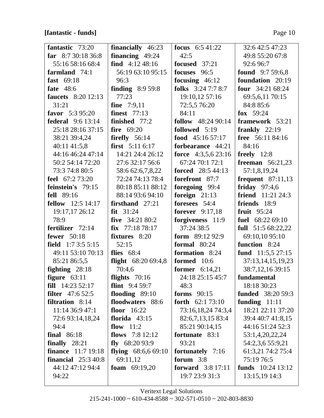## [fantastic - funds]

| fantastic 73:20             | <b>financially</b> 46:23    | <b>focus</b> $6:541:22$    | 32:6 42:5 47:23            |
|-----------------------------|-----------------------------|----------------------------|----------------------------|
| far $8:730:1836:8$          | financing $49:24$           | 42:5                       | 49:8 55:20 67:8            |
| 55:16 58:16 68:4            | find $4:12\,48:16$          | focused 37:21              | 92:6 96:7                  |
| farmland 74:1               | 56:19 63:10 95:15           | focuses 96:5               | <b>found</b> 9:7 59:6,8    |
| fast 69:18                  | 96:3                        | focusing $46:12$           | foundation 20:19           |
| <b>fate</b> 48:6            | finding $8:959:8$           | folks $3:247:78:7$         | <b>four</b> $34:2168:24$   |
| <b>faucets</b> 8:20 12:13   | 77:23                       | 19:10,12 57:16             | 69:5,6,11 70:15            |
| 31:21                       | <b>fine</b> 7:9,11          | 72:5,5 76:20               | 84:8 85:6                  |
| favor $5:395:20$            | finest $77:13$              | 84:11                      | fox $59:24$                |
| <b>federal</b> 9:6 13:14    | finished $77:2$             | <b>follow</b> $48:2490:14$ | framework 53:21            |
| 25:18 28:16 37:15           | fire $69:20$                | followed 5:19              | frankly $22:19$            |
| 38:21 39:4,24               | firefly $56:14$             | food $45:1657:17$          | free 56:11 84:16           |
| 40:11 41:5,8                | <b>first</b> $5:116:17$     | forbearance 44:21          | 84:16                      |
| 44:16 46:24 47:14           | 14:21 24:4 26:12            | force $4:3,5,6$ 23:16      | freely $12:8$              |
| 50:2 54:14 72:20            | 27:6 32:17 56:6             | 67:24 70:1 72:1            | <b>freeman</b> $56:21,23$  |
| 73:3 74:8 80:5              | 58:6 62:6,7,8,22            | forced 28:5 44:13          | 57:1,8,19,24               |
| feel 67:2 73:20             | 72:24 74:13 78:4            | forefront 87:7             | frequent $87:11,13$        |
| feinstein's 79:15           | 80:18 85:11 88:12           | foregoing 99:4             | friday $97:4,6$            |
| <b>fell</b> 89:16           | 88:14 93:6 94:10            | foreign $21:13$            | <b>friend</b> $11:21$ 24:3 |
| <b>fellow</b> 12:5 14:17    | firsthand $27:21$           | foresees 54:4              | friends 18:9               |
| 19:17,17 26:12              | $fit$ 31:24                 | <b>forever</b> 9:17,18     | fruit $95:24$              |
| 78:9                        | five $34:2180:2$            | forgiveness 11:9           | fuel 68:22 69:10           |
| fertilizer 72:14            | $fix$ 77:18 78:17           | 37:24 38:5                 | full $51:568:22,22$        |
| <b>fewer</b> 50:18          | fixtures 8:20               | form $89:1292:9$           | 69:10,10 95:10             |
| field $1:73:55:15$          | 52:15                       | formal $80:24$             | function 8:24              |
| 49:11 53:10 70:13           | flies $68:4$                | formation 8:24             | fund $11:5,527:15$         |
| 85:21 86:5,5                | <b>flight</b> $68:2069:4,8$ | formed 10:6                | 37:13,14,15,19,23          |
| fighting $28:18$            | 70:4,6                      | former $6:14,21$           | 38:7, 12, 16 39:15         |
| figure $63:11$              | flights $70:16$             | 24:18 25:15 45:7           | fundamental                |
| <b>fill</b> $14:2352:17$    | <b>flint</b> $9:459:7$      | 48:3                       | 18:18 30:23                |
| <b>filter</b> $47:652:5$    | flooding 89:10              | forms $90:15$              | <b>funded</b> 38:20 59:3   |
| <b>filtration</b> 8:14      | floodwaters 88:6            | <b>forth</b> $62:173:10$   | funding $11:11$            |
| 11:14 36:9 47:1             | floor $16:22$               | 73:16,18,24 74:3,4         | 18:21 22:11 37:20          |
| 72:6 93:14,18,24            | florida $43:15$             | 82:6,7,13,15 83:4          | 39:4 40:7 41:8,15          |
| 94:4                        | flow $11:2$                 | 85:21 90:14,15             | 44:16 51:24 52:3           |
| <b>final</b> 86:18          | flows $7:812:12$            | fortunate 83:1             | 53:1,4,20,22,24            |
| finally $28:21$             | fly $68:2093:9$             | 93:21                      | 54:2,3,6 55:9,21           |
| <b>finance</b> 11:7 19:18   | flying $68:6,669:10$        | fortunately 7:16           | 61:3,21 74:2 75:4          |
| <b>financial</b> $25:340:8$ | 69:11,12                    | forum $3:8$                | 75:19 76:5                 |
| 44:12 47:12 94:4            | foam $69:19,20$             | <b>forward</b> 3:8 17:11   | funds $10:24$ 13:12        |
| 94:22                       |                             | 19:7 23:9 31:3             | 13:15,19 14:3              |
|                             |                             |                            |                            |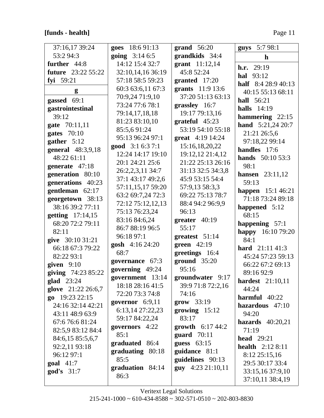## [funds - health]

| 37:16,17 39:24            | goes 18:6 91:13        | grand $56:20$            | guys 5:7 98:1            |
|---------------------------|------------------------|--------------------------|--------------------------|
| 53:2 94:3                 | <b>going</b> $3:146:5$ | grandkids 34:4           | $\mathbf h$              |
| further 44:8              | 14:12 15:4 32:7        | grant $11:12,14$         | <b>h.r.</b> 29:19        |
| <b>future</b> 23:22 55:22 | 32:10,14,16 36:19      | 45:8 52:24               | <b>hal</b> 93:12         |
| fyi 59:21                 | 57:18 58:5 59:23       | granted 17:20            | half $8:428:940:13$      |
| g                         | 60:3 63:6,11 67:3      | grants 11:9 13:6         | 40:15 55:13 68:11        |
| gassed 69:1               | 70:9,24 71:9,10        | 37:20 51:13 63:13        | <b>hall</b> 56:21        |
| gastrointestinal          | 73:24 77:6 78:1        | grassley 16:7            | <b>halls</b> 14:19       |
| 39:12                     | 79:14,17,18,18         | 19:17 79:13,16           | hammering 22:15          |
| gate 70:11,11             | 81:23 83:10,10         | $grateful$ 45:23         | hand 5:21,24 20:7        |
| gates $70:10$             | 85:5,691:24            | 53:19 54:10 55:18        | 21:21 26:5,6             |
| gather $5:12$             | 95:13 96:24 97:1       | great 4:19 14:24         | 97:18,22 99:14           |
| general 48:3,9,18         | good 3:1 6:3 7:1       | 15:16,18,20,22           | handles 17:6             |
| 48:22 61:11               | 12:24 14:17 19:10      | 19:12,12 21:4,12         | <b>hands</b> $50:1053:3$ |
| generate 47:18            | 20:1 24:21 25:6        | 21:22 25:13 26:16        | 98:1                     |
| generation 80:10          | 26:2,2,3,11 34:7       | 31:13 32:5 34:3,8        | <b>hansen</b> $23:11,12$ |
| generations 40:23         | 37:1 43:17 49:2,6      | 45:9 53:15 54:4          | 59:13                    |
| gentleman $62:17$         | 57:11,15,17 59:20      | 57:9,13 58:3,3           | happen 15:1 46:21        |
| georgetown 38:13          | 63:2 69:7,24 72:3      | 69:22 75:13 78:7         | 71:18 73:24 89:18        |
| 38:16 39:2 77:11          | 72:12 75:12,12,13      | 88:4 94:2 96:9,9         | happened 5:12            |
| getting 17:14,15          | 75:13 76:23,24         | 96:13                    | 68:15                    |
| 68:20 72:2 79:11          | 83:16 84:6,24          | greater $40:19$          | happening 57:1           |
| 82:11                     | 86:7 88:19 96:5        | 55:17                    | happy 16:10 79:20        |
| give 30:10 31:21          | 96:18 97:1             | greatest 51:14           | 84:1                     |
| 66:18 67:3 79:22          | gosh 4:16 24:20        | green $42:19$            | <b>hard</b> $21:1141:3$  |
| 82:22 93:1                | 68:7                   | greetings 16:4           | 45:24 57:23 59:13        |
| given $9:10$              | governance 67:3        | $ground$ 35:20           | 66:22 67:2 69:13         |
| giving 74:23 85:22        | governing 49:24        | 95:16                    | 89:16 92:9               |
| glad 23:24                | government 13:14       | groundwater 9:17         | <b>hardest</b> 21:10,11  |
| glove 21:22 26:6,7        | 18:18 28:16 41:5       | 39:9 71:8 72:2,16        | 44:24                    |
| go $19:232:15$            | 72:20 73:3 74:8        | 74:16                    | $harmful 40:22$          |
| 24:16 32:14 42:21         | governor $6:9,11$      | $\textbf{grow}$ 33:19    | hazardous 47:10          |
| 43:11 48:9 63:9           | 6:13,14 27:22,23       | growing $15:12$          | 94:20                    |
| 67:676:681:24             | 59:17 84:22,24         | 83:17                    | hazards $40:20,21$       |
| 82:5,9 83:12 84:4         | governors 4:22         | <b>growth</b> $6:1744:2$ | 71:19                    |
| 84:6,15 85:5,6,7          | 85:1                   | guard $70:11$            | <b>head</b> 29:21        |
| 92:2,11 93:18             | graduated 86:4         | guess $63:15$            | <b>health</b> $2:128:11$ |
| 96:12 97:1                | graduating 80:18       | guidance 81:1            | 8:12 25:15,16            |
| $goal \quad 41:7$         | 85:5                   | guidelines 90:13         | 29:5 30:17 33:4          |
| $\text{god's}$ 31:7       | graduation 84:14       | guy 4:23 21:10,11        | 33:15,16 37:9,10         |
|                           | 86:3                   |                          | 37:10,11 38:4,19         |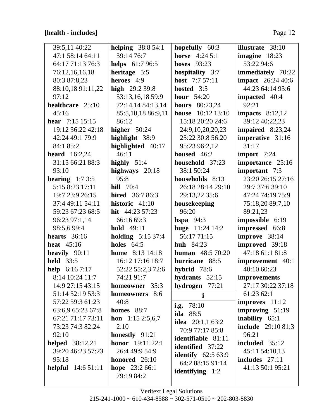# **[health - includes]** Page 12

| 39:5,11 40:22              | helping $38:854:1$            | hopefully 60:3            | <b>illustrate</b> 38:10   |
|----------------------------|-------------------------------|---------------------------|---------------------------|
| 47:1 58:14 64:11           | 59:14 76:7                    | <b>horse</b> $4:245:1$    | imagine $18:23$           |
| 64:17 71:13 76:3           | <b>helps</b> 61:7 96:5        | hoses $93:23$             | 53:22 94:6                |
| 76:12,16,16,18             | heritage 5:5                  | hospitality 3:7           | immediately 70:22         |
| 80:3 87:8,23               | heroes 4:9                    | host $7:757:11$           | <b>impact</b> 26:24 40:6  |
| 88:10,18 91:11,22          | high $29:239:8$               | hosted 3:5                | 44:23 64:14 93:6          |
| 97:12                      | 53:13,16,18 59:9              | hour $54:20$              | impacted 40:4             |
| healthcare 25:10           | 72:14,14 84:13,14             | <b>hours</b> $80:23,24$   | 92:21                     |
| 45:16                      | 85:5,10,18 86:9,11            | <b>house</b> 10:12 13:10  | impacts $8:12,12$         |
| <b>hear</b> $7:15$ 15:15   | 86:12                         | 15:18 20:20 24:6          | 39:12 40:22,23            |
| 19:12 36:22 42:18          | higher $50:24$                | 24:9,10,20,20,23          | impaired 8:23,24          |
| 42:24 49:1 79:9            | highlight 38:9                | 25:22 30:8 56:20          | imperative 31:16          |
| 84:1 85:2                  | highlighted 40:17             | 95:23 96:2,12             | 31:17                     |
| heard $16:2,24$            | 46:11                         | housed 46:2               | import 7:24               |
| 31:15 66:21 88:3           | highly $51:4$                 | household 37:23           | importance 25:16          |
| 93:10                      | highways 20:18                | 38:1 50:24                | important 7:3             |
| hearing $1:73:5$           | 95:8                          | households 8:13           | 23:20 26:15 27:16         |
| 5:15 8:23 17:11            | <b>hill</b> 70:4              | 26:18 28:14 29:10         | 29:7 37:6 39:10           |
| 19:7 23:9 26:15            | <b>hired</b> 36:7 86:3        | 29:13,22 35:6             | 47:24 74:19 75:9          |
| 37:4 49:11 54:11           | historic $41:10$              | housekeeping              | 75:18,20 89:7,10          |
| 59:23 67:23 68:5           | hit $44:23\,57:23$            | 96:20                     | 89:21,23                  |
| 96:23 97:1,14              | 66:16 69:3                    | hspa $94:3$               | impossible 6:19           |
| 98:5,6 99:4                | <b>hold</b> 49:11             | huge $11:2414:2$          | impressed 66:8            |
| hearts $36:16$             | <b>holding</b> $5:1537:4$     | 56:17 71:15               | improve 38:14             |
| heat $45:16$               | holes $64:5$                  | <b>huh</b> 84:23          | improved 39:18            |
| heavily $90:11$            | <b>home</b> $8:13$ 14:18      | <b>human</b> $48:570:20$  | 47:18 61:1 81:8           |
| <b>held</b> 33:5           | 16:12 17:16 18:7              | hurricane 88:5            | improvement 40:1          |
| help $6:167:17$            | 52:22 55:2,3 72:6             | hybrid 78:6               | 40:10 60:23               |
| 8:14 10:24 11:7            | 74:21 91:7                    | hydrants 52:15            | improvements              |
| 14:9 27:15 43:15           | homeowner 35:3                | hydrogen 77:21            | 27:17 30:22 37:18         |
| 51:14 52:19 53:3           | homeowners 8:6                | i                         | 61:23 62:1                |
| 57:22 59:3 61:23           | 40:8                          | i.g. $78:10$              | $improves$ 11:12          |
| 63:6,9 65:23 67:8          | homes $88:7$                  | ida 88:5                  | improving $51:19$         |
| 67:21 71:17 73:11          | <b>hon</b> $1:152:5,6,7$      | idea $20:1,163:2$         | inability 65:1            |
| 73:23 74:3 82:24           | 2:10                          | 70:9 77:17 85:8           | <b>include</b> 29:10 81:3 |
| 92:10                      | honestly $91:21$              | <b>identifiable</b> 81:11 | 96:21                     |
| <b>helped</b> 38:12,21     | honor 19:11 22:1              | <b>identified</b> 37:22   | included 35:12            |
| 39:20 46:23 57:23          | 26:4 49:9 54:9                | <b>identify</b> 62:5 63:9 | 45:11 54:10,13            |
| 95:18                      | honored $26:10$               | 64:2 88:15 91:14          | includes 27:11            |
| <b>helpful</b> $14:651:11$ | hope $23:266:1$<br>79:19 84:2 | <b>identifying</b> 1:2    | 41:13 50:1 95:21          |
|                            |                               |                           |                           |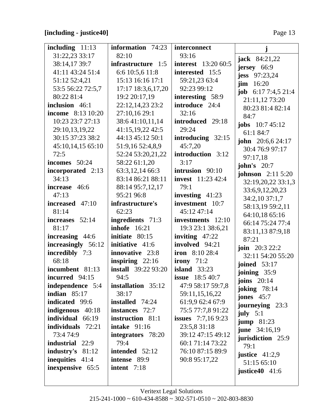# **[including - justice40]** Page 13

| including $11:13$        | information 74:23          | interconnect               | j                         |
|--------------------------|----------------------------|----------------------------|---------------------------|
| 31:22,23 33:17           | 82:10                      | 93:16                      | <b>jack</b> 84:21,22      |
| 38:14,17 39:7            | infrastructure 1:5         | <b>interest</b> 13:20 60:5 | jersey 66:9               |
| 41:11 43:24 51:4         | 6:6 10:5,6 11:8            | interested 15:5            | jess 97:23,24             |
| 51:12 52:4,21            | 15:13 16:16 17:1           | 59:21,23 63:4              | $\lim$ 16:20              |
| 53:5 56:22 72:5,7        | 17:17 18:3,6,17,20         | 92:23 99:12                | job 6:17 7:4,5 21:4       |
| 80:22 81:4               | 19:2 20:17,19              | interesting 58:9           | 21:11,12 73:20            |
| inclusion 46:1           | 22:12,14,23 23:2           | introduce 24:4             | 80:23 81:4 82:14          |
| <b>income</b> 8:13 10:20 | 27:10,16 29:1              | 32:16                      | 84:7                      |
| 10:23 23:7 27:13         | 38:641:10,11,14            | introduced 29:18           | <b>jobs</b> $10:745:12$   |
| 29:10,13,19,22           | 41:15,19,22 42:5           | 29:24                      | 61:1 84:7                 |
| 30:15 37:23 38:2         | 44:13 45:12 50:1           | introducing 32:15          | <b>john</b> $20:6,624:17$ |
| 45:10,14,15 65:10        | 51:9,16 52:4,8,9           | 45:7,20                    | 30:4 76:9 97:17           |
| 72:5                     | 52:24 53:20,21,22          | introduction 3:12          | 97:17,18                  |
| incomes 50:24            | 58:22 61:1,20              | 3:17                       | <b>john's</b> 20:7        |
| incorporated 2:13        | 63:3, 12, 14 66:3          | intrusion 90:10            | <b>johnson</b> 2:11 5:20  |
| 34:13                    | 83:14 86:21 88:11          | <b>invest</b> 11:23 42:4   | 32:19,20,22 33:1,3        |
| increase 46:6            | 88:14 95:7,12,17           | 79:1                       | 33:6,9,12,20,23           |
| 47:13                    | 95:21 96:8                 | investing $41:23$          | 34:2,10 37:1,7            |
| increased 47:10          | infrastructure's           | investment 10:7            | 58:13,19 59:2,11          |
| 81:14                    | 62:23                      | 45:12 47:14                | 64:10,18 65:16            |
| increases 52:14          | ingredients 71:3           | investments 12:10          | 66:14 75:24 77:4          |
| 81:17                    | <b>inhofe</b> 16:21        | 19:3 23:1 38:6,21          | 83:11,13 87:9,18          |
| increasing 44:6          | initiate 80:15             | inviting $47:22$           | 87:21                     |
| increasingly 56:12       | initiative 41:6            | involved 94:21             | <b>join</b> 20:3 22:2     |
| incredibly 7:3           | innovative 23:8            | iron $8:1028:4$            | 32:11 54:20 55:20         |
| 68:18                    | inspiring $22:16$          | irony $71:2$               | joined $53:17$            |
| incumbent 81:13          | <b>install</b> 39:22 93:20 | island $33:23$             | joining 35:9              |
| incurred 94:15           | 94:5                       | <b>issue</b> 18:5 40:7     | joins $20:14$             |
| independence 5:4         | installation 35:12         | 47:9 58:17 59:7,8          | <b>joking</b> 78:14       |
| indian $85:17$           | 38:17                      | 59:11,15,16,22             | jones $45:7$              |
| indicated 99:6           | <b>installed</b> 74:24     | 61:9,9 62:4 67:9           | journeying 23:3           |
| indigenous 40:18         | <b>instances</b> 72:7      | 75:5 77:7,8 91:22          | july $5:1$                |
| individual 66:19         | instruction 81:1           | <b>issues</b> $7:7,169:23$ | jump 81:23                |
| individuals 72:21        | intake $91:16$             | 23:5,8 31:18               | <b>june</b> 34:16,19      |
| 73:4 74:9                | integrators 78:20          | 39:12 47:15 49:12          | jurisdiction 25:9         |
| <b>industrial</b> 22:9   | 79:4                       | 60:1 71:14 73:22           | 79:1                      |
| industry's $81:12$       | intended 52:12             | 76:10 87:15 89:9           | justice $41:2,9$          |
| <b>inequities</b> 41:4   | intense 89:9               | 90:8 95:17,22              | 51:15 65:10               |
| inexpensive 65:5         | intent 7:18                |                            | justice 40 $41:6$         |
|                          |                            |                            |                           |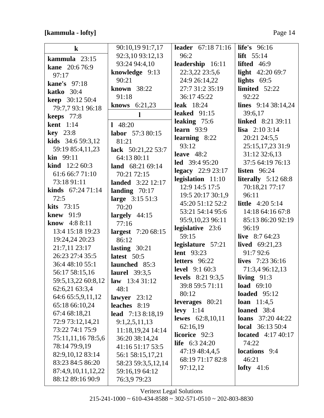## [kammula - lofty]

| $\bf k$                   | 90:10,19 91:7,17          | <b>leader</b> 67:18 71:16              | <b>life's</b> 96:16                  |
|---------------------------|---------------------------|----------------------------------------|--------------------------------------|
| kammula 23:15             | 92:3,10 93:12,13          | 96:2                                   | lift $55:14$                         |
| <b>kane</b> 20:6 76:9     | 93:24 94:4,10             | leadership 16:11                       | lifted $46:9$                        |
| 97:17                     | knowledge 9:13            | 22:3,22 23:5,6                         | light $42:2069:7$                    |
| <b>kane's</b> 97:18       | 90:21                     | 24:9 26:14,22                          | lights $69:5$                        |
| katko $30:4$              | known 38:22               | 27:7 31:2 35:19                        | limited 52:22                        |
| <b>keep</b> 30:12 50:4    | 91:18                     | 36:17 45:22                            | 92:22                                |
| 79:7,7 93:1 96:18         | <b>knows</b> $6:21,23$    | <b>leak</b> 18:24                      | lines $9:14\,38:14,24$               |
| keeps 77:8                | $\mathbf{l}$              | leaked $91:15$                         | 39:6,17                              |
| <b>kent</b> 1:14          | 148:20                    | leaking 75:6                           | linked 8:21 39:11                    |
| <b>key</b> 23:8           | labor 57:3 80:15          | learn $93:9$                           | <b>lisa</b> $2:103:14$               |
| kids 34:6 59:3,12         | 81:21                     | learning 8:22                          | 20:21 24:5,5                         |
| 59:19 85:4,11,23          | lack 50:21,22 53:7        | 93:12                                  | 25:15,17,23 31:9                     |
| <b>kin</b> $99:11$        | 64:13 80:11               | leave $48:2$                           | 31:12 32:6,13                        |
| <b>kind</b> $12:260:3$    | land 68:21 69:14          | <b>led</b> 39:4 95:20                  | 37:5 64:19 76:13                     |
| 61:6 66:7 71:10           | 70:21 72:15               | legacy $22:923:17$                     | <b>listen</b> 96:24                  |
| 73:18 91:11               | <b>landed</b> 3:22 12:17  | legislation 11:10                      | literally $5:1268:8$                 |
| <b>kinds</b> $67:2471:14$ | landing $70:17$           | 12:9 14:5 17:5                         | 70:18,21 77:17                       |
| 72:5                      | large 3:15 51:3           | 19:5 20:17 30:1,9                      | 96:11                                |
| kits $73:15$              | 70:20                     | 45:20 51:12 52:2                       | <b>little</b> $4:205:14$             |
| knew $91:9$               | largely $44:15$           | 53:21 54:14 95:6                       | 14:18 64:16 67:8                     |
| know 4:8 8:11             | 77:16                     | 95:9,10,23 96:11                       | 85:13 86:20 92:19                    |
| 13:4 15:18 19:23          | <b>largest</b> 7:20 68:15 | legislative 23:6                       | 96:19                                |
| 19:24,24 20:23            | 86:12                     | 59:15                                  | live $8:764:23$                      |
| 21:7,11 23:17             | lasting $30:21$           | legislature 57:21<br><b>lent</b> 93:23 | <b>lived</b> $69:21,23$<br>91:7 92:6 |
| 26:23 27:4 35:5           | latest 50:5               | letters 96:22                          | lives $7:2336:16$                    |
| 36:4 48:10 55:1           | launched 85:3             | <b>level</b> 9:1 60:3                  |                                      |
| 56:17 58:15,16            | <b>laurel</b> 39:3,5      | levels $8:219:3,5$                     | 71:3,4 96:12,13<br>living $91:3$     |
| 59:5,13,22 60:8,12        | law $13:431:12$           | 39:8 59:5 71:11                        | load $69:10$                         |
| 62:6,21 63:3,4            | 48:1                      | 80:12                                  | loaded $95:12$                       |
| 64:6 65:5,9,11,12         | lawyer $23:12$            | leverages 80:21                        | <b>loan</b> $11:4,5$                 |
| 65:18 66:10,24            | leaches $8:19$            | levy $1:14$                            | loaned 38:4                          |
| 67:4 68:18,21             | <b>lead</b> 7:13 8:18,19  | lewes $62:8,10,11$                     | <b>loans</b> $37:2044:22$            |
| 72:9 73:12,14,21          | 9:1,2,5,11,13             | 62:16,19                               | <b>local</b> $36:1350:4$             |
| 73:22 74:1 75:9           | 11:18,19,24 14:14         | licorice 92:3                          | <b>located</b> $4:17\,40:17$         |
| 75:11,11,16 78:5,6        | 36:20 38:14,24            | <b>life</b> $6:324:20$                 | 74:22                                |
| 78:14 79:9,19             | 41:16 51:17 53:5          | 47:19 48:4,4,5                         | <b>locations</b> 9:4                 |
| 82:9,10,12 83:14          | 56:1 58:15,17,21          | 68:19 71:17 82:8                       | 46:21                                |
| 83:23 84:5 86:20          | 58:23 59:3,5,12,14        | 97:12,12                               | lofty $41:6$                         |
| 87:4,9,10,11,12,22        | 59:16,19 64:12            |                                        |                                      |
| 88:12 89:16 90:9          | 76:3,9 79:23              |                                        |                                      |

Veritext Legal Solutions  $215 - 241 - 1000 \sim 610 - 434 - 8588 \sim 302 - 571 - 0510 \sim 202 - 803 - 8830$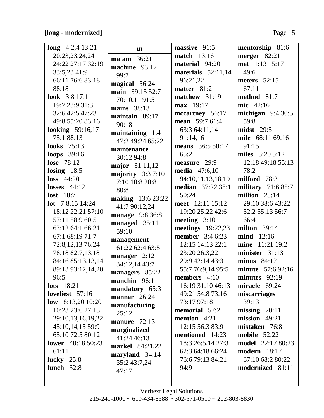# **[long - modernized]** Page 15

| long $4:2,4$ 13:21          |                          | massive 91:5             | mentorship 81:6          |
|-----------------------------|--------------------------|--------------------------|--------------------------|
|                             | m                        |                          |                          |
| 20:23,23,24,24              | ma'am 36:21              | <b>match</b> 13:16       | merger $82:21$           |
| 24:22 27:17 32:19           | machine 93:17            | material 94:20           | met 1:13 15:17           |
| 33:5,23 41:9                | 99:7                     | materials $52:11,14$     | 49:6                     |
| 66:11 76:6 83:18            | magical 56:24            | 96:21,22                 | meters $52:15$           |
| 88:18                       | main 39:15 52:7          | matter 81:2              | 67:11                    |
| look $3:817:11$             | 70:10,11 91:5            | matthew $31:19$          | method 81:7              |
| 19:7 23:9 31:3              | mains 38:13              | max 19:17                | mic 42:16                |
| 32:6 42:5 47:23             | maintain 89:17           | mccartney 56:17          | michigan $9:430:5$       |
| 49:8 55:20 83:16            | 90:18                    | <b>mean</b> 59:7 61:4    | 59:8                     |
| <b>looking</b> 59:16,17     | maintaining $1:4$        | 63:3 64:11,14            | $mids$ 29:5              |
| 75:188:13                   | 47:2 49:24 65:22         | 91:14,16                 | mile 68:11 69:16         |
| <b>looks</b> 75:13          | maintenance              | <b>means</b> 36:5 50:17  | 91:15                    |
| <b>loops</b> 39:16          | 30:12 94:8               | 65:2                     | miles 3:20 5:12          |
| <b>lose</b> 78:12           |                          | measure 29:9             | 12:18 49:18 55:13        |
| losing $18:5$               | major 31:11,12           | <b>media</b> 47:6,10     | 78:2                     |
| $loss$ 44:20                | majority $3:37:10$       | 94:10,11,13,18,19        | milford 78:3             |
| <b>losses</b> 44:12         | 7:10 10:8 20:8           | <b>median</b> 37:22 38:1 | military $71:685:7$      |
| <b>lost</b> 18:7            | 80:8                     | 50:24                    | million $28:14$          |
| <b>lot</b> $7:8,15$ 14:24   | <b>making</b> 13:6 23:22 | meet 12:11 15:12         | 29:10 38:6 43:22         |
| 18:12 22:21 57:10           | 41:7 90:12,24            | 19:20 25:22 42:6         | 52:2 55:13 56:7          |
| 57:11 58:9 60:5             | manage 9:8 36:8          | meeting $3:10$           | 66:4                     |
| 63:12 64:1 66:21            | managed 35:11            | meetings 19:22,23        | milton $39:14$           |
|                             | 59:10                    | <b>member</b> 3:4 6:23   | <b>mind</b> 12:16        |
| 67:1 68:19 71:7             | management               |                          |                          |
| 72:8,12,13 76:24            | 61:22 62:4 63:5          | 12:15 14:13 22:1         | mine 11:21 19:2          |
| 78:18 82:7,13,18            | manager 2:12             | 23:20 26:3,22            | minister 31:13           |
| 84:16 85:13,13,14           | 34:12,14 43:7            | 29:9 42:14 43:3          | minus $84:12$            |
| 89:13 93:12,14,20           | managers 85:22           | 55:7 76:9,14 95:5        | <b>minute</b> 57:6 92:16 |
| 96:5                        | manchin 96:1             | <b>members</b> $4:10$    | minutes $92:19$          |
| $\textbf{lots} \quad 18:21$ | mandatory 65:3           | 16:19 31:10 46:13        | miracle 69:24            |
| loveliest $57:16$           | <b>manner</b> 26:24      | 49:21 54:8 73:16         | miscarriages             |
| low $8:13,2010:20$          | manufacturing            | 73:17 97:18              | 39:13                    |
| 10:23 23:6 27:13            | 25:12                    | memorial 57:2            | $missing$ 20:11          |
| 29:10,13,16,19,22           | manure $72:13$           | mention 4:21             | $mission$ 49:21          |
| 45:10,14,15 59:9            | marginalized             | 12:15 56:3 83:9          | mistaken 76:8            |
| 65:10 72:5 80:12            | 41:24 46:13              | mentioned 14:23          | <b>mobile</b> 52:22      |
| <b>lower</b> 40:18 50:23    |                          | 18:3 26:5,14 27:3        | <b>model</b> 22:17 80:23 |
| 61:11                       | <b>markel</b> 84:21,22   | 62:3 64:18 66:24         | <b>modern</b> 18:17      |
| lucky $25:8$                | maryland 34:14           | 76:6 79:13 84:21         | 67:10 68:2 80:22         |
| lunch $32:8$                | 35:2 43:7,24             | 94:9                     | modernized 81:11         |
|                             | 47:17                    |                          |                          |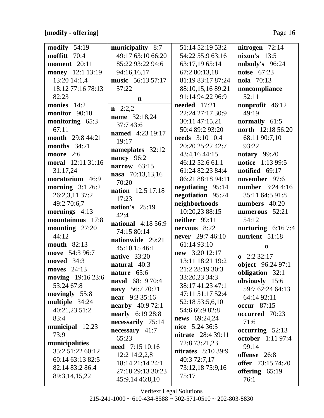**[modify - offering]** Page 16

| modify $54:19$                         | municipality 8:7          | 51:14 52:19 53:2                    | nitrogen $72:14$         |
|----------------------------------------|---------------------------|-------------------------------------|--------------------------|
| moffitt 70:4                           | 49:17 63:10 66:20         | 54:22 55:9 63:16                    | nixon's $13:5$           |
| <b>moment</b> 20:11                    | 85:22 93:22 94:6          | 63:17,19 65:14                      | nobody's 96:24           |
| money 12:1 13:19                       | 94:16,16,17               | 67:2 80:13,18                       | <b>noise</b> 67:23       |
| 13:20 14:1,4                           | music 56:13 57:17         | 81:19 83:17 87:24                   | nola 70:13               |
| 18:12 77:16 78:13                      | 57:22                     | 88:10,15,16 89:21                   | noncompliance            |
| 82:23                                  | $\mathbf n$               | 91:14 94:22 96:9                    | 52:11                    |
| monies 14:2                            |                           | <b>needed</b> 17:21                 | nonprofit 46:12          |
| monitor 90:10                          | $n \quad 2:2,2$           | 22:24 27:17 30:9                    | 49:19                    |
| monitoring 65:3                        | name 32:18,24             | 30:11 47:15,21                      | normally 61:5            |
| 67:11                                  | 37:7 43:6                 | 50:4 89:2 93:20                     | north 12:18 56:20        |
| month 29:8 44:21                       | <b>named</b> 4:23 19:17   | <b>needs</b> 3:10 10:4              | 68:11 90:7,10            |
| <b>months</b> 34:21                    | 19:17                     | 20:20 25:22 42:7                    | 93:22                    |
| moore 2:6                              | nameplates 32:12          | 43:4,16 44:15                       | notary $99:20$           |
| moral 12:11 31:16                      | nancy 96:2                | 46:12 52:6 61:1                     | notice 1:13 99:5         |
| 31:17,24                               | narrow $63:15$            | 61:24 82:23 84:4                    | notified $69:17$         |
| moratorium 46:9                        | nasa 70:13,13,16          | 86:21 88:18 94:11                   | november 97:6            |
| morning $3:126:2$                      | 70:20                     | negotiating 95:14                   | number 3:24 4:16         |
| 26:2,3,11 37:2                         | nation 12:5 17:18         | negotiation 95:24                   | 35:11 64:5 91:8          |
| 49:2 70:6,7                            | 17:23                     | neighborhoods                       | numbers 40:20            |
| mornings 4:13                          | nation's 25:19            | 10:20,23 88:15                      | numerous 52:21           |
| mountainous 17:8                       | 42:4                      | neither 99:11                       | 54:12                    |
|                                        | <b>national</b> 4:18 56:9 | nervous 8:22                        |                          |
| mounting 27:20<br>44:12                | 74:15 80:14               |                                     | nurturing $6:167:4$      |
| <b>mouth</b> 82:13                     | nationwide 29:21          | never 29:7 46:10                    | nutrient 51:18           |
|                                        | 45:10,15 46:1             | 61:14 93:10                         | $\bf{0}$                 |
| move 54:3 96:7                         | native 33:20              | new 3:20 12:17                      | $\mathbf{0}$ 2:2 32:17   |
| moved 34:3                             | natural 40:3              | 13:11 18:21 19:2<br>21:2 28:19 30:3 | object 96:24 97:1        |
| moves 24:13                            | nature 65:6               |                                     | obligation 32:1          |
| <b>moving</b> 19:16 23:6<br>53:24 67:8 | <b>naval</b> 68:19 70:4   | 33:20,23 34:3<br>38:17 41:23 47:1   | obviously 15:6           |
|                                        | navy 56:7 70:21           | 47:11 51:17 52:4                    | 59:7 62:24 64:13         |
| movingly 55:8                          | <b>near</b> 9:3 35:16     |                                     | 64:14 92:11              |
| multiple 34:24                         | <b>nearby</b> 40:9 72:1   | 52:18 53:5,6,10<br>54:6 66:9 82:8   | occur $87:15$            |
| 40:21,23 51:2                          | <b>nearly</b> 6:19 28:8   |                                     | occurred 70:23           |
| 83:4                                   | necessarily 75:14         | <b>news</b> 69:24,24                | 71:6                     |
| municipal 12:23                        | $necessary$ 41:7          | nice 5:24 36:5                      | occurring $52:13$        |
| 73:9                                   | 65:23                     | <b>nitrate</b> 28:4 39:11           | <b>october</b> 1:11 97:4 |
| municipalities                         | <b>need</b> 7:15 10:16    | 72:8 73:21,23                       | 99:14                    |
| 35:2 51:22 60:12                       | $12:2$ 14:2,2,8           | <b>nitrates</b> 8:10 39:9           | offense 26:8             |
| 60:14 63:13 82:5                       | 18:14 21:14 24:1          | 40:3 72:7,17                        | offer 73:15 74:20        |
| 82:14 83:2 86:4                        | 27:18 29:13 30:23         | 73:12,18 75:9,16                    | offering $65:19$         |
| 89:3,14,15,22                          | 45:9,14 46:8,10           | 75:17                               | 76:1                     |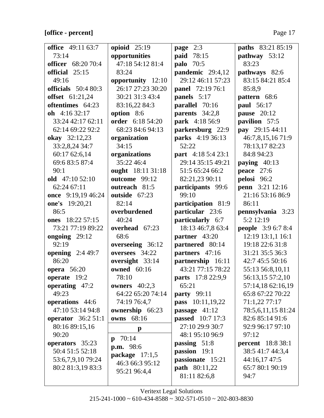## [office - percent]

| <b>office</b> 49:11 63:7  | opioid $25:19$        | page 2:3                  | paths 83:21 85:19         |
|---------------------------|-----------------------|---------------------------|---------------------------|
| 73:14                     | opportunities         | paid 78:15                | pathway 53:12             |
| <b>officer</b> 68:20 70:4 | 47:18 54:12 81:4      | <b>palo</b> 70:5          | 83:23                     |
| official 25:15            | 83:24                 | pandemic 29:4,12          | pathways 82:6             |
| 49:16                     | opportunity 12:10     | 29:12 46:11 57:23         | 83:15 84:21 85:4          |
| officials $50:480:3$      | 26:17 27:23 30:20     | <b>panel</b> 72:19 76:1   | 85:8,9                    |
| offset 61:21,24           | 30:21 31:3 43:4       | panels 5:17               | pattern 68:6              |
| oftentimes 64:23          | 83:16,22 84:3         | parallel 70:16            | paul 56:17                |
| oh $4:1632:17$            | option 8:6            | parents 34:2,8            | <b>pause</b> 20:12        |
| 33:24 42:17 62:11         | order 6:18 54:20      | <b>park</b> 4:18 56:9     | pavilion 57:5             |
| 62:14 69:22 92:2          | 68:23 84:6 94:13      | parkersburg 22:9          | pay 29:15 44:11           |
| <b>okay</b> 32:12,23      | organization          | <b>parks</b> 4:19 36:13   | 46:7,8,15,16 71:9         |
| 33:2,8,24 34:7            | 34:15                 | 52:22                     | 78:13,1782:23             |
| 60:17 62:6,14             | organizations         | <b>part</b> 4:18 5:4 23:1 | 84:8 94:23                |
| 69:6 83:5 87:4            | 35:22 46:4            | 29:14 35:15 49:21         | paying 40:13              |
| 90:1                      | ought 18:11 31:18     | 51:5 65:24 66:2           | peace $27:6$              |
| old $47:1052:10$          | outcome 99:12         | 82:21,23 90:11            | pelosi 96:2               |
| 62:24 67:11               | outreach 81:5         | participants 99:6         | <b>penn</b> 3:21 12:16    |
| once 9:19,19 46:24        | outside 67:23         | 99:10                     | 21:16 53:16 86:9          |
| one's 19:20,21            | 82:14                 | participation 81:9        | 86:11                     |
| 86:5                      | overburdened          | particular 23:6           | pennsylvania 3:23         |
| ones 18:22 57:15          | 40:24                 | particularly 6:7          | 5:2 12:19                 |
| 73:21 77:19 89:22         | overhead 67:23        | 18:13 46:7,8 63:4         | <b>people</b> 3:9 6:7 8:4 |
| ongoing $29:12$           | 68:6                  | partner 43:20             | 12:19 13:1,1 16:1         |
| 92:19                     | overseeing 36:12      | partnered 80:14           | 19:18 22:6 31:8           |
| opening $2:449:7$         | oversees 34:22        | partners 47:16            | 31:21 35:5 36:3           |
| 86:20                     | oversight 33:14       | partnership 16:11         | 42:7 45:5 50:16           |
| <b>opera</b> 56:20        | <b>owned</b> 60:16    | 43:21 77:15 78:22         | 55:13 56:8,10,11          |
| operate 19:2              | 78:10                 | parts 17:8 22:9,9         | 56:13,15 57:2,10          |
| operating 47:2            | owners $40:2,3$       | 65:21                     | 57:14,18 62:16,19         |
| 49:23                     | 64:22 65:20 74:14     | <b>party</b> 99:11        | 65:8 67:22 70:22          |
| operations 44:6           | 74:19 76:4,7          | <b>pass</b> 10:11,19,22   | 71:1,22 77:17             |
| 47:10 53:14 94:8          | ownership 66:23       | passage 41:12             | 78:5,6,11,15 81:24        |
| <b>operator</b> 36:2 51:1 | 68:16<br>owns         | <b>passed</b> 10:7 17:3   | 82:6 85:14 91:6           |
| 80:16 89:15,16            | $\mathbf{p}$          | 27:10 29:9 30:7           | 92:9 96:17 97:10          |
| 90:20                     | 70:14<br>$\mathbf{p}$ | 48:1 95:10 96:9           | 97:12                     |
| operators 35:23           | <b>p.m.</b> 98:6      | passing 51:8              | <b>percent</b> 18:8 38:1  |
| 50:4 51:5 52:18           | package $17:1,5$      | passion 19:1              | 38:5 41:7 44:3,4          |
| 53:6,7,9,10 79:24         | 46:3 66:3 95:12       | passionate 15:21          | 44:16,17 47:5             |
| 80:2 81:3,19 83:3         | 95:21 96:4,4          | <b>path</b> 80:11,22      | 65:7 80:1 90:19           |
|                           |                       | 81:11 82:6,8              | 94:7                      |
|                           |                       |                           |                           |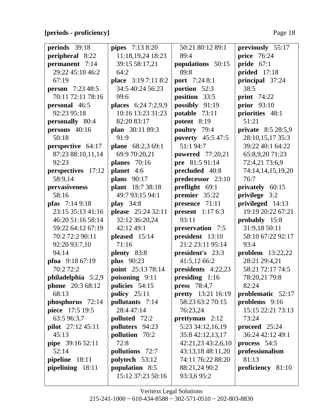## [periods - proficiency]

| periods 39:18           | pipes 7:13 8:20     | 50:21 80:12 89:1          | previously 55:17        |
|-------------------------|---------------------|---------------------------|-------------------------|
| peripheral 8:22         | 11:18,19,24 18:23   | 89:4                      | <b>price</b> 76:24      |
| permanent 7:14          | 39:15 58:17,21      | populations 50:15         | pride $67:1$            |
| 29:22 45:10 46:2        | 64:2                | 89:8                      | prided 17:18            |
| 67:19                   | place 3:19 7:11 8:2 | <b>port</b> 7:24 8:1      | principal 37:24         |
| <b>person</b> 7:23 48:5 | 34:5 40:24 56:23    | portion 52:3              | 38:5                    |
| 70:11 72:11 78:16       | 99:6                | position 33:5             | <b>print</b> 74:22      |
| <b>personal</b> 46:5    | places 6:24 7:2,9,9 | possibly 91:19            | prior $93:10$           |
| 92:23 95:18             | 10:16 13:23 31:23   | potable 73:11             | priorities 48:1         |
| personally 80:4         | 82:20 83:17         | potent 8:19               | 51:21                   |
| persons $40:16$         | plan 30:11 89:3     | poultry 79:4              | private 8:5 28:5,9      |
| 50:18                   | 91:9                | <b>poverty</b> 45:5 47:5  | 28:10,15,17 35:3        |
| perspective 64:17       | plane 68:2,3 69:1   | 51:1 94:7                 | 39:22 40:1 64:22        |
| 87:23 88:10,11,14       | 69:9 70:20,21       | powered 77:20,21          | 65:8,9,20 71:23         |
| 92:23                   | planes $70:16$      | pre 81:5 91:14            | 72:4,21 73:6,9          |
| perspectives 17:12      | planet 4:6          | precluded 40:8            | 74:14,14,15,19,20       |
| 58:9,14                 | plans $90:17$       | predecessor 23:10         | 76:7                    |
| pervasiveness           | plant 18:7 38:18    | preflight 69:1            | privately 60:15         |
| 58:16                   | 49:7 93:15 94:1     | premier 35:22             | privilege 3:2           |
| <b>pfas</b> $7:149:18$  | <b>play</b> 34:8    | presence 71:11            | privileged 14:13        |
| 23:15 35:13 41:16       | please 25:24 32:11  | present $1:176:3$         | 19:19 20:22 67:21       |
| 46:20 51:16 58:14       | 32:12 36:20,24      | 93:11                     | probably 15:8           |
| 59:22 64:12 67:19       | 42:12 49:1          | preservation 7:5          | 31:9,18 50:11           |
| 70:2 72:2 90:11         | pleased 15:14       | president 13:10           | 58:10 67:22 92:17       |
| 92:20 93:7,10           | 71:16               | 21:2 23:11 95:14          | 93:4                    |
| 94:14                   | plenty 83:8         | president's 23:3          | <b>problem</b> 13:22,22 |
| pfoa $9:1867:19$        | <b>plus</b> 90:23   | 41:5,12 66:2              | 28:21 29:4,21           |
| 70:2 72:2               | point 25:13 78:14   | presidents 4:22,23        | 58:21 72:17 74:5        |
| philadelphia $5:2,9$    | poisoning 9:11      | presiding 1:16            | 78:20,21 79:8           |
| <b>phone</b> 20:3 68:12 | policies 54:15      | <b>press</b> 78:4,7       | 82:24                   |
| 68:13                   | policy $25:11$      | <b>pretty</b> 13:21 16:19 | problematic 52:17       |
| phosphorus 72:14        | pollutants 7:14     | 58:23 63:2 70:15          | problems 9:16           |
| piece 17:5 19:5         | 28:4 47:14          | 76:23,24                  | 15:15 22:21 73:13       |
| 63:5 96:3,7             | polluted 72:2       | prettyman $2:12$          | 73:24                   |
| pilot 27:12 45:11       | polluters 94:23     | 5:23 34:12,16,19          | proceed $25:24$         |
| 45:13                   | pollution 70:2      | 35:8 42:12,13,17          | 36:24 42:12 49:1        |
| pipe 39:16 52:11        | 72:8                | 42:21,23 43:2,6,10        | process 54:5            |
| 52:14                   | pollutions 72:7     | 43:13,18 48:11,20         | professionalism         |
| pipeline 18:11          | polytech 53:12      | 74:11 76:22 88:20         | 81:13                   |
| pipelining 18:11        | population 8:5      | 88:21,24 90:2             | proficiency 81:10       |
|                         | 15:12 37:23 50:16   | 93:3,695:2                |                         |
|                         |                     |                           |                         |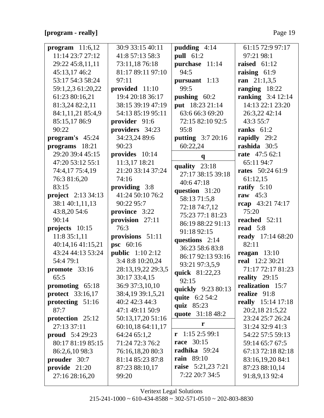#### [program - really]

| program $11:6,12$         | 30:9 33:15 40:11        | pudding $4:14$           | 61:15 72:9 97:17          |
|---------------------------|-------------------------|--------------------------|---------------------------|
| 11:14 23:7 27:12          | 41:8 57:13 58:3         | pull 61:2                | 97:21 98:1                |
| 29:22 45:8,11,11          | 73:11,18 76:18          | purchase 11:14           | raised $61:12$            |
| 45:13,17 46:2             | 81:17 89:11 97:10       | 94:5                     | raising $61:9$            |
| 53:17 54:3 58:24          | 97:11                   | pursuant 1:13            | ran $21:1,3,5$            |
| 59:1,2,3 61:20,22         | provided 11:10          | 99:5                     | ranging 18:22             |
| 61:23 80:16,21            | 19:4 20:18 36:17        | pushing 60:2             | <b>ranking</b> 3:4 12:14  |
| 81:3,24 82:2,11           | 38:15 39:19 47:19       | put 18:23 21:14          | 14:13 22:1 23:20          |
| 84:1,11,21 85:4,9         | 54:13 85:19 95:11       | 63:6 66:3 69:20          | 26:3,22 42:14             |
| 85:15,17 86:9             | provider 91:6           | 72:15 82:10 92:5         | 43:3 55:7                 |
| 90:22                     | providers 34:23         | 95:8                     | ranks $61:2$              |
| program's 45:24           | 34:23,24 89:6           | <b>putting</b> 3:7 20:16 | rapidly 29:2              |
| programs 18:21            | 90:23                   | 60:22,24                 | rashida 30:5              |
| 29:20 39:4 45:15          | provides 10:14          | $\mathbf{q}$             | <b>rate</b> 47:5 62:1     |
| 47:20 53:12 55:1          | 11:3,17 18:21           | quality 23:18            | 65:11 94:7                |
| 74:4,17 75:4,19           | 21:20 33:14 37:24       | 27:17 38:15 39:18        | <b>rates</b> 50:24 61:9   |
| 76:3 81:6,20              | 74:16                   | 40:647:18                | 61:12,15                  |
| 83:15                     | providing 3:8           | question 31:20           | ratify $5:10$             |
| <b>project</b> 2:13 34:13 | 41:24 50:10 76:2        | 58:13 71:5,8             | raw $45:3$                |
| 38:1 40:1,11,13           | 90:22 95:7              | 72:18 74:7,12            | rcap 43:21 74:17          |
| 43:8,20 54:6              | province 3:22           | 75:23 77:1 81:23         | 75:20                     |
| 90:14                     | provision $27:11$       | 86:19 88:22 91:13        | reached $52:11$           |
| projects 10:15            | 76:3                    | 91:18 92:15              | read $5:8$                |
| 11:8 35:1,11              | provisions 51:11        | questions $2:14$         | <b>ready</b> 17:14 68:20  |
| 40:14,16 41:15,21         | <b>psc</b> 60:16        | 36:23 58:6 83:8          | 82:11                     |
| 43:24 44:13 53:24         | <b>public</b> 1:10 2:12 | 86:17 92:13 93:16        | reagan $13:10$            |
| 54:4 79:1                 | 3:4 8:8 10:20,24        | 93:21 97:3,5,9           | <b>real</b> 12:2 30:21    |
| promote 33:16             | 28:13,19,22 29:3,5      | quick 81:22,23           | 71:17 72:17 81:23         |
| 65:5                      | 30:17 33:4,15           | 92:15                    | reality $29:15$           |
| promoting $65:18$         | 36:9 37:3,10,10         | quickly 9:23 80:13       | realization 15:7          |
| <b>protect</b> 33:16,17   | 38:4,19 39:1,5,21       | quite 6:2 54:2           | realize 91:8              |
| protecting 51:16          | 40:2 42:3 44:3          | quiz 85:23               | <b>really</b> 15:14 17:18 |
| 87:7                      | 47:1 49:11 50:9         | quote 31:18 48:2         | 20:2,18 21:5,22           |
| protection 25:12          | 50:13,17,20 51:16       | r                        | 23:24 25:7 26:24          |
| 27:13 37:11               | 60:10,18 64:11,17       |                          | 31:24 32:9 41:3           |
| <b>proud</b> 5:4 29:23    | 64:24 65:1,2            | $r$ 1:15 2:5 99:1        | 54:22 57:5 59:13          |
| 80:17 81:19 85:15         |                         |                          |                           |
|                           | 71:24 72:3 76:2         | <b>race</b> 30:15        | 59:14 65:7 67:5           |
| 86:2,6,10 98:3            | 76:16,18,20 80:3        | radhika 59:24            | 67:13 72:18 82:18         |
| prouder 30:7              | 81:14 85:23 87:8        | <b>rain</b> 89:10        | 83:16,19,20 84:1          |
| provide 21:20             | 87:23 88:10,17          | raise 5:21,23 7:21       | 87:23 88:10,14            |
| 27:16 28:16,20            | 99:20                   | 7:22 20:7 34:5           | 91:8,9,13 92:4            |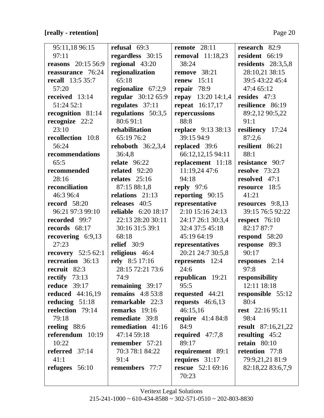# **[really - retention]** Page 20

 $\overline{\mathsf{L}}$ 

| 95:11,18 96:15             | refusal $69:3$             | remote $28:11$                    | research 82:9        |
|----------------------------|----------------------------|-----------------------------------|----------------------|
| 97:11                      | regardless 30:15           | removal $11:18,23$                | resident 66:19       |
| <b>reasons</b> 20:15 56:9  | regional 43:20             | 38:24                             | residents $28:3,5,8$ |
| reassurance 76:24          | regionalization            | remove 38:21                      | 28:10,21 38:15       |
| <b>recall</b> 13:5 35:7    | 65:18                      | 15:11<br>renew                    | 39:5 43:22 45:4      |
| 57:20                      | regionalize $67:2,9$       | repair 78:9                       | 47:4 65:12           |
| received 13:14             | regular 30:12 65:9         | repay $13:2014:1,4$               | resides $47:3$       |
| 51:24 52:1                 | regulates 37:11            | <b>repeat</b> 16:17,17            | resilience 86:19     |
| recognition 81:14          | regulations 50:3,5         | repercussions                     | 89:2,12 90:5,22      |
| recognize 22:2             | 80:691:1                   | 88:8                              | 91:1                 |
| 23:10                      | rehabilitation             | <b>replace</b> 9:13 38:13         | resiliency 17:24     |
| recollection 10:8          | 65:19 76:2                 | 39:15 94:9                        | 87:2,6               |
| 56:24                      | rehoboth $36:2,3,4$        | replaced 39:6                     | resilient 86:21      |
| recommendations            | 36:4,8                     | 66:12,12,15 94:11                 | 88:1                 |
| 65:5                       | <b>relate</b> 96:22        | replacement 11:18                 | resistance 90:7      |
| recommended                | related $92:20$            | 11:19,24 47:6                     | resolve 73:23        |
| 28:16                      | relates $25:16$            | 94:18                             | resolved 47:1        |
| reconciliation             | 87:15 88:1,8               | reply $97:6$                      | resource 18:5        |
| 46:3 96:4                  | relations 21:13            | reporting 90:15                   | 41:21                |
| <b>record</b> 58:20        | releases 40:5              | representative                    | resources $9:8,13$   |
| 96:21 97:3 99:10           | <b>reliable</b> 6:20 18:17 | 2:10 15:16 24:13                  | 39:15 76:5 92:22     |
| recorded 99:7              | 22:13 28:20 30:11          | 24:17 26:1 30:3,4                 | respect $76:10$      |
| records $68:17$            | 30:16 31:5 39:1            | 32:4 37:5 45:18                   | 82:17 87:7           |
| recovering $6:9,13$        | 68:18                      | 45:19 64:19                       | respond 58:20        |
| 27:23                      | relief 30:9                | representatives                   | response 89:3        |
| <b>recovery</b> $52:562:1$ | religious 46:4             | 20:21 24:7 30:5,8                 | 90:17                |
| recreation 36:13           | rely 8:5 17:16             | represents 12:4                   | responses 2:14       |
| recruit 82:3               | 28:15 72:21 73:6           | 24:6                              | 97:8                 |
| rectify $73:13$            | 74:9                       | republican $19:21$ responsibility |                      |
| <b>reduce</b> 39:17        | remaining 39:17            | 95:5                              | 12:11 18:18          |
| <b>reduced</b> 44:16,19    | remains $4:853:8$          | requested $44:21$                 | responsible 55:12    |
| reducing $51:18$           | remarkable 22:3            | requests $46:6,13$                | 80:4                 |
| reelection 79:14           | remarks $19:16$            | 46:15,16                          | rest $22:1695:11$    |
| 79:18                      | remediate 39:8             | require $41:484:8$                | 98:4                 |
| reeling 88:6               | remediation 41:16          | 84:9                              | result $87:16,21,22$ |
| referendum $10:19$         | 47:14 59:18                | required $47:7,8$                 | resulting $45:2$     |
| 10:22                      | remember 57:21             | 89:17                             | retain $80:10$       |
| referred $37:14$           | 70:3 78:1 84:22            | requirement 89:1                  | retention 77:8       |
| 41:1                       | 91:4                       | requires 31:17                    | 79:9,21,21 81:9      |
| refugees $56:10$           | remembers 77:7             | <b>rescue</b> 52:1 69:16          | 82:18,22 83:6,7,9    |
|                            |                            | 70:23                             |                      |
|                            |                            |                                   |                      |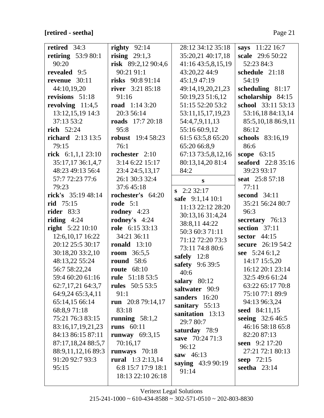# **[retired - seetha]** Page 21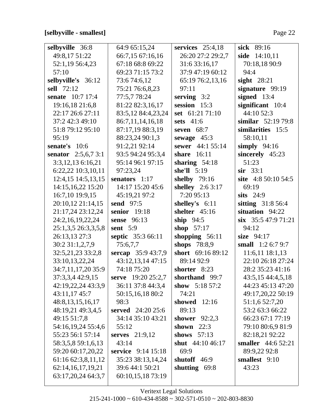# **[selbyville - smallest]** Page 22

| selbyville 36:8              | 64:9 65:15,24             | services $25:4,18$ | sick 89:16             |
|------------------------------|---------------------------|--------------------|------------------------|
| 49:8,17 51:22                | 66:7,15 67:16,16          | 26:20 27:2 29:2,7  | side 14:10,11          |
| 52:1,19 56:4,23              | 67:18 68:8 69:22          | 31:6 33:16,17      | 70:18,18 90:9          |
| 57:10                        | 69:23 71:15 73:2          | 37:9 47:19 60:12   | 94:4                   |
| selbyville's 36:12           | 73:6 74:6,12              | 65:19 76:2,13,16   | sight $28:21$          |
| sell 72:12                   | 75:21 76:6,8,23           | 97:11              | signature 99:19        |
| senate 10:7 17:4             | 77:5,7 78:24              | serving $3:2$      | signed 13:4            |
| 19:16,18 21:6,8              | 81:22 82:3,16,17          | session 15:3       | significant 10:4       |
| 22:17 26:6 27:11             | 83:5,12 84:4,23,24        | set 61:21 71:10    | 44:10 52:3             |
| 37:2 42:3 49:10              | 86:7,11,14,16,18          | sets 41:6          | similar $52:1979:8$    |
| 51:8 79:12 95:10             | 87:17,19 88:3,19          | seven $68:7$       | similarities 15:5      |
| 95:19                        | 88:23,24 90:1,3           | sewage $45:3$      | 58:10,11               |
| senate's 10:6                | 91:2,21 92:14             | sewer 44:1 55:14   | simply $94:16$         |
| <b>senator</b> $2:5,6,7,3:1$ | 93:5 94:24 95:3,4         | share $16:11$      | sincerely 45:23        |
| $3:3,12,13$ 6:16,21          | 95:14 96:1 97:15          | sharing $54:18$    | 51:23                  |
| 6:22,22 10:3,10,11           | 97:23,24                  | she'll $5:19$      | $\sin$ 33:1            |
| 12:4,15 14:5,13,15           | senators 1:17             | shelby 79:16       | site 4:8 50:10 54:5    |
| 14:15,16,22 15:20            | 14:17 15:20 45:6          | shelley 2:6 3:17   | 69:19                  |
| 16:7,10 19:9,15              | 45:19,21 97:2             | 7:20 95:13         | sits $24:9$            |
| 20:10,12 21:14,15            | send 97:5                 | shelley's 6:11     | sitting 31:8 56:4      |
| 21:17,24 23:12,24            | senior $19:18$            | shelter $45:16$    | situation 94:22        |
| 24:2,16,19,22,24             | <b>sense</b> 96:13        | ship $94:5$        | $\sin$ 35:5 47:9 71:21 |
| 25:1,3,5 26:3,3,5,8          | sent $5:9$                | shop $57:17$       | 94:12                  |
| 26:13,13 27:3                | septic 35:3 66:11         | shopping $56:11$   | size $94:17$           |
| 30:2 31:1,2,7,9              | 75:6,7,7                  | shops 78:8,9       | small $1:26:79:7$      |
| 32:5,21,23 33:2,8            | sercap 35:9 43:7,9        | short 69:16 89:12  | 11:6,11 18:1,13        |
| 33:10,13,22,24               | 43:12,13,14 47:15         | 89:14 92:9         | 22:10 26:18 27:24      |
| 34:7,11,17,20 35:9           | 74:18 75:20               | shorter 8:23       | 28:2 35:23 41:16       |
| 37:3,3,4 42:9,15             | serve 19:20 25:2,7        | shorthand 99:7     | 43:5,15 44:4,5,18      |
| 42:19,22,24 43:3,9           | 36:11 37:8 44:3,4         | show $5:1857:2$    | 44:23 45:13 47:20      |
| 43:11,17 45:7                | 50:15,16,18 80:2          | 74:21              | 49:17,20,22 50:19      |
| 48:8, 13, 15, 16, 17         | 98:3                      | showed<br>12:16    | 51:1,6 52:7,20         |
| 48:19,21 49:3,4,5            | served 24:20 25:6         | 89:13              | 53:2 63:3 66:22        |
| 49:15 51:7,8                 | 34:14 35:10 43:21         | shower $92:2,3$    | 66:23 67:1 77:19       |
| 54:16,19,24 55:4,6           | 55:12                     | shown $22:3$       | 79:10 80:6,9 81:9      |
| 55:23 56:1 57:14             | serves $21:9,12$          | shows $57:13$      | 82:18,21 92:22         |
| 58:3,5,8 59:1,6,13           | 43:14                     | shut 44:10 46:17   | smaller 44:6 52:21     |
| 59:20 60:17,20,22            | <b>service</b> 9:14 15:18 | 69:9               | 89:9,22 92:8           |
| 61:16 62:3,8,11,12           | 35:23 38:13,14,24         | shutoff $46:9$     | smallest 9:10          |
| 62:14,16,17,19,21            | 39:6 44:1 50:21           | shutting 69:8      | 43:23                  |
| 63:17,20,24 64:3,7           | 60:10,15,18 73:19         |                    |                        |
|                              |                           |                    |                        |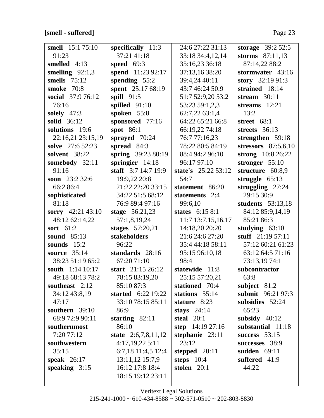# **[smell - suffered]** Page 23

| <b>smell</b> 15:1 75:10 | specifically $11:3$       | 24:6 27:22 31:13    | storage 39:2 52:5     |
|-------------------------|---------------------------|---------------------|-----------------------|
| 91:23                   | 37:21 41:18               | 33:18 34:4,12,14    | storms $87:11,13$     |
| smelled 4:13            | speed 69:3                | 35:16,23 36:18      | 87:14,22 88:2         |
| smelling $92:1,3$       | spend 11:23 92:17         | 37:13,16 38:20      | stormwater 43:16      |
| smells $75:12$          | spending $55:2$           | 39:4,24 40:11       | story 32:19 91:3      |
| <b>smoke</b> 70:8       | spent 25:17 68:19         | 43:7 46:24 50:9     | strained 18:14        |
| social 37:9 76:12       | spill $91:5$              | 51:7 52:9,20 53:2   | stream $30:11$        |
| 76:16                   | spilled 91:10             | 53:23 59:1,2,3      | streams $12:21$       |
| solely $47:3$           | spoken 55:8               | 62:7,22 63:1,4      | 13:2                  |
| solid 36:12             | sponsored 77:16           | 64:22 65:21 66:8    | street 68:1           |
| solutions 19:6          | spot $86:1$               | 66:19,22 74:18      | streets $36:13$       |
| 22:16,21 23:15,19       | sprayed 70:24             | 76:7 77:16,23       | strengthen 59:18      |
| solve 27:6 52:23        | spread 84:3               | 78:22 80:5 84:19    | stressors $87:5,6,10$ |
| solvent 38:22           | spring 39:23 80:19        | 88:4 94:2 96:10     | strong 10:8 26:22     |
| somebody 32:11          | springier $14:18$         | 96:17 97:10         | stronger $55:10$      |
| 91:16                   | staff $3:7$ 14:7 19:9     | state's 25:22 53:12 | structure 60:8,9      |
| soon $23:232:6$         | 19:9,22 20:8              | 54:7                | struggle $65:13$      |
| 66:2 86:4               | 21:22 22:20 33:15         | statement 86:20     | struggling $27:24$    |
| sophisticated           | 34:22 51:5 68:12          | statements 2:4      | 29:15 30:9            |
| 81:18                   | 76:9 89:4 97:16           | 99:6,10             | students 53:13,18     |
| sorry 42:21 43:10       | stage $56:21,23$          | states $6:158:1$    | 84:12 85:9,14,19      |
| 48:12 62:14,22          | 57:1,8,19,24              | 11:7 13:7,15,16,17  | 85:21 86:3            |
| sort $61:2$             | stages 57:20,21           | 14:18,20 20:20      | studying $63:10$      |
| sound $85:13$           | stakeholders              | 21:6 24:6 27:20     | stuff $21:1957:11$    |
| sounds $15:2$           | 96:22                     | 35:4 44:18 58:11    | 57:12 60:21 61:23     |
| source 35:14            | standards 28:16           | 95:15 96:10,18      | 63:12 64:5 71:16      |
| 38:23 51:19 65:2        | 67:20 71:10               | 98:4                | 73:13,1974:1          |
| south 1:14 10:17        | start 21:15 26:12         | statewide 11:8      | subcontractor         |
| 49:18 68:13 78:2        | 78:15 83:19,20            | 25:15 57:20,21      | 63:8                  |
| southeast 2:12          | 85:10 87:3                | stationed 70:4      | subject $81:2$        |
| 34:12 43:8,19           | <b>started</b> 6:22 19:22 | stations $55:14$    | submit 96:21 97:3     |
| 47:17                   | 33:10 78:15 85:11         | stature 8:23        | subsidies 52:24       |
| southern $39:10$        | 86:9                      | stays $24:14$       | 65:23                 |
| 68:9 72:9 90:11         | starting $82:11$          | steal $20:1$        | subsidy $40:12$       |
| southernmost            | 86:10                     | step $14:19\,27:16$ | substantial 11:18     |
| 7:20 77:12              | state $2:6,7,8,11,12$     | stephanie $23:11$   | success $53:15$       |
| southwestern            | 4:17,19,225:11            | 23:12               | successes 38:9        |
| 35:15                   | 6:7,18 11:4,5 12:4        | stepped $20:11$     | sudden $69:11$        |
| speak $26:17$           | 13:11,12 15:7,9           | steps $10:4$        | suffered 41:9         |
| speaking $3:15$         | 16:12 17:8 18:4           | stolen $20:1$       | 44:22                 |
|                         | 18:15 19:12 23:11         |                     |                       |
|                         |                           |                     |                       |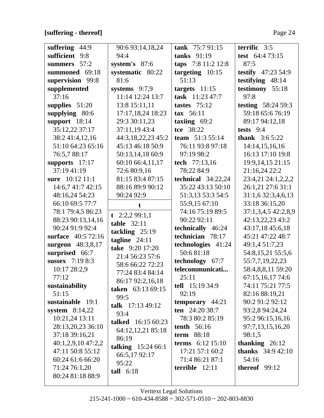$\overline{\mathsf{L}}$ 

| suffering 44:9      | 90:6 93:14,18,24   | tank $75:791:15$       | terrific 3:5              |
|---------------------|--------------------|------------------------|---------------------------|
| sufficient 9:8      | 94:4               | tanks $91:19$          | test 64:4 73:15           |
| summers 57:2        | system's $87:6$    | taps 7:8 11:2 12:8     | 87:5                      |
| summoned 69:18      | systematic 80:22   | targeting $10:15$      | <b>testify</b> 47:23 54:9 |
| supervision 99:8    | 81:6               | 51:13                  | testifying $48:14$        |
| supplemented        | systems $9:7,9$    | targets $11:15$        | testimony 55:18           |
| 37:16               | 11:14 12:24 13:7   | task 11:23 47:7        | 97:8                      |
| supplies $51:20$    | 13:8 15:11,11      | tastes $75:12$         | <b>testing</b> 58:24 59:3 |
| supplying 80:6      | 17:17,18,24 18:23  | tax 56:11              | 59:18 65:6 76:19          |
| support $18:14$     | 29:3 30:11,23      | taxiing $69:2$         | 89:17 94:12,18            |
| 35:12,22 37:17      | 37:11,19 43:4      | tce 38:22              | tests $9:4$               |
| 38:2 41:4,12,16     | 44:3,18,22,23 45:2 | team 51:3 55:14        | <b>thank</b> $3:65:22$    |
| 51:10 64:23 65:16   | 45:13 46:18 50:9   | 76:11 93:8 97:18       | 14:14,15,16,16            |
| 76:5,788:17         | 50:13,14,18 60:9   | 97:19 98:2             | 16:13 17:10 19:8          |
| supports 17:17      | 60:10 66:4,11,17   | tech 77:13,16          | 19:9, 14, 15 21:15        |
| 37:19 41:19         | 72:6 80:9,16       | 78:22 84:9             | 21:16,24 22:2             |
| sure 10:12 11:1     | 81:15 83:4 87:15   | technical $34:22,24$   | 23:4,21 24:1,2,2,2        |
| 14:6,7 41:7 42:15   | 88:16 89:9 90:12   | 35:22 43:13 50:10      | 26:1,21 27:6 31:1         |
| 48:16,24 54:23      | 90:24 92:9         | 51:3,13 53:3 54:5      | 31:1,6 32:3,4,6,13        |
| 66:10 69:5 77:7     | t                  | 55:9,15 67:10          | 33:18 36:15,20            |
| 78:1 79:4,5 86:23   | t $2:2,299:1,1$    | 74:16 75:19 89:5       | 37:1,3,4,5 42:2,8,9       |
| 88:23 90:13,14,16   | table $32:11$      | 90:22 92:11            | 42:13,22,23 43:2          |
| 90:24 91:9 92:4     | tackling $25:19$   | technically 46:24      | 43:17,18 45:6,18          |
| surface 40:5 72:16  | tagline $24:11$    | technician 78:17       | 45:21 47:22 48:7          |
| surgeon $48:3,8,17$ | take 9:20 17:20    | technologies 41:24     | 49:1,4 51:7,23            |
| surprised 66:7      | 21:4 56:23 57:6    | 50:681:18              | 54:8,15,21 55:5,6         |
| sussex 7:19 8:3     | 58:6 66:22 72:23   | technology 67:7        | 55:7,7,19,22,23           |
| 10:17 28:2,9        | 77:24 83:4 84:14   | telecommunicati        | 58:4,8,8,11 59:20         |
| 77:12               | 86:17 92:2,16,18   | 25:11                  | 67:15,16,17 74:6          |
| sustainability      | taken 63:13 69:15  | <b>tell</b> 15:19 34:9 | 74:11 75:21 77:5          |
| 51:15               | 99:5               | 92:19                  | 82:16 88:19,21            |
| sustainable 19:1    | talk 17:13 49:12   | temporary $44:21$      | 90:2 91:2 92:12           |
| system $8:14,22$    | 93:4               | ten $24:2038:7$        | 93:2,8 94:24,24           |
| 10:21,24 13:11      | talked 16:15 60:23 | 78:3 80:2 85:19        | 95:2 96:15,16,16          |
| 28:13,20,23 36:10   | 64:12,12,21 85:18  | <b>tenth</b> 56:16     | 97:7,13,15,16,20          |
| 37:18 39:16,21      | 86:19              | <b>term</b> 88:18      | 98:1,5                    |
| 40:1,2,9,10 47:2,2  | talking 15:24 66:1 | terms $6:12$ 15:10     | thanking $26:12$          |
| 47:11 50:8 55:12    | 66:5,1792:17       | 17:21 57:1 60:2        | <b>thanks</b> 34:9 42:10  |
| 60:24 61:6 66:20    | 95:22              | 71:4 86:21 87:1        | 54:16                     |
| 71:24 76:1,20       | tall $6:18$        | terrible $12:11$       | thereof $99:12$           |
| 80:24 81:18 88:9    |                    |                        |                           |
|                     |                    |                        |                           |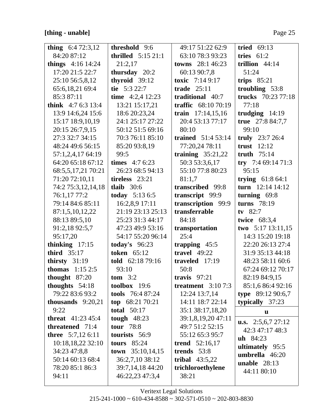## [thing - unable]

| thing $6:472:3,12$          | threshold 9:6          | 49:17 51:22 62:9          | tried $69:13$             |
|-----------------------------|------------------------|---------------------------|---------------------------|
| 84:20 87:12                 | thrilled $5:1521:1$    | 63:10 78:3 93:23          | tries $61:2$              |
| things 4:16 14:24           | 21:2,17                | <b>towns</b> $28:146:23$  | trillion $44:14$          |
| 17:20 21:5 22:7             | thursday 20:2          | 60:13 90:7,8              | 51:24                     |
| 25:10 56:5,8,12             | thyroid 39:12          | toxic $7:149:17$          | trips $85:21$             |
| 65:6,18,21 69:4             | tie $5:322:7$          | trade $25:11$             | troubling 53:8            |
| 85:3 87:11                  | time $4:2,4$ 12:23     | traditional 40:7          | trucks 70:23 77:18        |
| think $4:76:313:4$          | 13:21 15:17,21         | traffic 68:10 70:19       | 77:18                     |
| 13:9 14:6,24 15:6           | 18:6 20:23,24          | train $17:14,15,16$       | trudging $14:19$          |
| 15:17 18:9,10,19            | 24:1 25:17 27:22       | 20:4 53:13 77:17          | true 27:8 84:7,7          |
| 20:15 26:7,9,15             | 50:12 51:5 69:16       | 80:10                     | 99:10                     |
| 27:3 32:7 34:15             | 70:3 76:11 85:10       | <b>trained</b> 51:4 53:14 | truly $23:726:4$          |
| 48:24 49:6 56:15            | 85:20 93:8,19          | 77:20,24 78:11            | trust $12:12$             |
| 57:1,2,4,17 64:19           | 99:5                   | training $35:21,22$       | truth $75:14$             |
| 64:20 65:18 67:12           | <b>times</b> $4:76:23$ | 50:3 53:3,6,17            | try $7:469:1471:3$        |
| 68:5, 5, 17, 21 70: 21      | 26:23 68:5 94:13       | 55:10 77:8 80:23          | 95:15                     |
| 71:20 72:10,11              | tireless 23:21         | 81:1,7                    | trying $61:864:1$         |
| 74:2 75:3,12,14,18          | tlaib $30:6$           | transcribed 99:8          | turn $12:14$ 14:12        |
| 76:1,17 77:2                | <b>today</b> $5:136:5$ | transcript 99:9           | turning $69:8$            |
| 79:14 84:6 85:11            | 16:2,8,9 17:11         | transcription 99:9        | turns 78:19               |
| 87:1,5,10,12,22             | 21:19 23:13 25:13      | transferrable             | tv $82:7$                 |
| 88:13 89:5,10               | 25:23 31:3 44:17       | 84:18                     | twice 68:3,4              |
| 91:2,18 92:5,7              | 47:23 49:9 53:16       | transportation            | two $5:17$ 13:11,15       |
| 95:17,20                    | 54:17 55:20 96:14      | 25:4                      | 14:3 15:20 19:18          |
| thinking $17:15$            | today's $96:23$        | trapping $45:5$           | 22:20 26:13 27:4          |
| third $35:17$               | <b>token</b> 65:12     | travel $49:22$            | 31:9 35:13 44:18          |
| thirsty $31:19$             | told 62:18 79:16       | traveled $17:19$          | 48:23 58:11 60:6          |
| <b>thomas</b> $1:152:5$     | 93:10                  | 50:8                      | 67:24 69:12 70:17         |
| thought $87:20$             | $tom \t3:2$            | travis $97:21$            | 82:19 84:9,15             |
| thoughts 54:18              | toolbox 19:6           | treatment $3:107:3$       | 85:1,6 86:4 92:16         |
| 79:22 83:6 93:2             | tools 76:4 87:24       | 12:24 13:7,14             | type $89:1290:6,7$        |
| thousands $9:20,21$         | top $68:2170:21$       | 14:11 18:7 22:14          | typically $37:23$         |
| 9:22                        | total $50:17$          | 35:1 38:17,18,20          | $\mathbf{u}$              |
| <b>threat</b> $41:23\,45:4$ | tough $48:23$          | 39:1,8,19,20 47:11        | <b>u.s.</b> 2:5,6,7 27:12 |
| threatened 71:4             | <b>tour</b> 78:8       | 49:7 51:2 52:15           | 42:3 47:17 48:3           |
| <b>three</b> 5:7,12 6:11    | tourists 56:9          | 55:12 65:3 95:7           | $uh$ 84:23                |
| 10:18,18,22 32:10           | tours $85:24$          | <b>trend</b> $52:16,17$   | ultimately 95:5           |
| 34:23 47:8,8                | town $35:10,14,15$     | trends 53:8               | umbrella 46:20            |
| 50:14 60:13 68:4            | 36:2,7,10 38:12        | tribal $43:5,22$          | <b>unable</b> $28:13$     |
| 78:20 85:1 86:3             | 39:7,14,18 44:20       | trichloroethylene         | 44:11 80:10               |
| 94:11                       | 46:22,23 47:3,4        | 38:21                     |                           |
|                             |                        |                           |                           |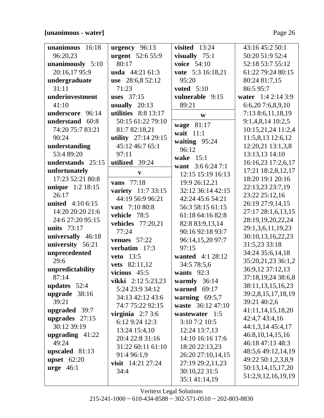## **[unanimous - water]** Page 26

| unanimous 16:18          | urgency 96:13            | visited $13:24$   | 43:16 45:2 50:1      |
|--------------------------|--------------------------|-------------------|----------------------|
| 96:20,23                 | <b>urgent</b> 52:6 55:9  | visually $75:1$   | 50:20 51:9 52:4      |
| unanimously 5:10         | 80:17                    | voice 54:10       | 52:18 53:7 55:12     |
| 20:16,1795:9             | usda 44:21 61:3          | vote 5:3 16:18,21 | 61:22 79:24 80:15    |
| undergraduate            | use 28:6,8 52:12         | 95:20             | 80:24 81:7,15        |
| 31:11                    | 71:23                    | voted $5:10$      | 86:5 95:7            |
| underinvestment          | uses $37:15$             | vulnerable 9:15   | water 1:4 2:14 3:9   |
| 41:10                    | usually $20:13$          | 89:21             | 6:6,207:6,8,9,10     |
| underscore 96:14         | utilities 8:8 13:17      | W                 | 7:13 8:6,11,18,19    |
| understand 60:8          | 50:15 61:22 79:10        |                   | $9:1,4,8,14$ 10:2,5  |
| 74:20 75:7 83:21         | 81:7 82:18,21            | wage 81:17        | 10:15,21,24 11:2,4   |
| 90:24                    | utility $27:14\,29:15$   | wait $11:1$       | 11:5,8,13 12:6,12    |
| understanding            | 45:12 46:7 65:1          | waiting 95:24     | 12:20,21 13:1,3,8    |
| 53:4 89:20               | 97:11                    | 96:12             | 13:13,13 14:10       |
| understands 25:15        | utilized 39:24           | wake 15:1         | 16:16,23 17:2,6,17   |
| unfortunately            |                          | want $3:66:247:1$ | 17:21 18:2,8,12,17   |
| 17:23 52:21 80:8         | $\mathbf{v}$             | 12:15 15:19 16:13 | 18:20 19:1 20:16     |
| unique 1:2 18:15         | 77:18<br>vans            | 19:9 26:12,21     | 22:13,23 23:7,19     |
| 26:17                    | variety 11:7 33:15       | 32:12 36:14 42:15 | 23:22 25:12,16       |
| <b>united</b> $4:106:15$ | 44:19 56:9 96:21         | 42:24 45:6 54:21  | 26:19 27:9,14,15     |
| 14:20 20:20 21:6         | vast 7:10 80:8           | 56:3 58:15 61:15  | 27:17 28:1,6,13,15   |
| 24:6 27:20 95:15         | vehicle 78:5             | 61:18 64:16 82:8  | 28:19,19,20,22,24    |
| units $73:17$            | <b>vehicles</b> 77:20,21 | 82:8 83:9,13,14   | 29:1,3,6,11,19,23    |
| universally 46:18        | 77:24                    | 90:16 92:18 93:7  | 30:10,13,16,22,23    |
| university 56:21         | venues $57:22$           | 96:14,15,20 97:7  | 31:5,23 33:18        |
| unprecedented            | verbatim 17:3            | 97:15             | 34:24 35:6,14,18     |
| 29:6                     | <b>veto</b> 13:5         | wanted 4:1 28:12  | 35:20,21,23 36:1,2   |
| unpredictability         | vets 82:11,12            | 34:5 78:5,6       | 36:9,12 37:12,13     |
| 87:14                    | vicious $45:5$           | wants $92:3$      | 37:18,19,24 38:6,8   |
| updates $52:4$           | vikki $2:125:23,23$      | warmly $36:14$    | 38:11,13,15,16,23    |
| upgrade $38:16$          | 5:24 23:9 34:12          | warned $69:17$    | 39:2,8,15,17,18,19   |
| 39:21                    | 34:13 42:12 43:6         | warning $69:5,7$  | 39:21 40:2,6         |
| upgraded 39:7            | 74:7 75:22 92:15         | waste 36:12 47:10 | 41:11,14,15,18,20    |
| upgrades $27:15$         | virginia $2:73:6$        | wastewater 1:5    | 42:4,7 43:4,16       |
| 30:12 39:19              | 6:129:2412:3             | 3:10 7:2 10:5     | 44:1,3,14 45:4,17    |
| upgrading $41:22$        | 13:24 15:4,10            | 12:24 13:7,13     | 46:8, 10, 14, 15, 16 |
| 49:24                    | 20:4 22:8 31:16          | 14:10 16:16 17:6  | 46:18 47:13 48:3     |
|                          | 31:22 60:11 61:10        | 18:20 22:13,23    | 48:5,6 49:12,14,19   |
| upscaled 81:13           | 91:4 96:1,9              | 26:20 27:10,14,15 |                      |
| upset $62:20$            | visit $14:21$ 27:24      | 27:19 29:2,11,23  | 49:22 50:1,2,3,8,9   |
| $urge 46:1$              | 34:4                     | 30:10,22 31:5     | 50:13,14,15,17,20    |
|                          |                          | 35:1 41:14,19     | 51:2,9,12,16,19,19   |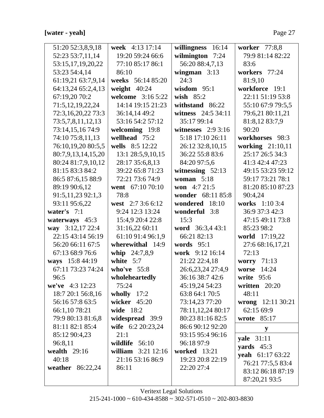# [water - yeah]

| 51:20 52:3,8,9,18  | week 4:13 17:14      | willingness<br>16:14 | worker 77:8,8        |
|--------------------|----------------------|----------------------|----------------------|
| 52:23 53:7,11,14   | 19:20 59:24 66:6     | wilmington 7:24      | 79:9 81:14 82:22     |
| 53:15,17,19,20,22  | 77:10 85:17 86:1     | 56:20 88:4,7,13      | 83:6                 |
| 53:23 54:4,14      | 86:10                | wingman $3:13$       | workers 77:24        |
| 61:19,21 63:7,9,14 | weeks 56:14 85:20    | 24:3                 | 81:9,10              |
| 64:13,24 65:2,4,13 | weight $40:24$       | wisdom $95:1$        | workforce 19:1       |
| 67:19,20 70:2      | welcome 3:16 5:22    | wish $85:2$          | 22:11 51:19 53:8     |
| 71:5,12,19,22,24   | 14:14 19:15 21:23    | withstand 86:22      | 55:10 67:9 79:5,5    |
| 72:3,16,20,22 73:3 | 36:14,14 49:2        | witness 24:5 34:11   | 79:6,21 80:11,21     |
| 73:5,7,8,11,12,13  | 53:16 54:2 57:12     | 35:17 99:14          | 81:8,12 83:7,9       |
| 73:14,15,16 74:9   | welcoming 19:8       | witnesses $2:93:16$  | 90:20                |
| 74:10 75:8,11,13   | wellhead 75:2        | 5:18 17:10 26:11     | workhorses 98:3      |
| 76:10,19,20 80:5,5 | wells 8:5 12:22      | 26:12 32:8,10,15     | working 21:10,11     |
| 80:7,9,13,14,15,20 | 13:1 28:5,9,10,15    | 36:22 55:8 83:6      | 25:17 26:5 34:3      |
| 80:24 81:7,9,10,12 | 28:17 35:6,8,13      | 84:20 97:5,6         | 41:3 42:4 47:23      |
| 81:15 83:3 84:2    | 39:22 65:8 71:23     | witnessing $52:13$   | 49:15 53:23 59:12    |
| 86:5 87:6,15 88:9  | 72:21 73:6 74:9      | woman $5:18$         | 59:17 73:21 78:1     |
| 89:19 90:6,12      | went 67:10 70:10     | <b>won</b> $4:721:5$ | 81:20 85:10 87:23    |
| 91:5,11,23 92:1,3  | 78:8                 | wonder 68:11 85:8    | 90:4,24              |
| 93:11 95:6,22      | west 2:7 3:6 6:12    | wondered 18:10       | works 1:10 3:4       |
| water's $7:1$      | 9:24 12:3 13:24      | wonderful 3:8        | 36:9 37:3 42:3       |
| waterways $45:3$   | 15:4,9 20:4 22:8     | 15:3                 | 47:15 49:11 73:8     |
| way 3:12,17 22:4   | 31:16,22 60:11       | word 36:3,4 43:1     | 85:23 98:2           |
| 22:15 43:14 56:19  | 61:10 91:4 96:1,9    | 66:21 82:13          | world 17:19,22       |
| 56:20 66:11 67:5   | wherewithal 14:9     | words $95:1$         | 27:6 68:16,17,21     |
| 67:13 68:9 76:6    | whip 24:7,8,9        | work 9:12 16:14      | 72:13                |
| ways 15:8 44:19    | white $5:7$          | 21:22 22:4,18        | worry 71:13          |
| 67:11 73:23 74:24  | who've $55:8$        | 26:6,23,24 27:4,9    | 14:24<br>worse       |
| 96:5               | wholeheartedly       | 36:16 38:7 42:6      | write $95:6$         |
| we've $4:3$ 12:23  | 75:24                | 45:19,24 54:23       | written 20:20        |
| 18:7 20:1 56:8,16  | wholly $17:2$        | 63:8 64:1 70:5       | 48:11                |
| 56:16 57:8 63:5    | wicker $45:20$       | 73:14,23 77:20       | wrong $12:11\,30:21$ |
| 66:1,10 78:21      | wide 18:2            | 78:11,12,24 80:17    | 62:15 69:9           |
| 79:9 80:13 81:6,8  | widespread 39:9      | 80:23 81:16 82:5     | wrote $85:17$        |
| 81:11 82:1 85:4    | wife 6:2 20:23,24    | 86:6 90:12 92:20     | y                    |
| 85:12 90:4,23      | 21:1                 | 93:15 95:4 96:16     | <b>yale</b> 31:11    |
| 96:8,11            | wildlife $56:10$     | 96:18 97:9           | yards $45:3$         |
| wealth $29:16$     | william $3:21$ 12:16 | <b>worked</b> 13:21  | yeah 61:17 63:22     |
| 40:18              | 21:16 53:16 86:9     | 19:23 20:8 22:19     | 76:21 77:5,5 83:4    |
| weather 86:22,24   | 86:11                | 22:20 27:4           | 83:12 86:18 87:19    |
|                    |                      |                      | 87:20,21 93:5        |